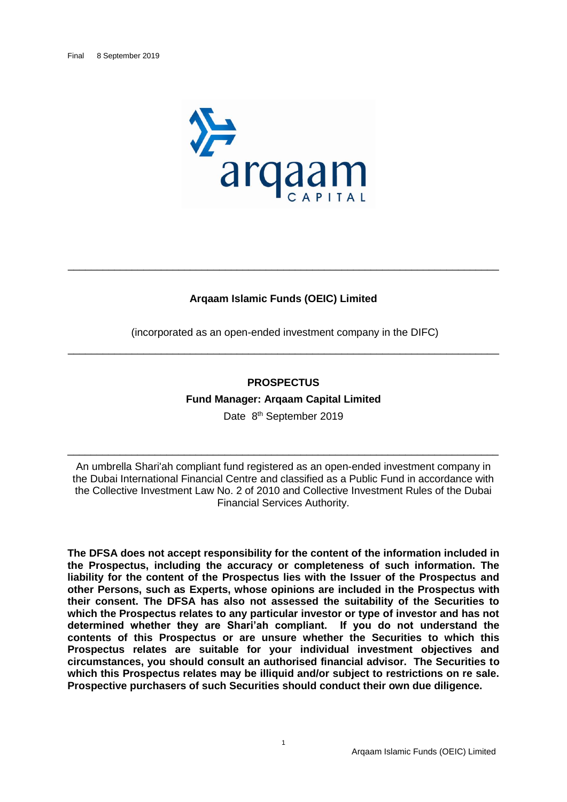

# **Arqaam Islamic Funds (OEIC) Limited**

\_\_\_\_\_\_\_\_\_\_\_\_\_\_\_\_\_\_\_\_\_\_\_\_\_\_\_\_\_\_\_\_\_\_\_\_\_\_\_\_\_\_\_\_\_\_\_\_\_\_\_\_\_\_\_\_\_\_\_\_\_\_\_\_\_\_\_\_\_\_\_\_\_\_

(incorporated as an open-ended investment company in the DIFC) \_\_\_\_\_\_\_\_\_\_\_\_\_\_\_\_\_\_\_\_\_\_\_\_\_\_\_\_\_\_\_\_\_\_\_\_\_\_\_\_\_\_\_\_\_\_\_\_\_\_\_\_\_\_\_\_\_\_\_\_\_\_\_\_\_\_\_\_\_\_\_\_\_\_

## **PROSPECTUS**

**Fund Manager: Arqaam Capital Limited**

Date 8<sup>th</sup> September 2019

\_\_\_\_\_\_\_\_\_\_\_\_\_\_\_\_\_\_\_\_\_\_\_\_\_\_\_\_\_\_\_\_\_\_\_\_\_\_\_\_\_\_\_\_\_\_\_\_\_\_\_\_\_\_\_\_\_\_\_\_\_\_\_\_\_\_\_\_\_\_\_\_\_\_

An umbrella Shari'ah compliant fund registered as an open-ended investment company in the Dubai International Financial Centre and classified as a Public Fund in accordance with the Collective Investment Law No. 2 of 2010 and Collective Investment Rules of the Dubai Financial Services Authority.

**The DFSA does not accept responsibility for the content of the information included in the Prospectus, including the accuracy or completeness of such information. The liability for the content of the Prospectus lies with the Issuer of the Prospectus and other Persons, such as Experts, whose opinions are included in the Prospectus with their consent. The DFSA has also not assessed the suitability of the Securities to which the Prospectus relates to any particular investor or type of investor and has not determined whether they are Shari'ah compliant. If you do not understand the contents of this Prospectus or are unsure whether the Securities to which this Prospectus relates are suitable for your individual investment objectives and circumstances, you should consult an authorised financial advisor. The Securities to which this Prospectus relates may be illiquid and/or subject to restrictions on re sale. Prospective purchasers of such Securities should conduct their own due diligence.**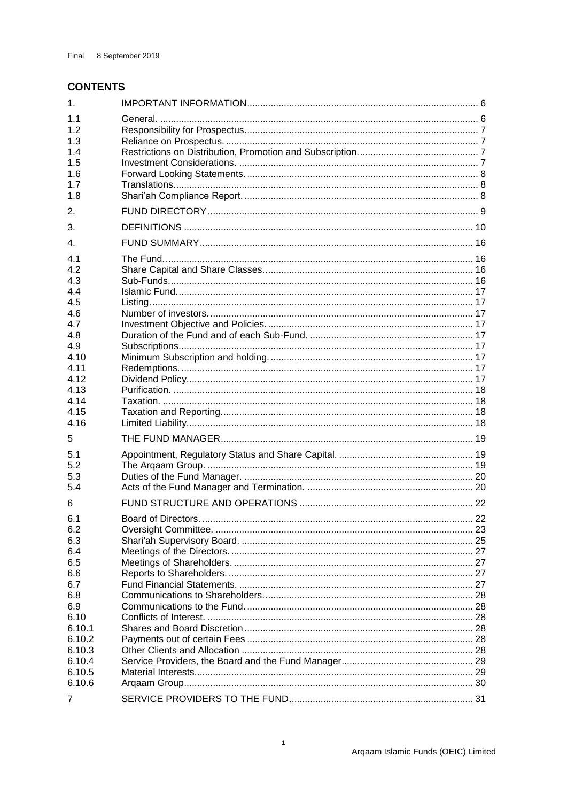# **CONTENTS**

| 1.                                                                                                                  |  |
|---------------------------------------------------------------------------------------------------------------------|--|
| 1.1<br>1.2<br>1.3<br>1.4                                                                                            |  |
| 1.5<br>1.6<br>1.7<br>1.8                                                                                            |  |
| 2.                                                                                                                  |  |
| 3.                                                                                                                  |  |
| $\mathbf{4}$ .                                                                                                      |  |
| 4.1<br>4.2<br>4.3<br>4.4<br>4.5<br>4.6<br>4.7<br>4.8<br>4.9<br>4.10<br>4.11<br>4.12<br>4.13<br>4.14<br>4.15<br>4.16 |  |
| 5                                                                                                                   |  |
| 5.1<br>5.2<br>5.3<br>5.4                                                                                            |  |
| 6<br>6.1                                                                                                            |  |
| 6.2<br>6.3<br>6.4<br>6.5<br>6.6<br>6.7<br>6.8<br>6.9<br>6.10<br>6.10.1<br>6.10.2<br>6.10.3                          |  |
| 6.10.4                                                                                                              |  |
| 6.10.5<br>6.10.6                                                                                                    |  |
| 7                                                                                                                   |  |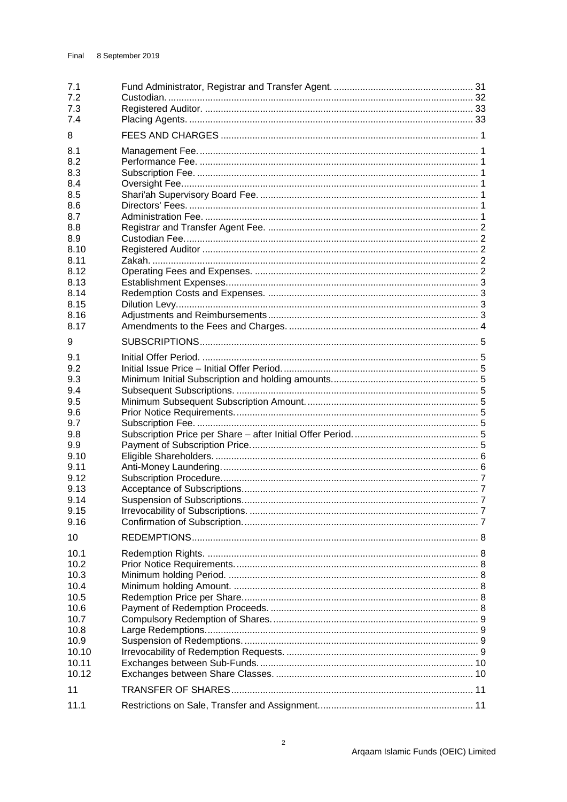| 7.1<br>7.2<br>7.3                                                                                                           |  |
|-----------------------------------------------------------------------------------------------------------------------------|--|
| 7.4<br>8                                                                                                                    |  |
| 8.1<br>8.2<br>8.3<br>8.4<br>8.5<br>8.6<br>8.7<br>8.8<br>8.9<br>8.10<br>8.11<br>8.12<br>8.13<br>8.14<br>8.15<br>8.16<br>8.17 |  |
| 9                                                                                                                           |  |
| 9.1<br>9.2<br>9.3<br>9.4<br>9.5<br>9.6<br>9.7<br>9.8<br>9.9<br>9.10<br>9.11<br>9.12<br>9.13                                 |  |
| 9.14<br>9.15<br>9.16                                                                                                        |  |
| 10                                                                                                                          |  |
| 10.1<br>10.2<br>10.3<br>10.4                                                                                                |  |
| 10.5<br>10.6<br>10.7<br>10.8<br>10.9<br>10.10<br>10.11<br>10.12                                                             |  |
| 11                                                                                                                          |  |
| 11.1                                                                                                                        |  |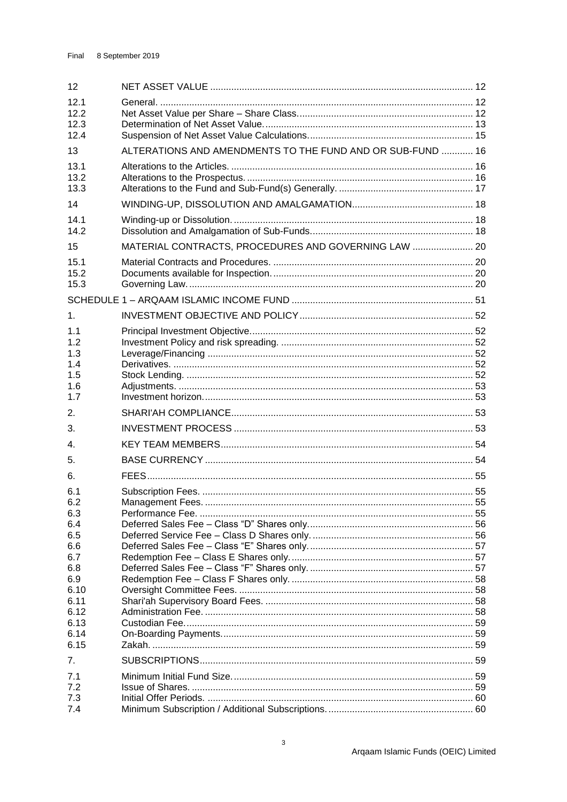| 12                                            |                                                            |  |
|-----------------------------------------------|------------------------------------------------------------|--|
| 12.1<br>12.2<br>12.3<br>12.4                  |                                                            |  |
| 13                                            | ALTERATIONS AND AMENDMENTS TO THE FUND AND OR SUB-FUND  16 |  |
| 13.1<br>13.2<br>13.3                          |                                                            |  |
| 14                                            |                                                            |  |
| 14.1<br>14.2                                  |                                                            |  |
| 15                                            | MATERIAL CONTRACTS, PROCEDURES AND GOVERNING LAW  20       |  |
| 15.1<br>15.2<br>15.3                          |                                                            |  |
|                                               |                                                            |  |
| 1 <sub>1</sub>                                |                                                            |  |
| 1.1<br>1.2<br>1.3<br>1.4<br>1.5<br>1.6<br>1.7 |                                                            |  |
| 2.                                            |                                                            |  |
| 3.                                            |                                                            |  |
| 4.                                            |                                                            |  |
| 5.                                            |                                                            |  |
| 6.                                            |                                                            |  |
| 6.1<br>6.2<br>6.3<br>6.4<br>6.5               |                                                            |  |
| 6.6                                           |                                                            |  |
| 6.7<br>6.8                                    |                                                            |  |
| 6.9                                           |                                                            |  |
| 6.10                                          |                                                            |  |
| 6.11<br>6.12                                  |                                                            |  |
| 6.13                                          |                                                            |  |
| 6.14<br>6.15                                  |                                                            |  |
| 7.                                            |                                                            |  |
| 7.1                                           |                                                            |  |
| 7.2                                           |                                                            |  |
| 7.3<br>7.4                                    |                                                            |  |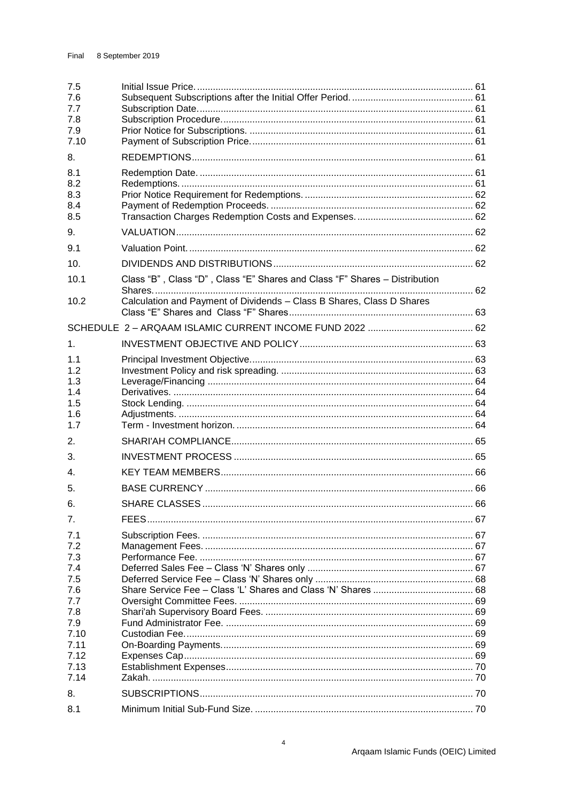| 7.5<br>7.6<br>7.7<br>7.8<br>7.9<br>7.10 |                                                                            |  |
|-----------------------------------------|----------------------------------------------------------------------------|--|
| 8.                                      |                                                                            |  |
| 8.1<br>8.2<br>8.3<br>8.4<br>8.5         |                                                                            |  |
| 9.                                      |                                                                            |  |
| 9.1                                     |                                                                            |  |
| 10 <sub>1</sub>                         |                                                                            |  |
| 10.1                                    | Class "B", Class "D", Class "E" Shares and Class "F" Shares - Distribution |  |
| 10.2                                    | Calculation and Payment of Dividends - Class B Shares, Class D Shares      |  |
|                                         |                                                                            |  |
| 1 <sub>1</sub>                          |                                                                            |  |
| 1.1<br>1.2<br>1.3<br>1.4<br>1.5<br>1.6  |                                                                            |  |
| 1.7                                     |                                                                            |  |
| 2.                                      |                                                                            |  |
| 3.                                      |                                                                            |  |
| $\mathbf{4}$ .                          |                                                                            |  |
| 5.                                      |                                                                            |  |
| 6.                                      |                                                                            |  |
| 7.                                      |                                                                            |  |
| 7.1<br>7.2<br>7.3                       |                                                                            |  |
| 7.4                                     |                                                                            |  |
| 7.5<br>7.6                              |                                                                            |  |
| 7.7                                     |                                                                            |  |
| 7.8                                     |                                                                            |  |
| 7.9                                     |                                                                            |  |
| 7.10<br>7.11                            |                                                                            |  |
| 7.12                                    |                                                                            |  |
| 7.13                                    |                                                                            |  |
| 7.14                                    |                                                                            |  |
| 8.                                      |                                                                            |  |
| 8.1                                     |                                                                            |  |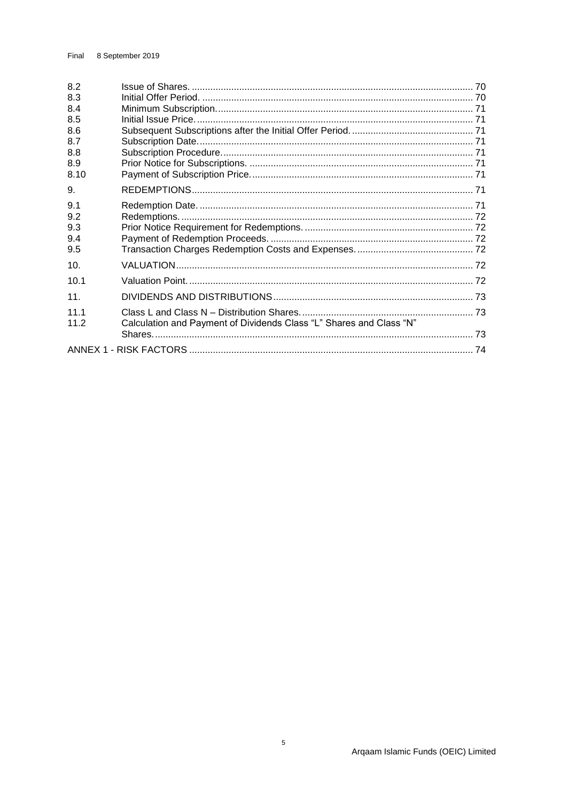| 8.2<br>8.3<br>8.4<br>8.5<br>8.6<br>8.7<br>8.8<br>8.9<br>8.10 |                                                                     |  |
|--------------------------------------------------------------|---------------------------------------------------------------------|--|
| 9.                                                           |                                                                     |  |
| 9.1<br>9.2<br>9.3<br>9.4<br>9.5                              |                                                                     |  |
| 10.                                                          |                                                                     |  |
| 10.1                                                         |                                                                     |  |
| 11.                                                          |                                                                     |  |
| 11.1<br>11.2                                                 | Calculation and Payment of Dividends Class "L" Shares and Class "N" |  |
|                                                              |                                                                     |  |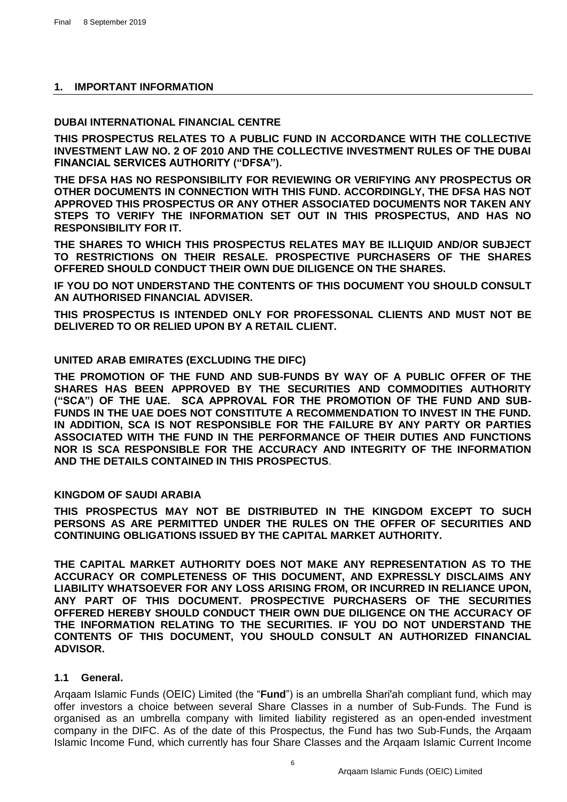# <span id="page-6-0"></span>**1. IMPORTANT INFORMATION**

## **DUBAI INTERNATIONAL FINANCIAL CENTRE**

**THIS PROSPECTUS RELATES TO A PUBLIC FUND IN ACCORDANCE WITH THE COLLECTIVE INVESTMENT LAW NO. 2 OF 2010 AND THE COLLECTIVE INVESTMENT RULES OF THE DUBAI FINANCIAL SERVICES AUTHORITY ("DFSA").**

**THE DFSA HAS NO RESPONSIBILITY FOR REVIEWING OR VERIFYING ANY PROSPECTUS OR OTHER DOCUMENTS IN CONNECTION WITH THIS FUND. ACCORDINGLY, THE DFSA HAS NOT APPROVED THIS PROSPECTUS OR ANY OTHER ASSOCIATED DOCUMENTS NOR TAKEN ANY STEPS TO VERIFY THE INFORMATION SET OUT IN THIS PROSPECTUS, AND HAS NO RESPONSIBILITY FOR IT.**

**THE SHARES TO WHICH THIS PROSPECTUS RELATES MAY BE ILLIQUID AND/OR SUBJECT TO RESTRICTIONS ON THEIR RESALE. PROSPECTIVE PURCHASERS OF THE SHARES OFFERED SHOULD CONDUCT THEIR OWN DUE DILIGENCE ON THE SHARES.**

**IF YOU DO NOT UNDERSTAND THE CONTENTS OF THIS DOCUMENT YOU SHOULD CONSULT AN AUTHORISED FINANCIAL ADVISER.**

**THIS PROSPECTUS IS INTENDED ONLY FOR PROFESSONAL CLIENTS AND MUST NOT BE DELIVERED TO OR RELIED UPON BY A RETAIL CLIENT.**

# **UNITED ARAB EMIRATES (EXCLUDING THE DIFC)**

**THE PROMOTION OF THE FUND AND SUB-FUNDS BY WAY OF A PUBLIC OFFER OF THE SHARES HAS BEEN APPROVED BY THE SECURITIES AND COMMODITIES AUTHORITY ("SCA") OF THE UAE. SCA APPROVAL FOR THE PROMOTION OF THE FUND AND SUB-FUNDS IN THE UAE DOES NOT CONSTITUTE A RECOMMENDATION TO INVEST IN THE FUND. IN ADDITION, SCA IS NOT RESPONSIBLE FOR THE FAILURE BY ANY PARTY OR PARTIES ASSOCIATED WITH THE FUND IN THE PERFORMANCE OF THEIR DUTIES AND FUNCTIONS NOR IS SCA RESPONSIBLE FOR THE ACCURACY AND INTEGRITY OF THE INFORMATION AND THE DETAILS CONTAINED IN THIS PROSPECTUS**.

# **KINGDOM OF SAUDI ARABIA**

**THIS PROSPECTUS MAY NOT BE DISTRIBUTED IN THE KINGDOM EXCEPT TO SUCH PERSONS AS ARE PERMITTED UNDER THE RULES ON THE OFFER OF SECURITIES AND CONTINUING OBLIGATIONS ISSUED BY THE CAPITAL MARKET AUTHORITY.** 

**THE CAPITAL MARKET AUTHORITY DOES NOT MAKE ANY REPRESENTATION AS TO THE ACCURACY OR COMPLETENESS OF THIS DOCUMENT, AND EXPRESSLY DISCLAIMS ANY LIABILITY WHATSOEVER FOR ANY LOSS ARISING FROM, OR INCURRED IN RELIANCE UPON, ANY PART OF THIS DOCUMENT. PROSPECTIVE PURCHASERS OF THE SECURITIES OFFERED HEREBY SHOULD CONDUCT THEIR OWN DUE DILIGENCE ON THE ACCURACY OF THE INFORMATION RELATING TO THE SECURITIES. IF YOU DO NOT UNDERSTAND THE CONTENTS OF THIS DOCUMENT, YOU SHOULD CONSULT AN AUTHORIZED FINANCIAL ADVISOR.**

# <span id="page-6-1"></span>**1.1 General.**

Arqaam Islamic Funds (OEIC) Limited (the "**Fund**") is an umbrella Shari'ah compliant fund, which may offer investors a choice between several Share Classes in a number of Sub-Funds. The Fund is organised as an umbrella company with limited liability registered as an open-ended investment company in the DIFC. As of the date of this Prospectus, the Fund has two Sub-Funds, the Arqaam Islamic Income Fund, which currently has four Share Classes and the Arqaam Islamic Current Income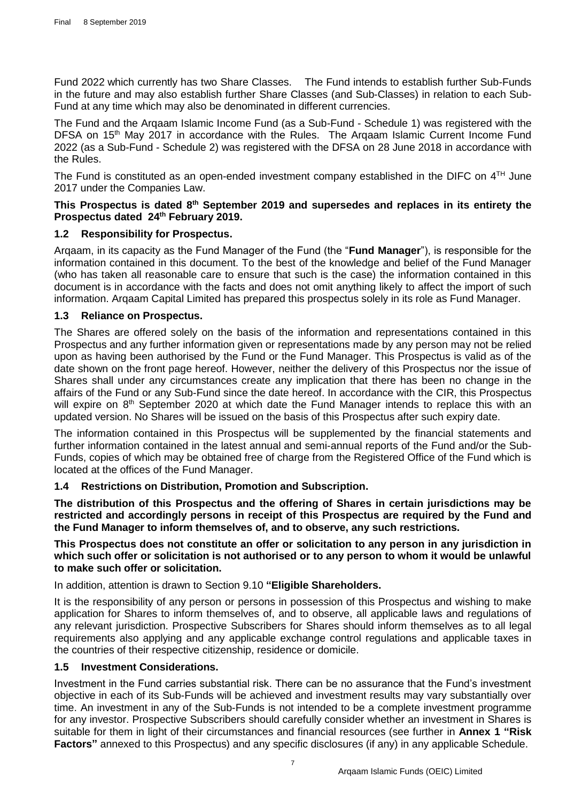Fund 2022 which currently has two Share Classes. The Fund intends to establish further Sub-Funds in the future and may also establish further Share Classes (and Sub-Classes) in relation to each Sub-Fund at any time which may also be denominated in different currencies.

The Fund and the Arqaam Islamic Income Fund (as a Sub-Fund - Schedule 1) was registered with the DFSA on 15<sup>th</sup> May 2017 in accordance with the Rules. The Argaam Islamic Current Income Fund 2022 (as a Sub-Fund - Schedule 2) was registered with the DFSA on 28 June 2018 in accordance with the Rules.

The Fund is constituted as an open-ended investment company established in the DIFC on  $4^{TH}$  June 2017 under the Companies Law.

# This Prospectus is dated 8<sup>th</sup> September 2019 and supersedes and replaces in its entirety the **Prospectus dated 24 th February 2019.**

# <span id="page-7-0"></span>**1.2 Responsibility for Prospectus.**

Arqaam, in its capacity as the Fund Manager of the Fund (the "**Fund Manager**"), is responsible for the information contained in this document. To the best of the knowledge and belief of the Fund Manager (who has taken all reasonable care to ensure that such is the case) the information contained in this document is in accordance with the facts and does not omit anything likely to affect the import of such information. Arqaam Capital Limited has prepared this prospectus solely in its role as Fund Manager.

# <span id="page-7-1"></span>**1.3 Reliance on Prospectus.**

The Shares are offered solely on the basis of the information and representations contained in this Prospectus and any further information given or representations made by any person may not be relied upon as having been authorised by the Fund or the Fund Manager. This Prospectus is valid as of the date shown on the front page hereof. However, neither the delivery of this Prospectus nor the issue of Shares shall under any circumstances create any implication that there has been no change in the affairs of the Fund or any Sub-Fund since the date hereof. In accordance with the CIR, this Prospectus will expire on 8<sup>th</sup> September 2020 at which date the Fund Manager intends to replace this with an updated version. No Shares will be issued on the basis of this Prospectus after such expiry date.

The information contained in this Prospectus will be supplemented by the financial statements and further information contained in the latest annual and semi-annual reports of the Fund and/or the Sub-Funds, copies of which may be obtained free of charge from the Registered Office of the Fund which is located at the offices of the Fund Manager.

# <span id="page-7-2"></span>**1.4 Restrictions on Distribution, Promotion and Subscription.**

**The distribution of this Prospectus and the offering of Shares in certain jurisdictions may be restricted and accordingly persons in receipt of this Prospectus are required by the Fund and the Fund Manager to inform themselves of, and to observe, any such restrictions.**

## **This Prospectus does not constitute an offer or solicitation to any person in any jurisdiction in which such offer or solicitation is not authorised or to any person to whom it would be unlawful to make such offer or solicitation.**

In addition, attention is drawn to Section [9.10](#page-39-0) **["Eligible Shareholders.](#page-39-0)**

It is the responsibility of any person or persons in possession of this Prospectus and wishing to make application for Shares to inform themselves of, and to observe, all applicable laws and regulations of any relevant jurisdiction. Prospective Subscribers for Shares should inform themselves as to all legal requirements also applying and any applicable exchange control regulations and applicable taxes in the countries of their respective citizenship, residence or domicile.

#### <span id="page-7-3"></span>**1.5 Investment Considerations.**

Investment in the Fund carries substantial risk. There can be no assurance that the Fund's investment objective in each of its Sub-Funds will be achieved and investment results may vary substantially over time. An investment in any of the Sub-Funds is not intended to be a complete investment programme for any investor. Prospective Subscribers should carefully consider whether an investment in Shares is suitable for them in light of their circumstances and financial resources (see further in **Annex 1 "Risk Factors"** annexed to this Prospectus) and any specific disclosures (if any) in any applicable Schedule.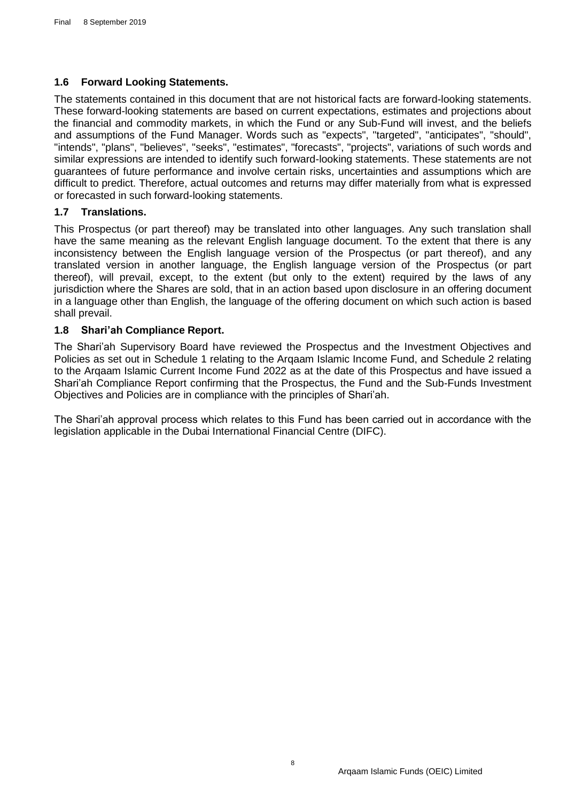# <span id="page-8-0"></span>**1.6 Forward Looking Statements.**

The statements contained in this document that are not historical facts are forward-looking statements. These forward-looking statements are based on current expectations, estimates and projections about the financial and commodity markets, in which the Fund or any Sub-Fund will invest, and the beliefs and assumptions of the Fund Manager. Words such as "expects", "targeted", "anticipates", "should", "intends", "plans", "believes", "seeks", "estimates", "forecasts", "projects", variations of such words and similar expressions are intended to identify such forward-looking statements. These statements are not guarantees of future performance and involve certain risks, uncertainties and assumptions which are difficult to predict. Therefore, actual outcomes and returns may differ materially from what is expressed or forecasted in such forward-looking statements.

# <span id="page-8-1"></span>**1.7 Translations.**

This Prospectus (or part thereof) may be translated into other languages. Any such translation shall have the same meaning as the relevant English language document. To the extent that there is any inconsistency between the English language version of the Prospectus (or part thereof), and any translated version in another language, the English language version of the Prospectus (or part thereof), will prevail, except, to the extent (but only to the extent) required by the laws of any jurisdiction where the Shares are sold, that in an action based upon disclosure in an offering document in a language other than English, the language of the offering document on which such action is based shall prevail.

# <span id="page-8-2"></span>**1.8 Shari'ah Compliance Report.**

The Shari'ah Supervisory Board have reviewed the Prospectus and the Investment Objectives and Policies as set out in Schedule 1 relating to the Arqaam Islamic Income Fund, and Schedule 2 relating to the Arqaam Islamic Current Income Fund 2022 as at the date of this Prospectus and have issued a Shari'ah Compliance Report confirming that the Prospectus, the Fund and the Sub-Funds Investment Objectives and Policies are in compliance with the principles of Shari'ah.

The Shari'ah approval process which relates to this Fund has been carried out in accordance with the legislation applicable in the Dubai International Financial Centre (DIFC).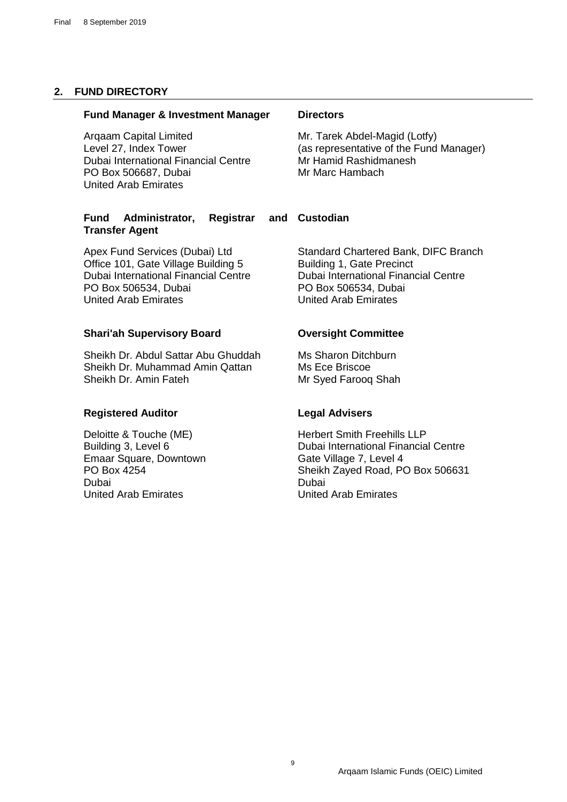# <span id="page-9-0"></span>**2. FUND DIRECTORY**

#### **Fund Manager & Investment Manager Directors**

Arqaam Capital Limited Level 27, Index Tower Dubai International Financial Centre PO Box 506687, Dubai United Arab Emirates

#### **Fund Administrator, Registrar Transfer Agent**

Apex Fund Services (Dubai) Ltd Office 101, Gate Village Building 5 Dubai International Financial Centre PO Box 506534, Dubai United Arab Emirates

## **Shari'ah Supervisory Board Oversight Committee**

Sheikh Dr. Abdul Sattar Abu Ghuddah Sheikh Dr. Muhammad Amin Qattan Sheikh Dr. Amin Fateh

# **Registered Auditor Legal Advisers**

Deloitte & Touche (ME) Building 3, Level 6 Emaar Square, Downtown PO Box 4254 Dubai United Arab Emirates

Mr. Tarek Abdel-Magid (Lotfy) (as representative of the Fund Manager) Mr Hamid Rashidmanesh Mr Marc Hambach

# **Custodian**

Standard Chartered Bank, DIFC Branch Building 1, Gate Precinct Dubai International Financial Centre PO Box 506534, Dubai United Arab Emirates

Ms Sharon Ditchburn Ms Ece Briscoe Mr Syed Farooq Shah

Herbert Smith Freehills LLP Dubai International Financial Centre Gate Village 7, Level 4 Sheikh Zayed Road, PO Box 506631 Dubai United Arab Emirates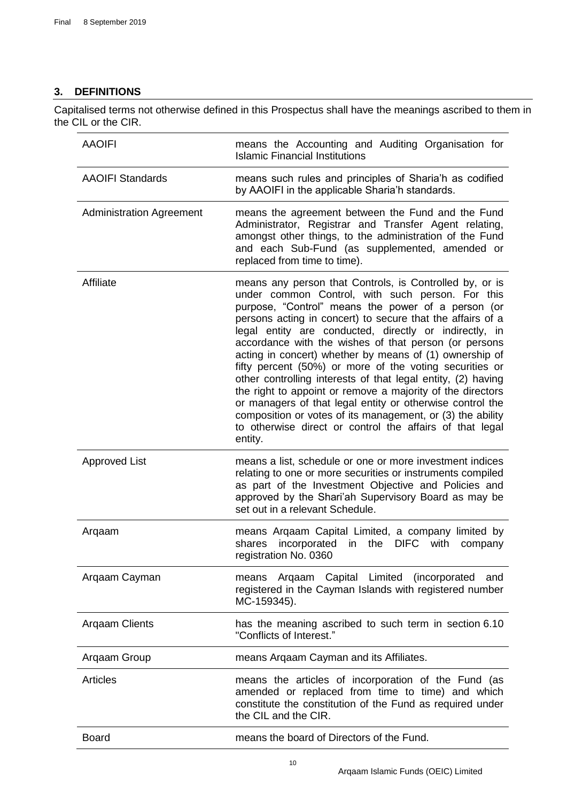# <span id="page-10-0"></span>**3. DEFINITIONS**

Capitalised terms not otherwise defined in this Prospectus shall have the meanings ascribed to them in the CIL or the CIR.

| <b>AAOIFI</b>                   | means the Accounting and Auditing Organisation for<br><b>Islamic Financial Institutions</b>                                                                                                                                                                                                                                                                                                                                                                                                                                                                                                                                                                                                                                                                                                              |
|---------------------------------|----------------------------------------------------------------------------------------------------------------------------------------------------------------------------------------------------------------------------------------------------------------------------------------------------------------------------------------------------------------------------------------------------------------------------------------------------------------------------------------------------------------------------------------------------------------------------------------------------------------------------------------------------------------------------------------------------------------------------------------------------------------------------------------------------------|
| <b>AAOIFI Standards</b>         | means such rules and principles of Sharia'h as codified<br>by AAOIFI in the applicable Sharia'h standards.                                                                                                                                                                                                                                                                                                                                                                                                                                                                                                                                                                                                                                                                                               |
| <b>Administration Agreement</b> | means the agreement between the Fund and the Fund<br>Administrator, Registrar and Transfer Agent relating,<br>amongst other things, to the administration of the Fund<br>and each Sub-Fund (as supplemented, amended or<br>replaced from time to time).                                                                                                                                                                                                                                                                                                                                                                                                                                                                                                                                                  |
| Affiliate                       | means any person that Controls, is Controlled by, or is<br>under common Control, with such person. For this<br>purpose, "Control" means the power of a person (or<br>persons acting in concert) to secure that the affairs of a<br>legal entity are conducted, directly or indirectly, in<br>accordance with the wishes of that person (or persons<br>acting in concert) whether by means of (1) ownership of<br>fifty percent (50%) or more of the voting securities or<br>other controlling interests of that legal entity, (2) having<br>the right to appoint or remove a majority of the directors<br>or managers of that legal entity or otherwise control the<br>composition or votes of its management, or (3) the ability<br>to otherwise direct or control the affairs of that legal<br>entity. |
| <b>Approved List</b>            | means a list, schedule or one or more investment indices<br>relating to one or more securities or instruments compiled<br>as part of the Investment Objective and Policies and<br>approved by the Shari'ah Supervisory Board as may be<br>set out in a relevant Schedule.                                                                                                                                                                                                                                                                                                                                                                                                                                                                                                                                |
| Argaam                          | means Arqaam Capital Limited, a company limited by<br>incorporated<br>the<br><b>DIFC</b><br>with<br>shares<br>in<br>company<br>registration No. 0360                                                                                                                                                                                                                                                                                                                                                                                                                                                                                                                                                                                                                                                     |
| Argaam Cayman                   | means Argaam Capital Limited (incorporated<br>and<br>registered in the Cayman Islands with registered number<br>MC-159345).                                                                                                                                                                                                                                                                                                                                                                                                                                                                                                                                                                                                                                                                              |
| <b>Argaam Clients</b>           | has the meaning ascribed to such term in section 6.10<br>"Conflicts of Interest."                                                                                                                                                                                                                                                                                                                                                                                                                                                                                                                                                                                                                                                                                                                        |
| Argaam Group                    | means Argaam Cayman and its Affiliates.                                                                                                                                                                                                                                                                                                                                                                                                                                                                                                                                                                                                                                                                                                                                                                  |
| <b>Articles</b>                 | means the articles of incorporation of the Fund (as<br>amended or replaced from time to time) and which<br>constitute the constitution of the Fund as required under<br>the CIL and the CIR.                                                                                                                                                                                                                                                                                                                                                                                                                                                                                                                                                                                                             |
| <b>Board</b>                    | means the board of Directors of the Fund.                                                                                                                                                                                                                                                                                                                                                                                                                                                                                                                                                                                                                                                                                                                                                                |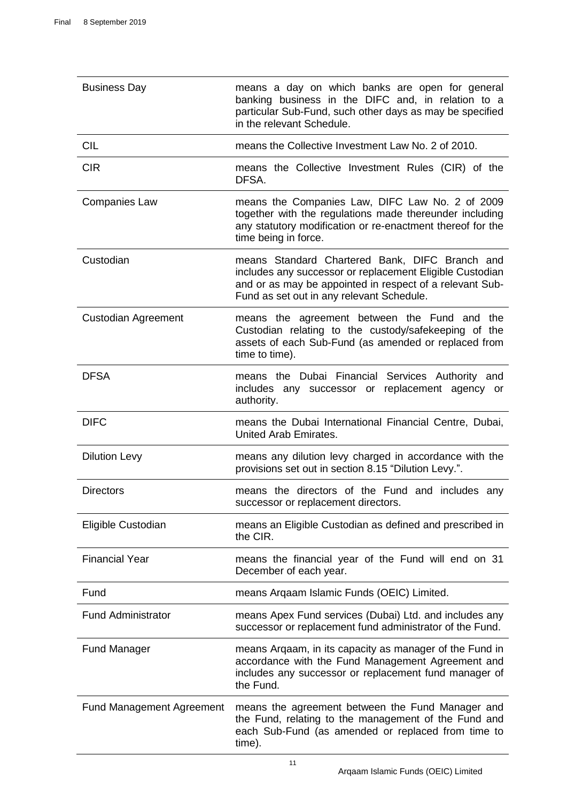| <b>Business Day</b>              | means a day on which banks are open for general<br>banking business in the DIFC and, in relation to a<br>particular Sub-Fund, such other days as may be specified<br>in the relevant Schedule.                      |
|----------------------------------|---------------------------------------------------------------------------------------------------------------------------------------------------------------------------------------------------------------------|
| <b>CIL</b>                       | means the Collective Investment Law No. 2 of 2010.                                                                                                                                                                  |
| <b>CIR</b>                       | means the Collective Investment Rules (CIR) of the<br>DFSA.                                                                                                                                                         |
| <b>Companies Law</b>             | means the Companies Law, DIFC Law No. 2 of 2009<br>together with the regulations made thereunder including<br>any statutory modification or re-enactment thereof for the<br>time being in force.                    |
| Custodian                        | means Standard Chartered Bank, DIFC Branch and<br>includes any successor or replacement Eligible Custodian<br>and or as may be appointed in respect of a relevant Sub-<br>Fund as set out in any relevant Schedule. |
| <b>Custodian Agreement</b>       | means the agreement between the Fund and the<br>Custodian relating to the custody/safekeeping of the<br>assets of each Sub-Fund (as amended or replaced from<br>time to time).                                      |
| <b>DFSA</b>                      | means the Dubai Financial Services Authority and<br>includes any successor or replacement agency or<br>authority.                                                                                                   |
| <b>DIFC</b>                      | means the Dubai International Financial Centre, Dubai,<br>United Arab Emirates.                                                                                                                                     |
| <b>Dilution Levy</b>             | means any dilution levy charged in accordance with the<br>provisions set out in section 8.15 "Dilution Levy.".                                                                                                      |
| <b>Directors</b>                 | means the directors of the Fund and includes any<br>successor or replacement directors.                                                                                                                             |
| Eligible Custodian               | means an Eligible Custodian as defined and prescribed in<br>the CIR.                                                                                                                                                |
| <b>Financial Year</b>            | means the financial year of the Fund will end on 31<br>December of each year.                                                                                                                                       |
| Fund                             | means Argaam Islamic Funds (OEIC) Limited.                                                                                                                                                                          |
| <b>Fund Administrator</b>        | means Apex Fund services (Dubai) Ltd. and includes any<br>successor or replacement fund administrator of the Fund.                                                                                                  |
| <b>Fund Manager</b>              | means Argaam, in its capacity as manager of the Fund in<br>accordance with the Fund Management Agreement and<br>includes any successor or replacement fund manager of<br>the Fund.                                  |
| <b>Fund Management Agreement</b> | means the agreement between the Fund Manager and<br>the Fund, relating to the management of the Fund and<br>each Sub-Fund (as amended or replaced from time to<br>time).                                            |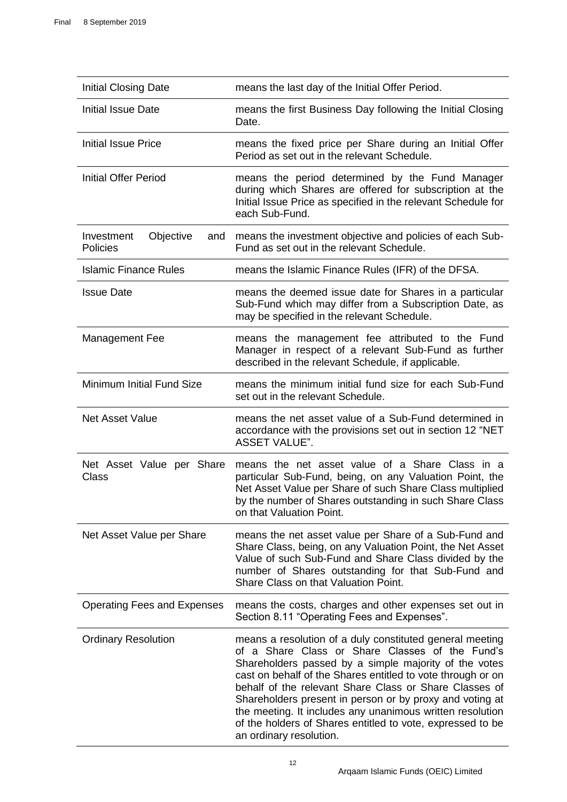| Initial Closing Date                       | means the last day of the Initial Offer Period.                                                                                                                                                                                                                           |
|--------------------------------------------|---------------------------------------------------------------------------------------------------------------------------------------------------------------------------------------------------------------------------------------------------------------------------|
| Initial Issue Date                         | means the first Business Day following the Initial Closing<br>Date.                                                                                                                                                                                                       |
| <b>Initial Issue Price</b>                 | means the fixed price per Share during an Initial Offer<br>Period as set out in the relevant Schedule.                                                                                                                                                                    |
| <b>Initial Offer Period</b>                | means the period determined by the Fund Manager<br>during which Shares are offered for subscription at the<br>Initial Issue Price as specified in the relevant Schedule for<br>each Sub-Fund.                                                                             |
| Objective<br>Investment<br>and<br>Policies | means the investment objective and policies of each Sub-<br>Fund as set out in the relevant Schedule.                                                                                                                                                                     |
| <b>Islamic Finance Rules</b>               | means the Islamic Finance Rules (IFR) of the DFSA.                                                                                                                                                                                                                        |
| <b>Issue Date</b>                          | means the deemed issue date for Shares in a particular<br>Sub-Fund which may differ from a Subscription Date, as<br>may be specified in the relevant Schedule.                                                                                                            |
| <b>Management Fee</b>                      | means the management fee attributed to the Fund<br>Manager in respect of a relevant Sub-Fund as further<br>described in the relevant Schedule, if applicable.                                                                                                             |
| Minimum Initial Fund Size                  | means the minimum initial fund size for each Sub-Fund<br>set out in the relevant Schedule.                                                                                                                                                                                |
| <b>Net Asset Value</b>                     | means the net asset value of a Sub-Fund determined in<br>accordance with the provisions set out in section 12 "NET<br><b>ASSET VALUE".</b>                                                                                                                                |
|                                            |                                                                                                                                                                                                                                                                           |
| Net Asset Value per Share<br>Class         | means the net asset value of a Share Class in a<br>particular Sub-Fund, being, on any Valuation Point, the<br>Net Asset Value per Share of such Share Class multiplied<br>by the number of Shares outstanding in such Share Class<br>on that Valuation Point.             |
| Net Asset Value per Share                  | means the net asset value per Share of a Sub-Fund and<br>Share Class, being, on any Valuation Point, the Net Asset<br>Value of such Sub-Fund and Share Class divided by the<br>number of Shares outstanding for that Sub-Fund and<br>Share Class on that Valuation Point. |
| <b>Operating Fees and Expenses</b>         | means the costs, charges and other expenses set out in<br>Section 8.11 "Operating Fees and Expenses".                                                                                                                                                                     |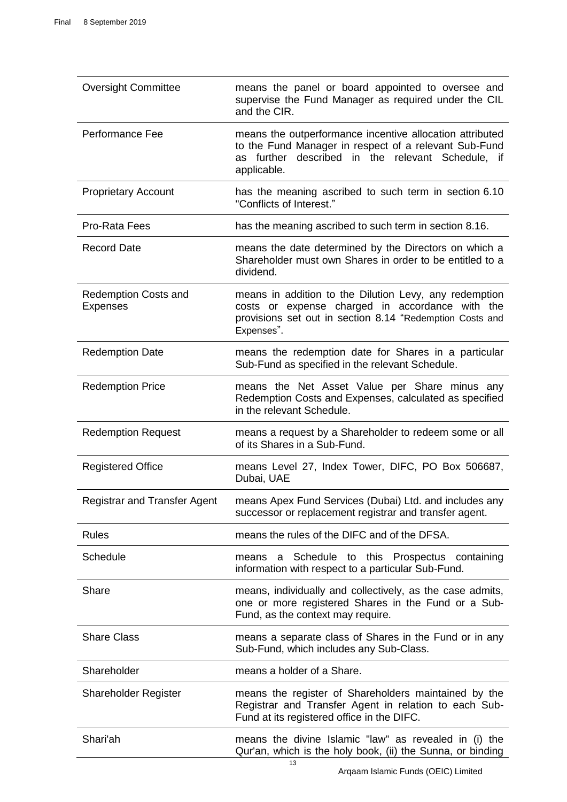| <b>Oversight Committee</b>                     | means the panel or board appointed to oversee and<br>supervise the Fund Manager as required under the CIL<br>and the CIR.                                                             |
|------------------------------------------------|---------------------------------------------------------------------------------------------------------------------------------------------------------------------------------------|
| Performance Fee                                | means the outperformance incentive allocation attributed<br>to the Fund Manager in respect of a relevant Sub-Fund<br>as further described in the relevant Schedule, if<br>applicable. |
| <b>Proprietary Account</b>                     | has the meaning ascribed to such term in section 6.10<br>"Conflicts of Interest."                                                                                                     |
| Pro-Rata Fees                                  | has the meaning ascribed to such term in section 8.16.                                                                                                                                |
| <b>Record Date</b>                             | means the date determined by the Directors on which a<br>Shareholder must own Shares in order to be entitled to a<br>dividend.                                                        |
| <b>Redemption Costs and</b><br><b>Expenses</b> | means in addition to the Dilution Levy, any redemption<br>costs or expense charged in accordance with the<br>provisions set out in section 8.14 "Redemption Costs and<br>Expenses".   |
| <b>Redemption Date</b>                         | means the redemption date for Shares in a particular<br>Sub-Fund as specified in the relevant Schedule.                                                                               |
| <b>Redemption Price</b>                        | means the Net Asset Value per Share minus any<br>Redemption Costs and Expenses, calculated as specified<br>in the relevant Schedule.                                                  |
| <b>Redemption Request</b>                      | means a request by a Shareholder to redeem some or all<br>of its Shares in a Sub-Fund.                                                                                                |
| <b>Registered Office</b>                       | means Level 27, Index Tower, DIFC, PO Box 506687,<br>Dubai, UAE                                                                                                                       |
| <b>Registrar and Transfer Agent</b>            | means Apex Fund Services (Dubai) Ltd. and includes any<br>successor or replacement registrar and transfer agent.                                                                      |
| <b>Rules</b>                                   | means the rules of the DIFC and of the DFSA.                                                                                                                                          |
| Schedule                                       | a Schedule to this Prospectus containing<br>means<br>information with respect to a particular Sub-Fund.                                                                               |
| Share                                          | means, individually and collectively, as the case admits,<br>one or more registered Shares in the Fund or a Sub-<br>Fund, as the context may require.                                 |
| <b>Share Class</b>                             | means a separate class of Shares in the Fund or in any<br>Sub-Fund, which includes any Sub-Class.                                                                                     |
| Shareholder                                    | means a holder of a Share.                                                                                                                                                            |
| <b>Shareholder Register</b>                    | means the register of Shareholders maintained by the<br>Registrar and Transfer Agent in relation to each Sub-<br>Fund at its registered office in the DIFC.                           |
| Shari'ah                                       | means the divine Islamic "law" as revealed in (i) the<br>Qur'an, which is the holy book, (ii) the Sunna, or binding<br>13                                                             |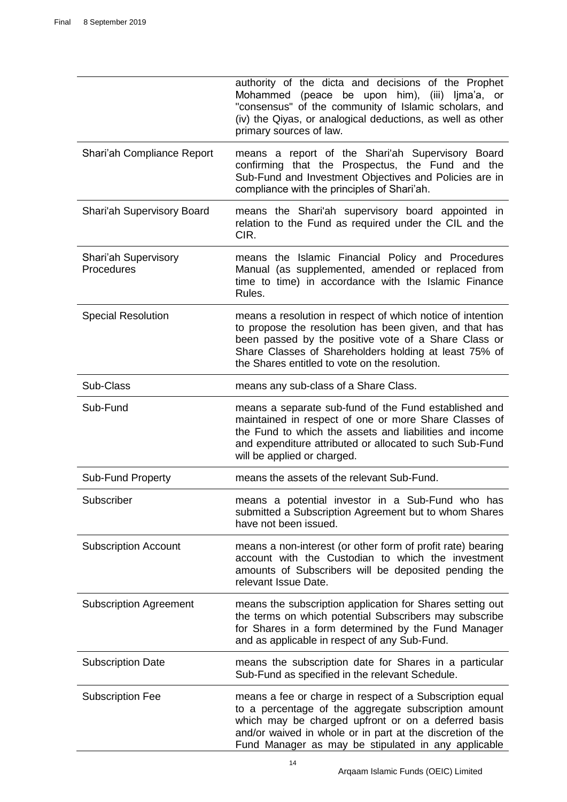|                                           | authority of the dicta and decisions of the Prophet<br>Mohammed (peace be upon him), (iii) ljma'a, or<br>"consensus" of the community of Islamic scholars, and<br>(iv) the Qiyas, or analogical deductions, as well as other<br>primary sources of law.                                      |
|-------------------------------------------|----------------------------------------------------------------------------------------------------------------------------------------------------------------------------------------------------------------------------------------------------------------------------------------------|
| Shari'ah Compliance Report                | means a report of the Shari'ah Supervisory Board<br>confirming that the Prospectus, the Fund and the<br>Sub-Fund and Investment Objectives and Policies are in<br>compliance with the principles of Shari'ah.                                                                                |
| <b>Shari'ah Supervisory Board</b>         | means the Shari'ah supervisory board appointed in<br>relation to the Fund as required under the CIL and the<br>CIR.                                                                                                                                                                          |
| <b>Shari'ah Supervisory</b><br>Procedures | means the Islamic Financial Policy and Procedures<br>Manual (as supplemented, amended or replaced from<br>time to time) in accordance with the Islamic Finance<br>Rules.                                                                                                                     |
| <b>Special Resolution</b>                 | means a resolution in respect of which notice of intention<br>to propose the resolution has been given, and that has<br>been passed by the positive vote of a Share Class or<br>Share Classes of Shareholders holding at least 75% of<br>the Shares entitled to vote on the resolution.      |
| Sub-Class                                 | means any sub-class of a Share Class.                                                                                                                                                                                                                                                        |
| Sub-Fund                                  | means a separate sub-fund of the Fund established and<br>maintained in respect of one or more Share Classes of<br>the Fund to which the assets and liabilities and income<br>and expenditure attributed or allocated to such Sub-Fund<br>will be applied or charged.                         |
| <b>Sub-Fund Property</b>                  | means the assets of the relevant Sub-Fund.                                                                                                                                                                                                                                                   |
| Subscriber                                | means a potential investor in a Sub-Fund who has<br>submitted a Subscription Agreement but to whom Shares<br>have not been issued.                                                                                                                                                           |
| <b>Subscription Account</b>               | means a non-interest (or other form of profit rate) bearing<br>account with the Custodian to which the investment<br>amounts of Subscribers will be deposited pending the<br>relevant Issue Date.                                                                                            |
| <b>Subscription Agreement</b>             | means the subscription application for Shares setting out<br>the terms on which potential Subscribers may subscribe<br>for Shares in a form determined by the Fund Manager<br>and as applicable in respect of any Sub-Fund.                                                                  |
| <b>Subscription Date</b>                  | means the subscription date for Shares in a particular<br>Sub-Fund as specified in the relevant Schedule.                                                                                                                                                                                    |
| <b>Subscription Fee</b>                   | means a fee or charge in respect of a Subscription equal<br>to a percentage of the aggregate subscription amount<br>which may be charged upfront or on a deferred basis<br>and/or waived in whole or in part at the discretion of the<br>Fund Manager as may be stipulated in any applicable |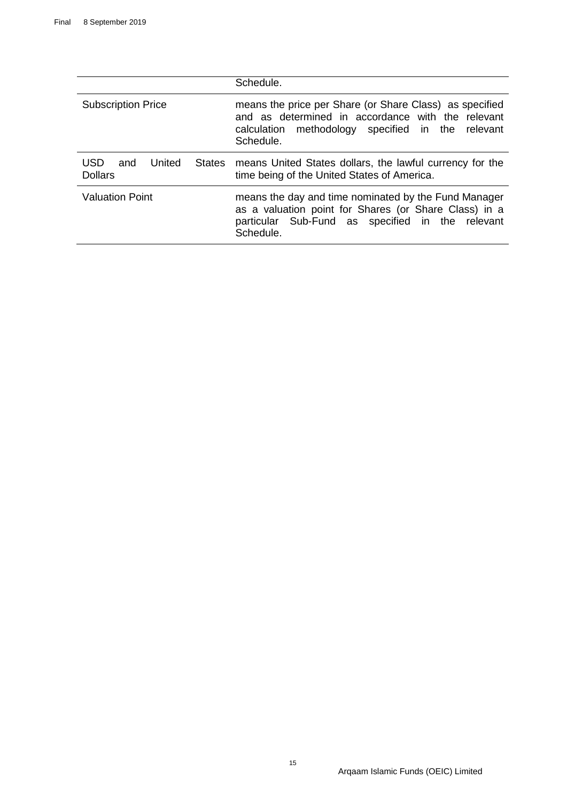|                                                         | Schedule.                                                                                                                                                                      |
|---------------------------------------------------------|--------------------------------------------------------------------------------------------------------------------------------------------------------------------------------|
| <b>Subscription Price</b>                               | means the price per Share (or Share Class) as specified<br>and as determined in accordance with the relevant<br>calculation methodology specified in the relevant<br>Schedule. |
| USD<br><b>States</b><br>United<br>and<br><b>Dollars</b> | means United States dollars, the lawful currency for the<br>time being of the United States of America.                                                                        |
| <b>Valuation Point</b>                                  | means the day and time nominated by the Fund Manager<br>as a valuation point for Shares (or Share Class) in a<br>particular Sub-Fund as specified in the relevant<br>Schedule. |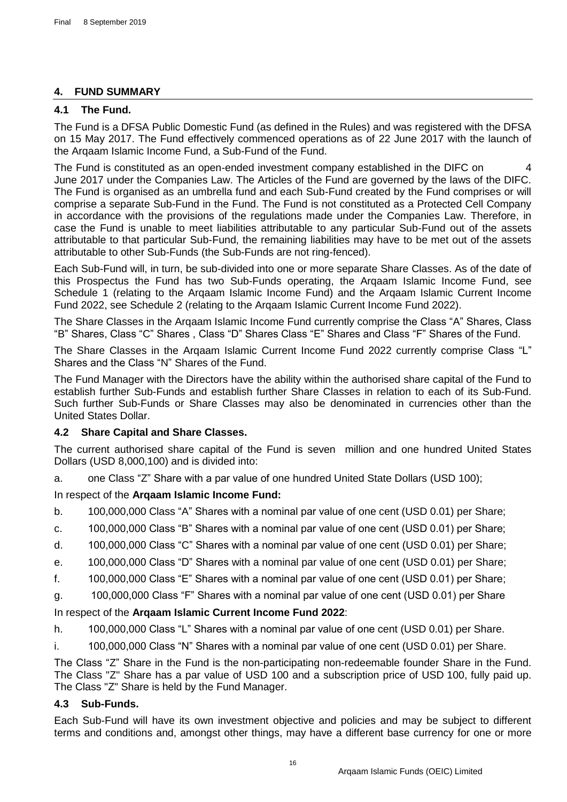# <span id="page-16-0"></span>**4. FUND SUMMARY**

# <span id="page-16-1"></span>**4.1 The Fund.**

The Fund is a DFSA Public Domestic Fund (as defined in the Rules) and was registered with the DFSA on 15 May 2017. The Fund effectively commenced operations as of 22 June 2017 with the launch of the Arqaam Islamic Income Fund, a Sub-Fund of the Fund.

The Fund is constituted as an open-ended investment company established in the DIFC on 4 June 2017 under the Companies Law. The Articles of the Fund are governed by the laws of the DIFC. The Fund is organised as an umbrella fund and each Sub-Fund created by the Fund comprises or will comprise a separate Sub-Fund in the Fund. The Fund is not constituted as a Protected Cell Company in accordance with the provisions of the regulations made under the Companies Law. Therefore, in case the Fund is unable to meet liabilities attributable to any particular Sub-Fund out of the assets attributable to that particular Sub-Fund, the remaining liabilities may have to be met out of the assets attributable to other Sub-Funds (the Sub-Funds are not ring-fenced).

Each Sub-Fund will, in turn, be sub-divided into one or more separate Share Classes. As of the date of this Prospectus the Fund has two Sub-Funds operating, the Arqaam Islamic Income Fund, see Schedule 1 (relating to the Arqaam Islamic Income Fund) and the Arqaam Islamic Current Income Fund 2022, see Schedule 2 (relating to the Arqaam Islamic Current Income Fund 2022).

The Share Classes in the Arqaam Islamic Income Fund currently comprise the Class "A" Shares, Class "B" Shares, Class "C" Shares , Class "D" Shares Class "E" Shares and Class "F" Shares of the Fund.

The Share Classes in the Arqaam Islamic Current Income Fund 2022 currently comprise Class "L" Shares and the Class "N" Shares of the Fund.

The Fund Manager with the Directors have the ability within the authorised share capital of the Fund to establish further Sub-Funds and establish further Share Classes in relation to each of its Sub-Fund. Such further Sub-Funds or Share Classes may also be denominated in currencies other than the United States Dollar.

# <span id="page-16-2"></span>**4.2 Share Capital and Share Classes.**

The current authorised share capital of the Fund is seven million and one hundred United States Dollars (USD 8,000,100) and is divided into:

a. one Class "Z" Share with a par value of one hundred United State Dollars (USD 100);

# In respect of the **Arqaam Islamic Income Fund:**

- b. 100,000,000 Class "A" Shares with a nominal par value of one cent (USD 0.01) per Share;
- c. 100,000,000 Class "B" Shares with a nominal par value of one cent (USD 0.01) per Share;
- d. 100,000,000 Class "C" Shares with a nominal par value of one cent (USD 0.01) per Share;
- e. 100,000,000 Class "D" Shares with a nominal par value of one cent (USD 0.01) per Share;
- f. 100,000,000 Class "E" Shares with a nominal par value of one cent (USD 0.01) per Share;
- g. 100,000,000 Class "F" Shares with a nominal par value of one cent (USD 0.01) per Share

# In respect of the **Arqaam Islamic Current Income Fund 2022**:

- h. 100,000,000 Class "L" Shares with a nominal par value of one cent (USD 0.01) per Share.
- i. 100,000,000 Class "N" Shares with a nominal par value of one cent (USD 0.01) per Share.

The Class "Z" Share in the Fund is the non-participating non-redeemable founder Share in the Fund. The Class "Z" Share has a par value of USD 100 and a subscription price of USD 100, fully paid up. The Class "Z" Share is held by the Fund Manager.

# <span id="page-16-3"></span>**4.3 Sub-Funds.**

Each Sub-Fund will have its own investment objective and policies and may be subject to different terms and conditions and, amongst other things, may have a different base currency for one or more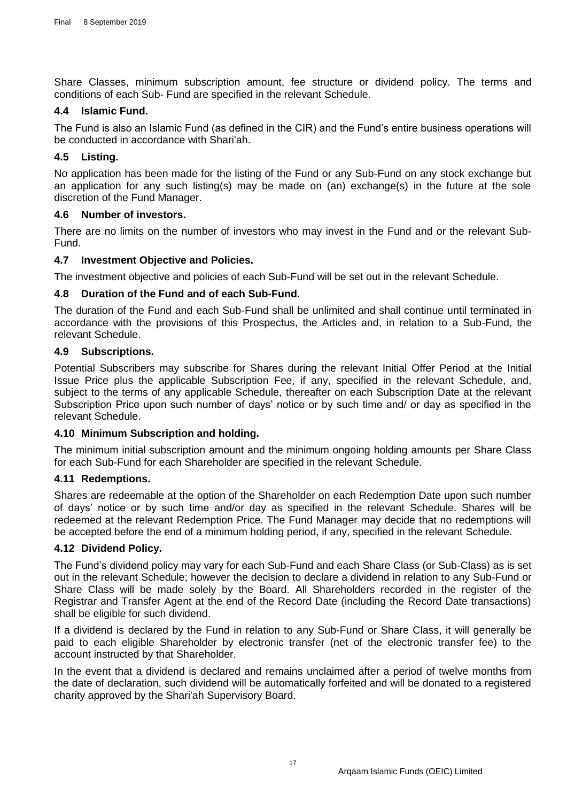Share Classes, minimum subscription amount, fee structure or dividend policy. The terms and conditions of each Sub- Fund are specified in the relevant Schedule.

#### <span id="page-17-0"></span>**4.4 Islamic Fund.**

The Fund is also an Islamic Fund (as defined in the CIR) and the Fund's entire business operations will be conducted in accordance with Shari'ah.

# <span id="page-17-1"></span>**4.5 Listing.**

No application has been made for the listing of the Fund or any Sub-Fund on any stock exchange but an application for any such listing(s) may be made on (an) exchange(s) in the future at the sole discretion of the Fund Manager.

## <span id="page-17-2"></span>**4.6 Number of investors.**

There are no limits on the number of investors who may invest in the Fund and or the relevant Sub-Fund.

## <span id="page-17-3"></span>**4.7 Investment Objective and Policies.**

The investment objective and policies of each Sub-Fund will be set out in the relevant Schedule.

## <span id="page-17-4"></span>**4.8 Duration of the Fund and of each Sub-Fund.**

The duration of the Fund and each Sub-Fund shall be unlimited and shall continue until terminated in accordance with the provisions of this Prospectus, the Articles and, in relation to a Sub-Fund, the relevant Schedule.

## <span id="page-17-5"></span>**4.9 Subscriptions.**

Potential Subscribers may subscribe for Shares during the relevant Initial Offer Period at the Initial Issue Price plus the applicable Subscription Fee, if any, specified in the relevant Schedule, and, subject to the terms of any applicable Schedule, thereafter on each Subscription Date at the relevant Subscription Price upon such number of days' notice or by such time and/ or day as specified in the relevant Schedule.

#### <span id="page-17-6"></span>**4.10 Minimum Subscription and holding.**

The minimum initial subscription amount and the minimum ongoing holding amounts per Share Class for each Sub-Fund for each Shareholder are specified in the relevant Schedule.

#### <span id="page-17-7"></span>**4.11 Redemptions.**

Shares are redeemable at the option of the Shareholder on each Redemption Date upon such number of days' notice or by such time and/or day as specified in the relevant Schedule. Shares will be redeemed at the relevant Redemption Price. The Fund Manager may decide that no redemptions will be accepted before the end of a minimum holding period, if any, specified in the relevant Schedule.

## <span id="page-17-8"></span>**4.12 Dividend Policy.**

The Fund's dividend policy may vary for each Sub-Fund and each Share Class (or Sub-Class) as is set out in the relevant Schedule; however the decision to declare a dividend in relation to any Sub-Fund or Share Class will be made solely by the Board. All Shareholders recorded in the register of the Registrar and Transfer Agent at the end of the Record Date (including the Record Date transactions) shall be eligible for such dividend.

If a dividend is declared by the Fund in relation to any Sub-Fund or Share Class, it will generally be paid to each eligible Shareholder by electronic transfer (net of the electronic transfer fee) to the account instructed by that Shareholder.

In the event that a dividend is declared and remains unclaimed after a period of twelve months from the date of declaration, such dividend will be automatically forfeited and will be donated to a registered charity approved by the Shari'ah Supervisory Board.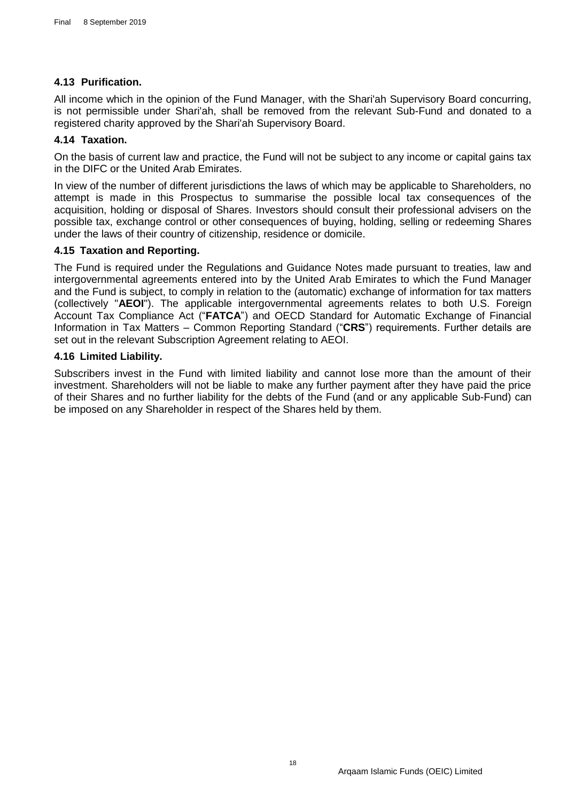# <span id="page-18-0"></span>**4.13 Purification.**

All income which in the opinion of the Fund Manager, with the Shari'ah Supervisory Board concurring, is not permissible under Shari'ah, shall be removed from the relevant Sub-Fund and donated to a registered charity approved by the Shari'ah Supervisory Board.

# <span id="page-18-1"></span>**4.14 Taxation.**

On the basis of current law and practice, the Fund will not be subject to any income or capital gains tax in the DIFC or the United Arab Emirates.

In view of the number of different jurisdictions the laws of which may be applicable to Shareholders, no attempt is made in this Prospectus to summarise the possible local tax consequences of the acquisition, holding or disposal of Shares. Investors should consult their professional advisers on the possible tax, exchange control or other consequences of buying, holding, selling or redeeming Shares under the laws of their country of citizenship, residence or domicile.

# <span id="page-18-2"></span>**4.15 Taxation and Reporting.**

The Fund is required under the Regulations and Guidance Notes made pursuant to treaties, law and intergovernmental agreements entered into by the United Arab Emirates to which the Fund Manager and the Fund is subject, to comply in relation to the (automatic) exchange of information for tax matters (collectively "**AEOI**"). The applicable intergovernmental agreements relates to both U.S. Foreign Account Tax Compliance Act ("**FATCA**") and OECD Standard for Automatic Exchange of Financial Information in Tax Matters – Common Reporting Standard ("**CRS**") requirements. Further details are set out in the relevant Subscription Agreement relating to AEOI.

## <span id="page-18-3"></span>**4.16 Limited Liability.**

Subscribers invest in the Fund with limited liability and cannot lose more than the amount of their investment. Shareholders will not be liable to make any further payment after they have paid the price of their Shares and no further liability for the debts of the Fund (and or any applicable Sub-Fund) can be imposed on any Shareholder in respect of the Shares held by them.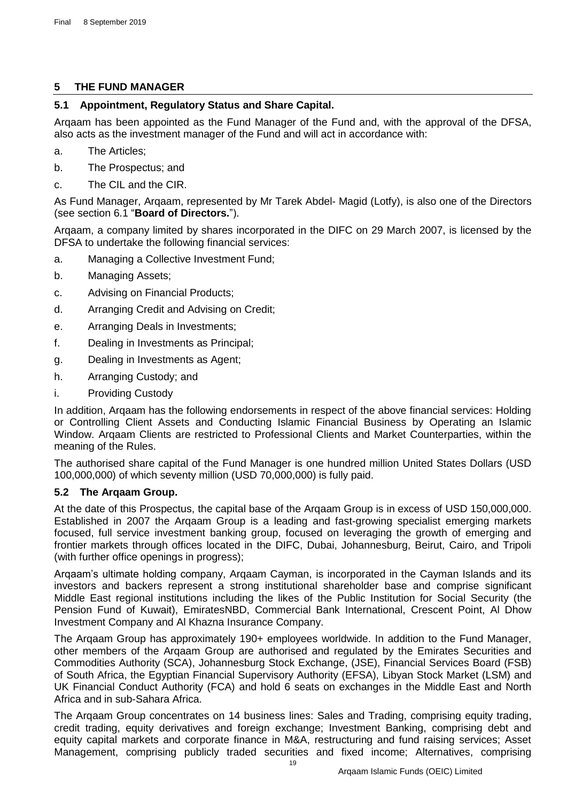# <span id="page-19-0"></span>**5 THE FUND MANAGER**

# <span id="page-19-1"></span>**5.1 Appointment, Regulatory Status and Share Capital.**

Arqaam has been appointed as the Fund Manager of the Fund and, with the approval of the DFSA, also acts as the investment manager of the Fund and will act in accordance with:

- a. The Articles;
- b. The Prospectus; and
- c. The CIL and the CIR.

As Fund Manager, Arqaam, represented by Mr Tarek Abdel- Magid (Lotfy), is also one of the Directors (see section [6.1](#page-22-1) "**[Board of Directors.](#page-22-1)**").

Arqaam, a company limited by shares incorporated in the DIFC on 29 March 2007, is licensed by the DFSA to undertake the following financial services:

- a. Managing a Collective Investment Fund;
- b. Managing Assets;
- c. Advising on Financial Products;
- d. Arranging Credit and Advising on Credit;
- e. Arranging Deals in Investments;
- f. Dealing in Investments as Principal;
- g. Dealing in Investments as Agent;
- h. Arranging Custody; and
- i. Providing Custody

In addition, Arqaam has the following endorsements in respect of the above financial services: Holding or Controlling Client Assets and Conducting Islamic Financial Business by Operating an Islamic Window. Arqaam Clients are restricted to Professional Clients and Market Counterparties, within the meaning of the Rules.

The authorised share capital of the Fund Manager is one hundred million United States Dollars (USD 100,000,000) of which seventy million (USD 70,000,000) is fully paid.

# <span id="page-19-2"></span>**5.2 The Arqaam Group.**

At the date of this Prospectus, the capital base of the Arqaam Group is in excess of USD 150,000,000. Established in 2007 the Arqaam Group is a leading and fast-growing specialist emerging markets focused, full service investment banking group, focused on leveraging the growth of emerging and frontier markets through offices located in the DIFC, Dubai, Johannesburg, Beirut, Cairo, and Tripoli (with further office openings in progress);

Arqaam's ultimate holding company, Arqaam Cayman, is incorporated in the Cayman Islands and its investors and backers represent a strong institutional shareholder base and comprise significant Middle East regional institutions including the likes of the Public Institution for Social Security (the Pension Fund of Kuwait), EmiratesNBD, Commercial Bank International, Crescent Point, Al Dhow Investment Company and Al Khazna Insurance Company.

The Arqaam Group has approximately 190+ employees worldwide. In addition to the Fund Manager, other members of the Arqaam Group are authorised and regulated by the Emirates Securities and Commodities Authority (SCA), Johannesburg Stock Exchange, (JSE), Financial Services Board (FSB) of South Africa, the Egyptian Financial Supervisory Authority (EFSA), Libyan Stock Market (LSM) and UK Financial Conduct Authority (FCA) and hold 6 seats on exchanges in the Middle East and North Africa and in sub-Sahara Africa.

The Arqaam Group concentrates on 14 business lines: Sales and Trading, comprising equity trading, credit trading, equity derivatives and foreign exchange; Investment Banking, comprising debt and equity capital markets and corporate finance in M&A, restructuring and fund raising services; Asset Management, comprising publicly traded securities and fixed income; Alternatives, comprising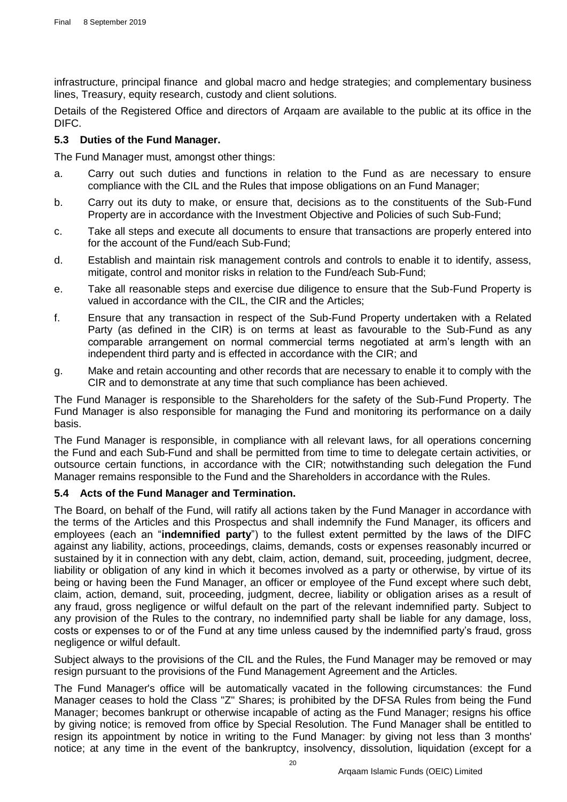infrastructure, principal finance and global macro and hedge strategies; and complementary business lines, Treasury, equity research, custody and client solutions.

Details of the Registered Office and directors of Arqaam are available to the public at its office in the DIFC.

## <span id="page-20-0"></span>**5.3 Duties of the Fund Manager.**

The Fund Manager must, amongst other things:

- a. Carry out such duties and functions in relation to the Fund as are necessary to ensure compliance with the CIL and the Rules that impose obligations on an Fund Manager;
- b. Carry out its duty to make, or ensure that, decisions as to the constituents of the Sub-Fund Property are in accordance with the Investment Objective and Policies of such Sub-Fund;
- c. Take all steps and execute all documents to ensure that transactions are properly entered into for the account of the Fund/each Sub-Fund;
- d. Establish and maintain risk management controls and controls to enable it to identify, assess, mitigate, control and monitor risks in relation to the Fund/each Sub-Fund;
- e. Take all reasonable steps and exercise due diligence to ensure that the Sub-Fund Property is valued in accordance with the CIL, the CIR and the Articles;
- f. Ensure that any transaction in respect of the Sub-Fund Property undertaken with a Related Party (as defined in the CIR) is on terms at least as favourable to the Sub-Fund as any comparable arrangement on normal commercial terms negotiated at arm's length with an independent third party and is effected in accordance with the CIR; and
- g. Make and retain accounting and other records that are necessary to enable it to comply with the CIR and to demonstrate at any time that such compliance has been achieved.

The Fund Manager is responsible to the Shareholders for the safety of the Sub-Fund Property. The Fund Manager is also responsible for managing the Fund and monitoring its performance on a daily basis.

The Fund Manager is responsible, in compliance with all relevant laws, for all operations concerning the Fund and each Sub-Fund and shall be permitted from time to time to delegate certain activities, or outsource certain functions, in accordance with the CIR; notwithstanding such delegation the Fund Manager remains responsible to the Fund and the Shareholders in accordance with the Rules.

# <span id="page-20-1"></span>**5.4 Acts of the Fund Manager and Termination.**

The Board, on behalf of the Fund, will ratify all actions taken by the Fund Manager in accordance with the terms of the Articles and this Prospectus and shall indemnify the Fund Manager, its officers and employees (each an "**indemnified party**") to the fullest extent permitted by the laws of the DIFC against any liability, actions, proceedings, claims, demands, costs or expenses reasonably incurred or sustained by it in connection with any debt, claim, action, demand, suit, proceeding, judgment, decree, liability or obligation of any kind in which it becomes involved as a party or otherwise, by virtue of its being or having been the Fund Manager, an officer or employee of the Fund except where such debt, claim, action, demand, suit, proceeding, judgment, decree, liability or obligation arises as a result of any fraud, gross negligence or wilful default on the part of the relevant indemnified party. Subject to any provision of the Rules to the contrary, no indemnified party shall be liable for any damage, loss, costs or expenses to or of the Fund at any time unless caused by the indemnified party's fraud, gross negligence or wilful default.

Subject always to the provisions of the CIL and the Rules, the Fund Manager may be removed or may resign pursuant to the provisions of the Fund Management Agreement and the Articles.

The Fund Manager's office will be automatically vacated in the following circumstances: the Fund Manager ceases to hold the Class "Z" Shares; is prohibited by the DFSA Rules from being the Fund Manager; becomes bankrupt or otherwise incapable of acting as the Fund Manager; resigns his office by giving notice; is removed from office by Special Resolution. The Fund Manager shall be entitled to resign its appointment by notice in writing to the Fund Manager: by giving not less than 3 months' notice; at any time in the event of the bankruptcy, insolvency, dissolution, liquidation (except for a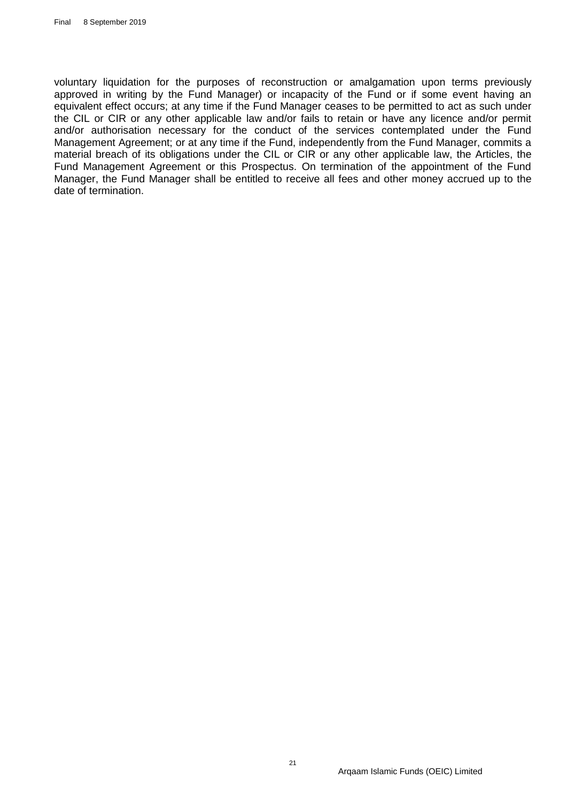voluntary liquidation for the purposes of reconstruction or amalgamation upon terms previously approved in writing by the Fund Manager) or incapacity of the Fund or if some event having an equivalent effect occurs; at any time if the Fund Manager ceases to be permitted to act as such under the CIL or CIR or any other applicable law and/or fails to retain or have any licence and/or permit and/or authorisation necessary for the conduct of the services contemplated under the Fund Management Agreement; or at any time if the Fund, independently from the Fund Manager, commits a material breach of its obligations under the CIL or CIR or any other applicable law, the Articles, the Fund Management Agreement or this Prospectus. On termination of the appointment of the Fund Manager, the Fund Manager shall be entitled to receive all fees and other money accrued up to the date of termination.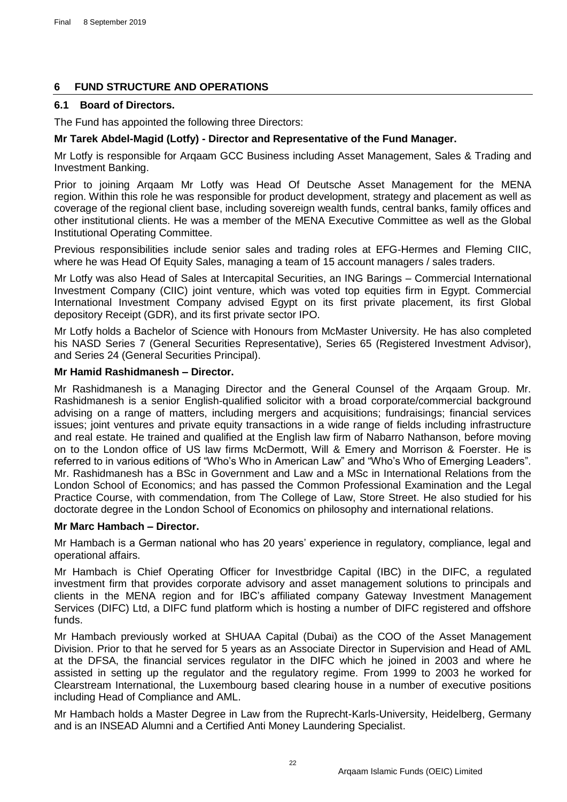# <span id="page-22-0"></span>**6 FUND STRUCTURE AND OPERATIONS**

# <span id="page-22-1"></span>**6.1 Board of Directors.**

The Fund has appointed the following three Directors:

# **Mr Tarek Abdel-Magid (Lotfy) - Director and Representative of the Fund Manager.**

Mr Lotfy is responsible for Arqaam GCC Business including Asset Management, Sales & Trading and Investment Banking.

Prior to joining Arqaam Mr Lotfy was Head Of Deutsche Asset Management for the MENA region. Within this role he was responsible for product development, strategy and placement as well as coverage of the regional client base, including sovereign wealth funds, central banks, family offices and other institutional clients. He was a member of the MENA Executive Committee as well as the Global Institutional Operating Committee.

Previous responsibilities include senior sales and trading roles at EFG-Hermes and Fleming CIIC, where he was Head Of Equity Sales, managing a team of 15 account managers / sales traders.

Mr Lotfy was also Head of Sales at Intercapital Securities, an ING Barings – Commercial International Investment Company (CIIC) joint venture, which was voted top equities firm in Egypt. Commercial International Investment Company advised Egypt on its first private placement, its first Global depository Receipt (GDR), and its first private sector IPO.

Mr Lotfy holds a Bachelor of Science with Honours from McMaster University. He has also completed his NASD Series 7 (General Securities Representative), Series 65 (Registered Investment Advisor), and Series 24 (General Securities Principal).

## **Mr Hamid Rashidmanesh – Director.**

Mr Rashidmanesh is a Managing Director and the General Counsel of the Arqaam Group. Mr. Rashidmanesh is a senior English-qualified solicitor with a broad corporate/commercial background advising on a range of matters, including mergers and acquisitions; fundraisings; financial services issues; joint ventures and private equity transactions in a wide range of fields including infrastructure and real estate. He trained and qualified at the English law firm of Nabarro Nathanson, before moving on to the London office of US law firms McDermott, Will & Emery and Morrison & Foerster. He is referred to in various editions of "Who's Who in American Law" and "Who's Who of Emerging Leaders". Mr. Rashidmanesh has a BSc in Government and Law and a MSc in International Relations from the London School of Economics; and has passed the Common Professional Examination and the Legal Practice Course, with commendation, from The College of Law, Store Street. He also studied for his doctorate degree in the London School of Economics on philosophy and international relations.

# **Mr Marc Hambach – Director.**

Mr Hambach is a German national who has 20 years' experience in regulatory, compliance, legal and operational affairs.

Mr Hambach is Chief Operating Officer for Investbridge Capital (IBC) in the DIFC, a regulated investment firm that provides corporate advisory and asset management solutions to principals and clients in the MENA region and for IBC's affiliated company Gateway Investment Management Services (DIFC) Ltd, a DIFC fund platform which is hosting a number of DIFC registered and offshore funds.

Mr Hambach previously worked at SHUAA Capital (Dubai) as the COO of the Asset Management Division. Prior to that he served for 5 years as an Associate Director in Supervision and Head of AML at the DFSA, the financial services regulator in the DIFC which he joined in 2003 and where he assisted in setting up the regulator and the regulatory regime. From 1999 to 2003 he worked for Clearstream International, the Luxembourg based clearing house in a number of executive positions including Head of Compliance and AML.

Mr Hambach holds a Master Degree in Law from the Ruprecht-Karls-University, Heidelberg, Germany and is an INSEAD Alumni and a Certified Anti Money Laundering Specialist.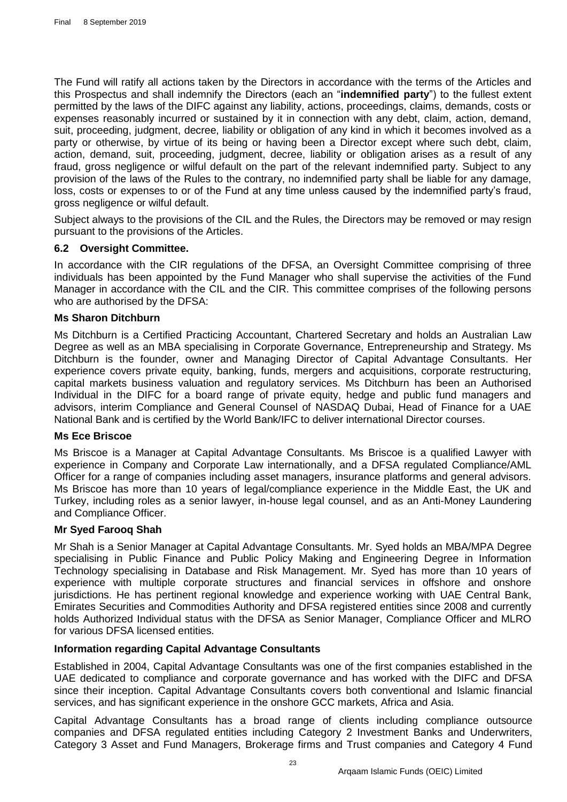The Fund will ratify all actions taken by the Directors in accordance with the terms of the Articles and this Prospectus and shall indemnify the Directors (each an "**indemnified party**") to the fullest extent permitted by the laws of the DIFC against any liability, actions, proceedings, claims, demands, costs or expenses reasonably incurred or sustained by it in connection with any debt, claim, action, demand, suit, proceeding, judgment, decree, liability or obligation of any kind in which it becomes involved as a party or otherwise, by virtue of its being or having been a Director except where such debt, claim, action, demand, suit, proceeding, judgment, decree, liability or obligation arises as a result of any fraud, gross negligence or wilful default on the part of the relevant indemnified party. Subject to any provision of the laws of the Rules to the contrary, no indemnified party shall be liable for any damage, loss, costs or expenses to or of the Fund at any time unless caused by the indemnified party's fraud, gross negligence or wilful default.

Subject always to the provisions of the CIL and the Rules, the Directors may be removed or may resign pursuant to the provisions of the Articles.

# <span id="page-23-0"></span>**6.2 Oversight Committee.**

In accordance with the CIR regulations of the DFSA, an Oversight Committee comprising of three individuals has been appointed by the Fund Manager who shall supervise the activities of the Fund Manager in accordance with the CIL and the CIR. This committee comprises of the following persons who are authorised by the DFSA:

#### **Ms Sharon Ditchburn**

Ms Ditchburn is a Certified Practicing Accountant, Chartered Secretary and holds an Australian Law Degree as well as an MBA specialising in Corporate Governance, Entrepreneurship and Strategy. Ms Ditchburn is the founder, owner and Managing Director of Capital Advantage Consultants. Her experience covers private equity, banking, funds, mergers and acquisitions, corporate restructuring, capital markets business valuation and regulatory services. Ms Ditchburn has been an Authorised Individual in the DIFC for a board range of private equity, hedge and public fund managers and advisors, interim Compliance and General Counsel of NASDAQ Dubai, Head of Finance for a UAE National Bank and is certified by the World Bank/IFC to deliver international Director courses.

#### **Ms Ece Briscoe**

Ms Briscoe is a Manager at Capital Advantage Consultants. Ms Briscoe is a qualified Lawyer with experience in Company and Corporate Law internationally, and a DFSA regulated Compliance/AML Officer for a range of companies including asset managers, insurance platforms and general advisors. Ms Briscoe has more than 10 years of legal/compliance experience in the Middle East, the UK and Turkey, including roles as a senior lawyer, in-house legal counsel, and as an Anti-Money Laundering and Compliance Officer.

#### **Mr Syed Farooq Shah**

Mr Shah is a Senior Manager at Capital Advantage Consultants. Mr. Syed holds an MBA/MPA Degree specialising in Public Finance and Public Policy Making and Engineering Degree in Information Technology specialising in Database and Risk Management. Mr. Syed has more than 10 years of experience with multiple corporate structures and financial services in offshore and onshore jurisdictions. He has pertinent regional knowledge and experience working with UAE Central Bank, Emirates Securities and Commodities Authority and DFSA registered entities since 2008 and currently holds Authorized Individual status with the DFSA as Senior Manager, Compliance Officer and MLRO for various DFSA licensed entities.

#### **Information regarding Capital Advantage Consultants**

Established in 2004, Capital Advantage Consultants was one of the first companies established in the UAE dedicated to compliance and corporate governance and has worked with the DIFC and DFSA since their inception. Capital Advantage Consultants covers both conventional and Islamic financial services, and has significant experience in the onshore GCC markets, Africa and Asia.

Capital Advantage Consultants has a broad range of clients including compliance outsource companies and DFSA regulated entities including Category 2 Investment Banks and Underwriters, Category 3 Asset and Fund Managers, Brokerage firms and Trust companies and Category 4 Fund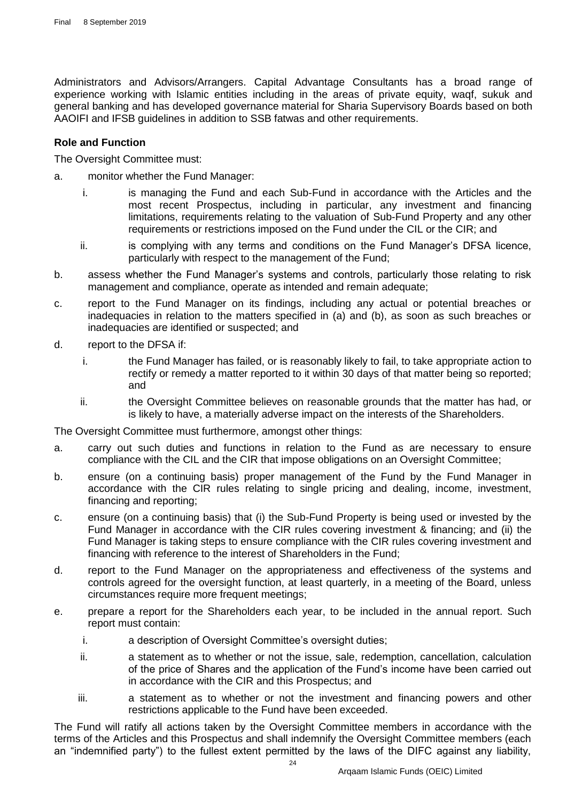Administrators and Advisors/Arrangers. Capital Advantage Consultants has a broad range of experience working with Islamic entities including in the areas of private equity, waqf, sukuk and general banking and has developed governance material for Sharia Supervisory Boards based on both AAOIFI and IFSB guidelines in addition to SSB fatwas and other requirements.

## **Role and Function**

The Oversight Committee must:

- a. monitor whether the Fund Manager:
	- i. is managing the Fund and each Sub-Fund in accordance with the Articles and the most recent Prospectus, including in particular, any investment and financing limitations, requirements relating to the valuation of Sub-Fund Property and any other requirements or restrictions imposed on the Fund under the CIL or the CIR; and
	- ii. is complying with any terms and conditions on the Fund Manager's DFSA licence, particularly with respect to the management of the Fund;
- b. assess whether the Fund Manager's systems and controls, particularly those relating to risk management and compliance, operate as intended and remain adequate;
- c. report to the Fund Manager on its findings, including any actual or potential breaches or inadequacies in relation to the matters specified in (a) and (b), as soon as such breaches or inadequacies are identified or suspected; and
- d. report to the DFSA if:
	- i. the Fund Manager has failed, or is reasonably likely to fail, to take appropriate action to rectify or remedy a matter reported to it within 30 days of that matter being so reported; and
	- ii. the Oversight Committee believes on reasonable grounds that the matter has had, or is likely to have, a materially adverse impact on the interests of the Shareholders.

The Oversight Committee must furthermore, amongst other things:

- a. carry out such duties and functions in relation to the Fund as are necessary to ensure compliance with the CIL and the CIR that impose obligations on an Oversight Committee;
- b. ensure (on a continuing basis) proper management of the Fund by the Fund Manager in accordance with the CIR rules relating to single pricing and dealing, income, investment, financing and reporting;
- c. ensure (on a continuing basis) that (i) the Sub-Fund Property is being used or invested by the Fund Manager in accordance with the CIR rules covering investment & financing; and (ii) the Fund Manager is taking steps to ensure compliance with the CIR rules covering investment and financing with reference to the interest of Shareholders in the Fund;
- d. report to the Fund Manager on the appropriateness and effectiveness of the systems and controls agreed for the oversight function, at least quarterly, in a meeting of the Board, unless circumstances require more frequent meetings;
- e. prepare a report for the Shareholders each year, to be included in the annual report. Such report must contain:
	- i. a description of Oversight Committee's oversight duties;
	- ii. a statement as to whether or not the issue, sale, redemption, cancellation, calculation of the price of Shares and the application of the Fund's income have been carried out in accordance with the CIR and this Prospectus; and
	- iii. a statement as to whether or not the investment and financing powers and other restrictions applicable to the Fund have been exceeded.

The Fund will ratify all actions taken by the Oversight Committee members in accordance with the terms of the Articles and this Prospectus and shall indemnify the Oversight Committee members (each an "indemnified party") to the fullest extent permitted by the laws of the DIFC against any liability,

 $24$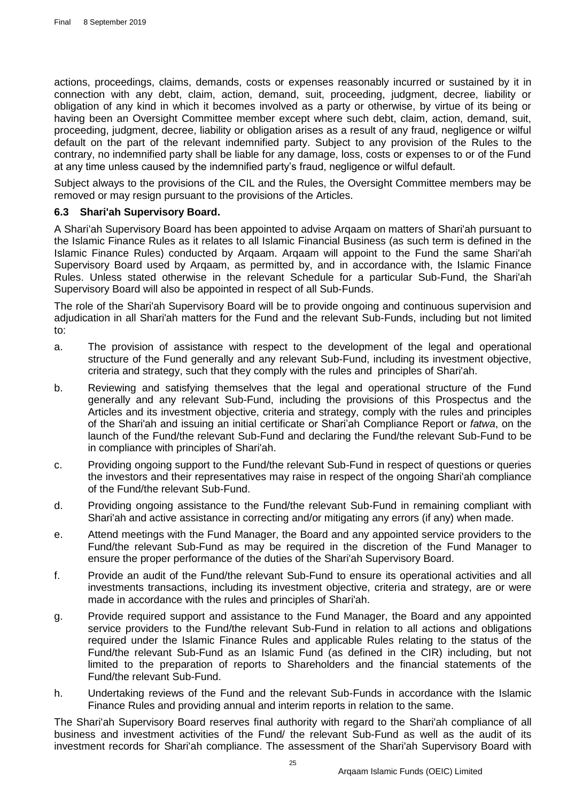actions, proceedings, claims, demands, costs or expenses reasonably incurred or sustained by it in connection with any debt, claim, action, demand, suit, proceeding, judgment, decree, liability or obligation of any kind in which it becomes involved as a party or otherwise, by virtue of its being or having been an Oversight Committee member except where such debt, claim, action, demand, suit, proceeding, judgment, decree, liability or obligation arises as a result of any fraud, negligence or wilful default on the part of the relevant indemnified party. Subject to any provision of the Rules to the contrary, no indemnified party shall be liable for any damage, loss, costs or expenses to or of the Fund at any time unless caused by the indemnified party's fraud, negligence or wilful default.

Subject always to the provisions of the CIL and the Rules, the Oversight Committee members may be removed or may resign pursuant to the provisions of the Articles.

## <span id="page-25-0"></span>**6.3 Shari'ah Supervisory Board.**

A Shari'ah Supervisory Board has been appointed to advise Arqaam on matters of Shari'ah pursuant to the Islamic Finance Rules as it relates to all Islamic Financial Business (as such term is defined in the Islamic Finance Rules) conducted by Arqaam. Arqaam will appoint to the Fund the same Shari'ah Supervisory Board used by Arqaam, as permitted by, and in accordance with, the Islamic Finance Rules. Unless stated otherwise in the relevant Schedule for a particular Sub-Fund, the Shari'ah Supervisory Board will also be appointed in respect of all Sub-Funds.

The role of the Shari'ah Supervisory Board will be to provide ongoing and continuous supervision and adjudication in all Shari'ah matters for the Fund and the relevant Sub-Funds, including but not limited to:

- a. The provision of assistance with respect to the development of the legal and operational structure of the Fund generally and any relevant Sub-Fund, including its investment objective, criteria and strategy, such that they comply with the rules and principles of Shari'ah.
- b. Reviewing and satisfying themselves that the legal and operational structure of the Fund generally and any relevant Sub-Fund, including the provisions of this Prospectus and the Articles and its investment objective, criteria and strategy, comply with the rules and principles of the Shari'ah and issuing an initial certificate or Shari'ah Compliance Report or *fatwa*, on the launch of the Fund/the relevant Sub-Fund and declaring the Fund/the relevant Sub-Fund to be in compliance with principles of Shari'ah.
- c. Providing ongoing support to the Fund/the relevant Sub-Fund in respect of questions or queries the investors and their representatives may raise in respect of the ongoing Shari'ah compliance of the Fund/the relevant Sub-Fund.
- d. Providing ongoing assistance to the Fund/the relevant Sub-Fund in remaining compliant with Shari'ah and active assistance in correcting and/or mitigating any errors (if any) when made.
- e. Attend meetings with the Fund Manager, the Board and any appointed service providers to the Fund/the relevant Sub-Fund as may be required in the discretion of the Fund Manager to ensure the proper performance of the duties of the Shari'ah Supervisory Board.
- f. Provide an audit of the Fund/the relevant Sub-Fund to ensure its operational activities and all investments transactions, including its investment objective, criteria and strategy, are or were made in accordance with the rules and principles of Shari'ah.
- g. Provide required support and assistance to the Fund Manager, the Board and any appointed service providers to the Fund/the relevant Sub-Fund in relation to all actions and obligations required under the Islamic Finance Rules and applicable Rules relating to the status of the Fund/the relevant Sub-Fund as an Islamic Fund (as defined in the CIR) including, but not limited to the preparation of reports to Shareholders and the financial statements of the Fund/the relevant Sub-Fund.
- h. Undertaking reviews of the Fund and the relevant Sub-Funds in accordance with the Islamic Finance Rules and providing annual and interim reports in relation to the same.

The Shari'ah Supervisory Board reserves final authority with regard to the Shari'ah compliance of all business and investment activities of the Fund/ the relevant Sub-Fund as well as the audit of its investment records for Shari'ah compliance. The assessment of the Shari'ah Supervisory Board with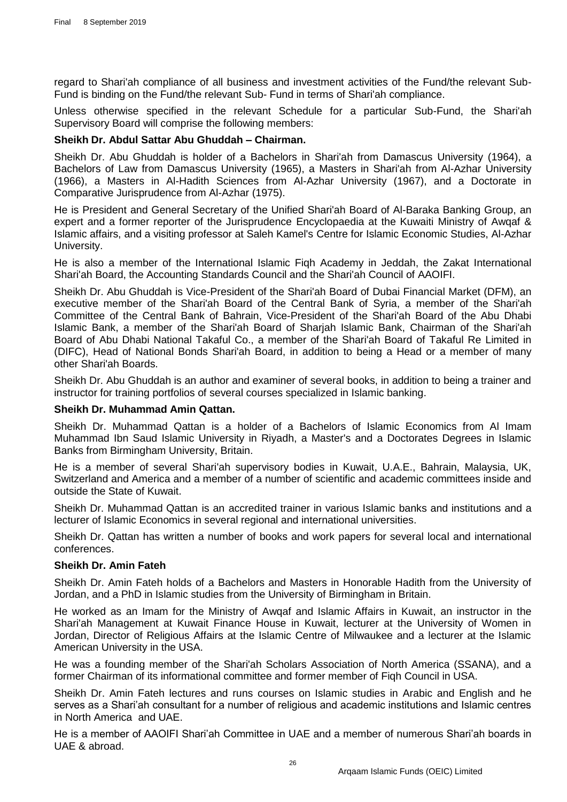regard to Shari'ah compliance of all business and investment activities of the Fund/the relevant Sub-Fund is binding on the Fund/the relevant Sub- Fund in terms of Shari'ah compliance.

Unless otherwise specified in the relevant Schedule for a particular Sub-Fund, the Shari'ah Supervisory Board will comprise the following members:

#### **Sheikh Dr. Abdul Sattar Abu Ghuddah – Chairman.**

Sheikh Dr. Abu Ghuddah is holder of a Bachelors in Shari'ah from Damascus University (1964), a Bachelors of Law from Damascus University (1965), a Masters in Shari'ah from Al-Azhar University (1966), a Masters in Al-Hadith Sciences from Al-Azhar University (1967), and a Doctorate in Comparative Jurisprudence from Al-Azhar (1975).

He is President and General Secretary of the Unified Shari'ah Board of Al-Baraka Banking Group, an expert and a former reporter of the Jurisprudence Encyclopaedia at the Kuwaiti Ministry of Awqaf & Islamic affairs, and a visiting professor at Saleh Kamel's Centre for Islamic Economic Studies, Al-Azhar University.

He is also a member of the International Islamic Fiqh Academy in Jeddah, the Zakat International Shari'ah Board, the Accounting Standards Council and the Shari'ah Council of AAOIFI.

Sheikh Dr. Abu Ghuddah is Vice-President of the Shari'ah Board of Dubai Financial Market (DFM), an executive member of the Shari'ah Board of the Central Bank of Syria, a member of the Shari'ah Committee of the Central Bank of Bahrain, Vice-President of the Shari'ah Board of the Abu Dhabi Islamic Bank, a member of the Shari'ah Board of Sharjah Islamic Bank, Chairman of the Shari'ah Board of Abu Dhabi National Takaful Co., a member of the Shari'ah Board of Takaful Re Limited in (DIFC), Head of National Bonds Shari'ah Board, in addition to being a Head or a member of many other Shari'ah Boards.

Sheikh Dr. Abu Ghuddah is an author and examiner of several books, in addition to being a trainer and instructor for training portfolios of several courses specialized in Islamic banking.

#### **Sheikh Dr. Muhammad Amin Qattan.**

Sheikh Dr. Muhammad Qattan is a holder of a Bachelors of Islamic Economics from Al Imam Muhammad Ibn Saud Islamic University in Riyadh, a Master's and a Doctorates Degrees in Islamic Banks from Birmingham University, Britain.

He is a member of several Shari'ah supervisory bodies in Kuwait, U.A.E., Bahrain, Malaysia, UK, Switzerland and America and a member of a number of scientific and academic committees inside and outside the State of Kuwait.

Sheikh Dr. Muhammad Qattan is an accredited trainer in various Islamic banks and institutions and a lecturer of Islamic Economics in several regional and international universities.

Sheikh Dr. Qattan has written a number of books and work papers for several local and international conferences.

#### **Sheikh Dr. Amin Fateh**

Sheikh Dr. Amin Fateh holds of a Bachelors and Masters in Honorable Hadith from the University of Jordan, and a PhD in Islamic studies from the University of Birmingham in Britain.

He worked as an Imam for the Ministry of Awqaf and Islamic Affairs in Kuwait, an instructor in the Shari'ah Management at Kuwait Finance House in Kuwait, lecturer at the University of Women in Jordan, Director of Religious Affairs at the Islamic Centre of Milwaukee and a lecturer at the Islamic American University in the USA.

He was a founding member of the Shari'ah Scholars Association of North America (SSANA), and a former Chairman of its informational committee and former member of Fiqh Council in USA.

Sheikh Dr. Amin Fateh lectures and runs courses on Islamic studies in Arabic and English and he serves as a Shari'ah consultant for a number of religious and academic institutions and Islamic centres in North America and UAE.

He is a member of AAOIFI Shari'ah Committee in UAE and a member of numerous Shari'ah boards in UAE & abroad.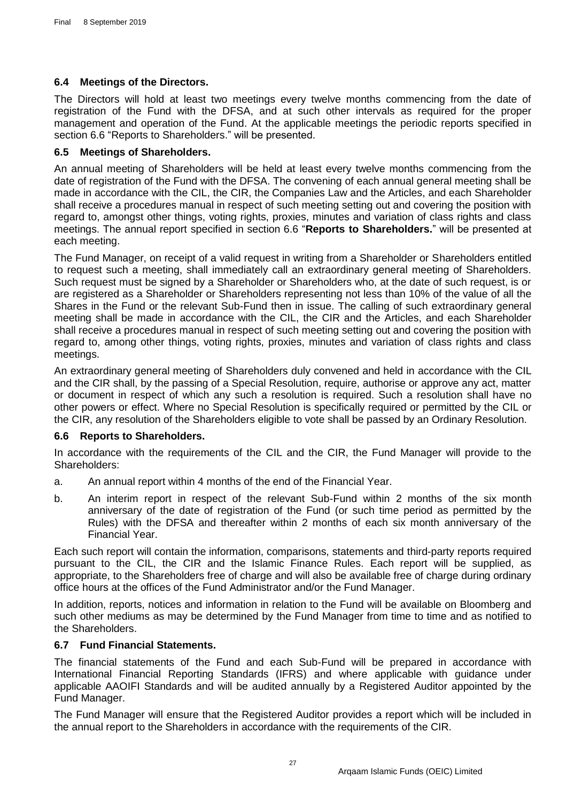# <span id="page-27-0"></span>**6.4 Meetings of the Directors.**

The Directors will hold at least two meetings every twelve months commencing from the date of registration of the Fund with the DFSA, and at such other intervals as required for the proper management and operation of the Fund. At the applicable meetings the periodic reports specified in section [6.6](#page-27-2) ["Reports to Shareholders."](#page-27-2) will be presented.

# <span id="page-27-1"></span>**6.5 Meetings of Shareholders.**

An annual meeting of Shareholders will be held at least every twelve months commencing from the date of registration of the Fund with the DFSA. The convening of each annual general meeting shall be made in accordance with the CIL, the CIR, the Companies Law and the Articles, and each Shareholder shall receive a procedures manual in respect of such meeting setting out and covering the position with regard to, amongst other things, voting rights, proxies, minutes and variation of class rights and class meetings. The annual report specified in section [6.6](#page-27-2) "**[Reports to Shareholders.](#page-27-2)**" will be presented at each meeting.

The Fund Manager, on receipt of a valid request in writing from a Shareholder or Shareholders entitled to request such a meeting, shall immediately call an extraordinary general meeting of Shareholders. Such request must be signed by a Shareholder or Shareholders who, at the date of such request, is or are registered as a Shareholder or Shareholders representing not less than 10% of the value of all the Shares in the Fund or the relevant Sub-Fund then in issue. The calling of such extraordinary general meeting shall be made in accordance with the CIL, the CIR and the Articles, and each Shareholder shall receive a procedures manual in respect of such meeting setting out and covering the position with regard to, among other things, voting rights, proxies, minutes and variation of class rights and class meetings.

An extraordinary general meeting of Shareholders duly convened and held in accordance with the CIL and the CIR shall, by the passing of a Special Resolution, require, authorise or approve any act, matter or document in respect of which any such a resolution is required. Such a resolution shall have no other powers or effect. Where no Special Resolution is specifically required or permitted by the CIL or the CIR, any resolution of the Shareholders eligible to vote shall be passed by an Ordinary Resolution.

# <span id="page-27-2"></span>**6.6 Reports to Shareholders.**

In accordance with the requirements of the CIL and the CIR, the Fund Manager will provide to the Shareholders:

- a. An annual report within 4 months of the end of the Financial Year.
- b. An interim report in respect of the relevant Sub-Fund within 2 months of the six month anniversary of the date of registration of the Fund (or such time period as permitted by the Rules) with the DFSA and thereafter within 2 months of each six month anniversary of the Financial Year.

Each such report will contain the information, comparisons, statements and third-party reports required pursuant to the CIL, the CIR and the Islamic Finance Rules. Each report will be supplied, as appropriate, to the Shareholders free of charge and will also be available free of charge during ordinary office hours at the offices of the Fund Administrator and/or the Fund Manager.

In addition, reports, notices and information in relation to the Fund will be available on Bloomberg and such other mediums as may be determined by the Fund Manager from time to time and as notified to the Shareholders.

# <span id="page-27-3"></span>**6.7 Fund Financial Statements.**

The financial statements of the Fund and each Sub-Fund will be prepared in accordance with International Financial Reporting Standards (IFRS) and where applicable with guidance under applicable AAOIFI Standards and will be audited annually by a Registered Auditor appointed by the Fund Manager.

The Fund Manager will ensure that the Registered Auditor provides a report which will be included in the annual report to the Shareholders in accordance with the requirements of the CIR.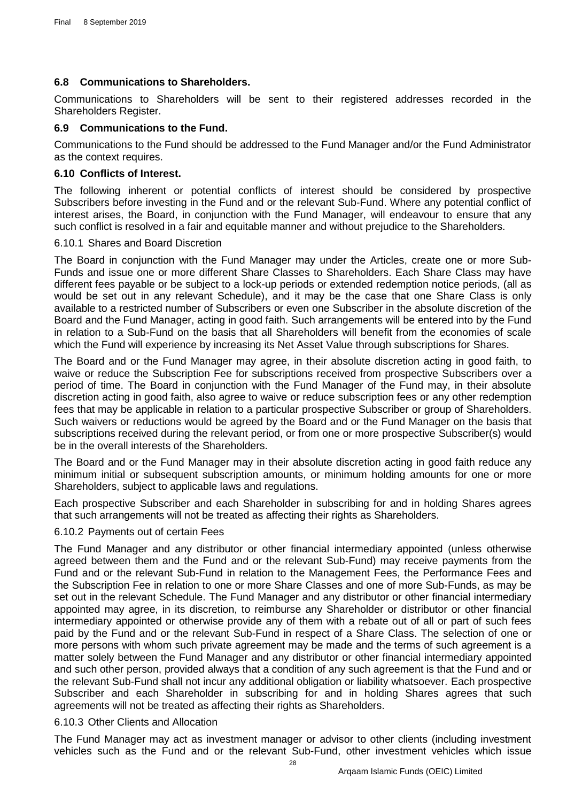# <span id="page-28-0"></span>**6.8 Communications to Shareholders.**

Communications to Shareholders will be sent to their registered addresses recorded in the Shareholders Register.

# <span id="page-28-1"></span>**6.9 Communications to the Fund.**

Communications to the Fund should be addressed to the Fund Manager and/or the Fund Administrator as the context requires.

# <span id="page-28-2"></span>**6.10 Conflicts of Interest.**

The following inherent or potential conflicts of interest should be considered by prospective Subscribers before investing in the Fund and or the relevant Sub-Fund. Where any potential conflict of interest arises, the Board, in conjunction with the Fund Manager, will endeavour to ensure that any such conflict is resolved in a fair and equitable manner and without prejudice to the Shareholders.

## <span id="page-28-3"></span>6.10.1 Shares and Board Discretion

The Board in conjunction with the Fund Manager may under the Articles, create one or more Sub-Funds and issue one or more different Share Classes to Shareholders. Each Share Class may have different fees payable or be subject to a lock-up periods or extended redemption notice periods, (all as would be set out in any relevant Schedule), and it may be the case that one Share Class is only available to a restricted number of Subscribers or even one Subscriber in the absolute discretion of the Board and the Fund Manager, acting in good faith. Such arrangements will be entered into by the Fund in relation to a Sub-Fund on the basis that all Shareholders will benefit from the economies of scale which the Fund will experience by increasing its Net Asset Value through subscriptions for Shares.

The Board and or the Fund Manager may agree, in their absolute discretion acting in good faith, to waive or reduce the Subscription Fee for subscriptions received from prospective Subscribers over a period of time. The Board in conjunction with the Fund Manager of the Fund may, in their absolute discretion acting in good faith, also agree to waive or reduce subscription fees or any other redemption fees that may be applicable in relation to a particular prospective Subscriber or group of Shareholders. Such waivers or reductions would be agreed by the Board and or the Fund Manager on the basis that subscriptions received during the relevant period, or from one or more prospective Subscriber(s) would be in the overall interests of the Shareholders.

The Board and or the Fund Manager may in their absolute discretion acting in good faith reduce any minimum initial or subsequent subscription amounts, or minimum holding amounts for one or more Shareholders, subject to applicable laws and regulations.

Each prospective Subscriber and each Shareholder in subscribing for and in holding Shares agrees that such arrangements will not be treated as affecting their rights as Shareholders.

# <span id="page-28-4"></span>6.10.2 Payments out of certain Fees

The Fund Manager and any distributor or other financial intermediary appointed (unless otherwise agreed between them and the Fund and or the relevant Sub-Fund) may receive payments from the Fund and or the relevant Sub-Fund in relation to the Management Fees, the Performance Fees and the Subscription Fee in relation to one or more Share Classes and one of more Sub-Funds, as may be set out in the relevant Schedule. The Fund Manager and any distributor or other financial intermediary appointed may agree, in its discretion, to reimburse any Shareholder or distributor or other financial intermediary appointed or otherwise provide any of them with a rebate out of all or part of such fees paid by the Fund and or the relevant Sub-Fund in respect of a Share Class. The selection of one or more persons with whom such private agreement may be made and the terms of such agreement is a matter solely between the Fund Manager and any distributor or other financial intermediary appointed and such other person, provided always that a condition of any such agreement is that the Fund and or the relevant Sub-Fund shall not incur any additional obligation or liability whatsoever. Each prospective Subscriber and each Shareholder in subscribing for and in holding Shares agrees that such agreements will not be treated as affecting their rights as Shareholders.

# <span id="page-28-5"></span>6.10.3 Other Clients and Allocation

The Fund Manager may act as investment manager or advisor to other clients (including investment vehicles such as the Fund and or the relevant Sub-Fund, other investment vehicles which issue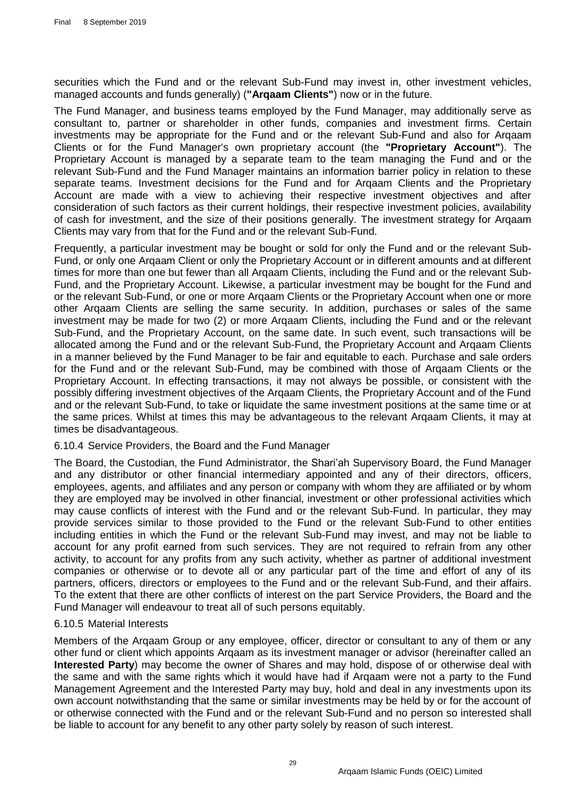securities which the Fund and or the relevant Sub-Fund may invest in, other investment vehicles, managed accounts and funds generally) (**"Arqaam Clients"**) now or in the future.

The Fund Manager, and business teams employed by the Fund Manager, may additionally serve as consultant to, partner or shareholder in other funds, companies and investment firms. Certain investments may be appropriate for the Fund and or the relevant Sub-Fund and also for Arqaam Clients or for the Fund Manager's own proprietary account (the **"Proprietary Account"**). The Proprietary Account is managed by a separate team to the team managing the Fund and or the relevant Sub-Fund and the Fund Manager maintains an information barrier policy in relation to these separate teams. Investment decisions for the Fund and for Arqaam Clients and the Proprietary Account are made with a view to achieving their respective investment objectives and after consideration of such factors as their current holdings, their respective investment policies, availability of cash for investment, and the size of their positions generally. The investment strategy for Arqaam Clients may vary from that for the Fund and or the relevant Sub-Fund.

Frequently, a particular investment may be bought or sold for only the Fund and or the relevant Sub-Fund, or only one Arqaam Client or only the Proprietary Account or in different amounts and at different times for more than one but fewer than all Arqaam Clients, including the Fund and or the relevant Sub-Fund, and the Proprietary Account. Likewise, a particular investment may be bought for the Fund and or the relevant Sub-Fund, or one or more Arqaam Clients or the Proprietary Account when one or more other Arqaam Clients are selling the same security. In addition, purchases or sales of the same investment may be made for two (2) or more Arqaam Clients, including the Fund and or the relevant Sub-Fund, and the Proprietary Account, on the same date. In such event, such transactions will be allocated among the Fund and or the relevant Sub-Fund, the Proprietary Account and Arqaam Clients in a manner believed by the Fund Manager to be fair and equitable to each. Purchase and sale orders for the Fund and or the relevant Sub-Fund, may be combined with those of Arqaam Clients or the Proprietary Account. In effecting transactions, it may not always be possible, or consistent with the possibly differing investment objectives of the Arqaam Clients, the Proprietary Account and of the Fund and or the relevant Sub-Fund, to take or liquidate the same investment positions at the same time or at the same prices. Whilst at times this may be advantageous to the relevant Arqaam Clients, it may at times be disadvantageous.

#### <span id="page-29-0"></span>6.10.4 Service Providers, the Board and the Fund Manager

The Board, the Custodian, the Fund Administrator, the Shari'ah Supervisory Board, the Fund Manager and any distributor or other financial intermediary appointed and any of their directors, officers, employees, agents, and affiliates and any person or company with whom they are affiliated or by whom they are employed may be involved in other financial, investment or other professional activities which may cause conflicts of interest with the Fund and or the relevant Sub-Fund. In particular, they may provide services similar to those provided to the Fund or the relevant Sub-Fund to other entities including entities in which the Fund or the relevant Sub-Fund may invest, and may not be liable to account for any profit earned from such services. They are not required to refrain from any other activity, to account for any profits from any such activity, whether as partner of additional investment companies or otherwise or to devote all or any particular part of the time and effort of any of its partners, officers, directors or employees to the Fund and or the relevant Sub-Fund, and their affairs. To the extent that there are other conflicts of interest on the part Service Providers, the Board and the Fund Manager will endeavour to treat all of such persons equitably.

#### <span id="page-29-1"></span>6.10.5 Material Interests

Members of the Arqaam Group or any employee, officer, director or consultant to any of them or any other fund or client which appoints Arqaam as its investment manager or advisor (hereinafter called an **Interested Party**) may become the owner of Shares and may hold, dispose of or otherwise deal with the same and with the same rights which it would have had if Arqaam were not a party to the Fund Management Agreement and the Interested Party may buy, hold and deal in any investments upon its own account notwithstanding that the same or similar investments may be held by or for the account of or otherwise connected with the Fund and or the relevant Sub-Fund and no person so interested shall be liable to account for any benefit to any other party solely by reason of such interest.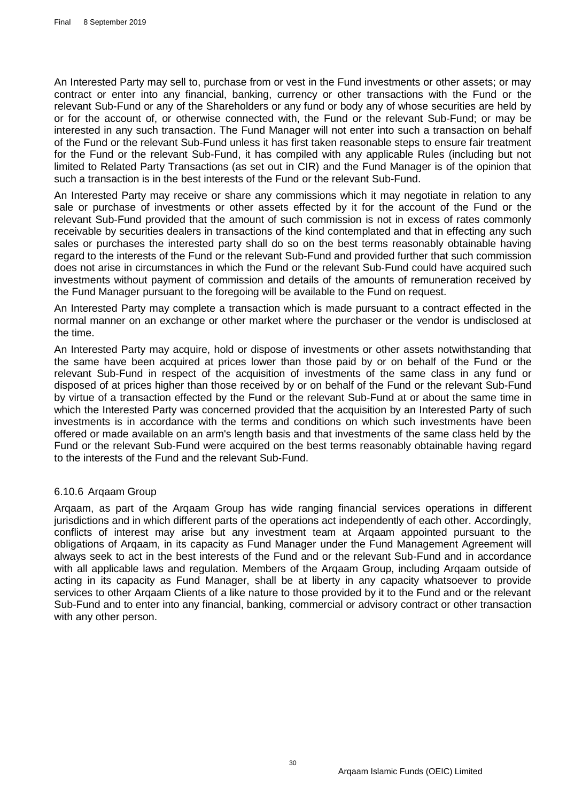An Interested Party may sell to, purchase from or vest in the Fund investments or other assets; or may contract or enter into any financial, banking, currency or other transactions with the Fund or the relevant Sub-Fund or any of the Shareholders or any fund or body any of whose securities are held by or for the account of, or otherwise connected with, the Fund or the relevant Sub-Fund; or may be interested in any such transaction. The Fund Manager will not enter into such a transaction on behalf of the Fund or the relevant Sub-Fund unless it has first taken reasonable steps to ensure fair treatment for the Fund or the relevant Sub-Fund, it has compiled with any applicable Rules (including but not limited to Related Party Transactions (as set out in CIR) and the Fund Manager is of the opinion that such a transaction is in the best interests of the Fund or the relevant Sub-Fund.

An Interested Party may receive or share any commissions which it may negotiate in relation to any sale or purchase of investments or other assets effected by it for the account of the Fund or the relevant Sub-Fund provided that the amount of such commission is not in excess of rates commonly receivable by securities dealers in transactions of the kind contemplated and that in effecting any such sales or purchases the interested party shall do so on the best terms reasonably obtainable having regard to the interests of the Fund or the relevant Sub-Fund and provided further that such commission does not arise in circumstances in which the Fund or the relevant Sub-Fund could have acquired such investments without payment of commission and details of the amounts of remuneration received by the Fund Manager pursuant to the foregoing will be available to the Fund on request.

An Interested Party may complete a transaction which is made pursuant to a contract effected in the normal manner on an exchange or other market where the purchaser or the vendor is undisclosed at the time.

An Interested Party may acquire, hold or dispose of investments or other assets notwithstanding that the same have been acquired at prices lower than those paid by or on behalf of the Fund or the relevant Sub-Fund in respect of the acquisition of investments of the same class in any fund or disposed of at prices higher than those received by or on behalf of the Fund or the relevant Sub-Fund by virtue of a transaction effected by the Fund or the relevant Sub-Fund at or about the same time in which the Interested Party was concerned provided that the acquisition by an Interested Party of such investments is in accordance with the terms and conditions on which such investments have been offered or made available on an arm's length basis and that investments of the same class held by the Fund or the relevant Sub-Fund were acquired on the best terms reasonably obtainable having regard to the interests of the Fund and the relevant Sub-Fund.

#### <span id="page-30-0"></span>6.10.6 Arqaam Group

Arqaam, as part of the Arqaam Group has wide ranging financial services operations in different jurisdictions and in which different parts of the operations act independently of each other. Accordingly, conflicts of interest may arise but any investment team at Arqaam appointed pursuant to the obligations of Arqaam, in its capacity as Fund Manager under the Fund Management Agreement will always seek to act in the best interests of the Fund and or the relevant Sub-Fund and in accordance with all applicable laws and regulation. Members of the Arqaam Group, including Arqaam outside of acting in its capacity as Fund Manager, shall be at liberty in any capacity whatsoever to provide services to other Arqaam Clients of a like nature to those provided by it to the Fund and or the relevant Sub-Fund and to enter into any financial, banking, commercial or advisory contract or other transaction with any other person.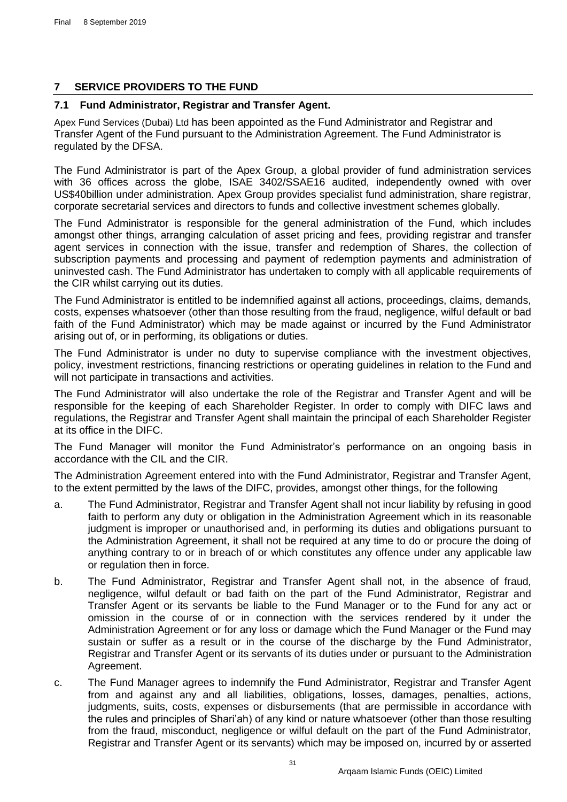# <span id="page-31-0"></span>**7 SERVICE PROVIDERS TO THE FUND**

# <span id="page-31-1"></span>**7.1 Fund Administrator, Registrar and Transfer Agent.**

Apex Fund Services (Dubai) Ltd has been appointed as the Fund Administrator and Registrar and Transfer Agent of the Fund pursuant to the Administration Agreement. The Fund Administrator is regulated by the DFSA.

The Fund Administrator is part of the Apex Group, a global provider of fund administration services with 36 offices across the globe, ISAE 3402/SSAE16 audited, independently owned with over US\$40billion under administration. Apex Group provides specialist fund administration, share registrar, corporate secretarial services and directors to funds and collective investment schemes globally.

The Fund Administrator is responsible for the general administration of the Fund, which includes amongst other things, arranging calculation of asset pricing and fees, providing registrar and transfer agent services in connection with the issue, transfer and redemption of Shares, the collection of subscription payments and processing and payment of redemption payments and administration of uninvested cash. The Fund Administrator has undertaken to comply with all applicable requirements of the CIR whilst carrying out its duties.

The Fund Administrator is entitled to be indemnified against all actions, proceedings, claims, demands, costs, expenses whatsoever (other than those resulting from the fraud, negligence, wilful default or bad faith of the Fund Administrator) which may be made against or incurred by the Fund Administrator arising out of, or in performing, its obligations or duties.

The Fund Administrator is under no duty to supervise compliance with the investment objectives, policy, investment restrictions, financing restrictions or operating guidelines in relation to the Fund and will not participate in transactions and activities.

The Fund Administrator will also undertake the role of the Registrar and Transfer Agent and will be responsible for the keeping of each Shareholder Register. In order to comply with DIFC laws and regulations, the Registrar and Transfer Agent shall maintain the principal of each Shareholder Register at its office in the DIFC.

The Fund Manager will monitor the Fund Administrator's performance on an ongoing basis in accordance with the CIL and the CIR.

The Administration Agreement entered into with the Fund Administrator, Registrar and Transfer Agent, to the extent permitted by the laws of the DIFC, provides, amongst other things, for the following

- a. The Fund Administrator, Registrar and Transfer Agent shall not incur liability by refusing in good faith to perform any duty or obligation in the Administration Agreement which in its reasonable judgment is improper or unauthorised and, in performing its duties and obligations pursuant to the Administration Agreement, it shall not be required at any time to do or procure the doing of anything contrary to or in breach of or which constitutes any offence under any applicable law or regulation then in force.
- b. The Fund Administrator, Registrar and Transfer Agent shall not, in the absence of fraud, negligence, wilful default or bad faith on the part of the Fund Administrator, Registrar and Transfer Agent or its servants be liable to the Fund Manager or to the Fund for any act or omission in the course of or in connection with the services rendered by it under the Administration Agreement or for any loss or damage which the Fund Manager or the Fund may sustain or suffer as a result or in the course of the discharge by the Fund Administrator, Registrar and Transfer Agent or its servants of its duties under or pursuant to the Administration Agreement.
- c. The Fund Manager agrees to indemnify the Fund Administrator, Registrar and Transfer Agent from and against any and all liabilities, obligations, losses, damages, penalties, actions, judgments, suits, costs, expenses or disbursements (that are permissible in accordance with the rules and principles of Shari'ah) of any kind or nature whatsoever (other than those resulting from the fraud, misconduct, negligence or wilful default on the part of the Fund Administrator, Registrar and Transfer Agent or its servants) which may be imposed on, incurred by or asserted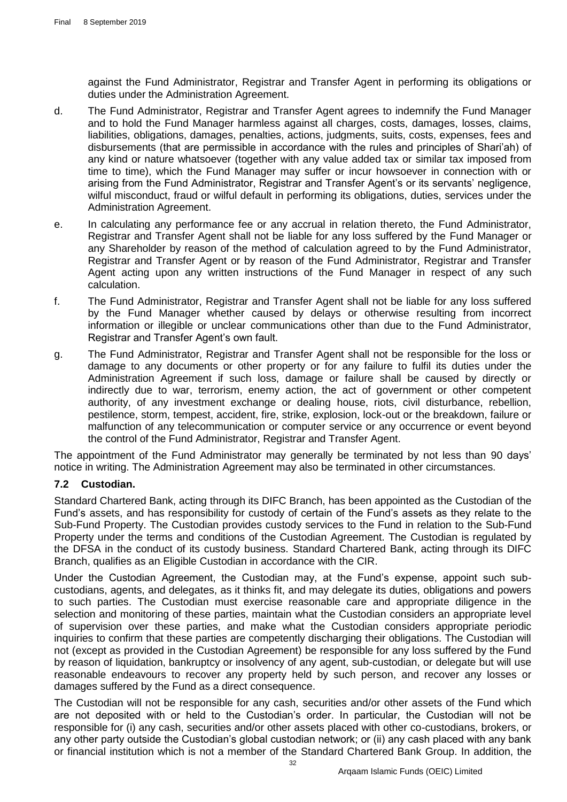against the Fund Administrator, Registrar and Transfer Agent in performing its obligations or duties under the Administration Agreement.

- d. The Fund Administrator, Registrar and Transfer Agent agrees to indemnify the Fund Manager and to hold the Fund Manager harmless against all charges, costs, damages, losses, claims, liabilities, obligations, damages, penalties, actions, judgments, suits, costs, expenses, fees and disbursements (that are permissible in accordance with the rules and principles of Shari'ah) of any kind or nature whatsoever (together with any value added tax or similar tax imposed from time to time), which the Fund Manager may suffer or incur howsoever in connection with or arising from the Fund Administrator, Registrar and Transfer Agent's or its servants' negligence, wilful misconduct, fraud or wilful default in performing its obligations, duties, services under the Administration Agreement.
- e. In calculating any performance fee or any accrual in relation thereto, the Fund Administrator, Registrar and Transfer Agent shall not be liable for any loss suffered by the Fund Manager or any Shareholder by reason of the method of calculation agreed to by the Fund Administrator, Registrar and Transfer Agent or by reason of the Fund Administrator, Registrar and Transfer Agent acting upon any written instructions of the Fund Manager in respect of any such calculation.
- f. The Fund Administrator, Registrar and Transfer Agent shall not be liable for any loss suffered by the Fund Manager whether caused by delays or otherwise resulting from incorrect information or illegible or unclear communications other than due to the Fund Administrator, Registrar and Transfer Agent's own fault.
- g. The Fund Administrator, Registrar and Transfer Agent shall not be responsible for the loss or damage to any documents or other property or for any failure to fulfil its duties under the Administration Agreement if such loss, damage or failure shall be caused by directly or indirectly due to war, terrorism, enemy action, the act of government or other competent authority, of any investment exchange or dealing house, riots, civil disturbance, rebellion, pestilence, storm, tempest, accident, fire, strike, explosion, lock-out or the breakdown, failure or malfunction of any telecommunication or computer service or any occurrence or event beyond the control of the Fund Administrator, Registrar and Transfer Agent.

The appointment of the Fund Administrator may generally be terminated by not less than 90 days' notice in writing. The Administration Agreement may also be terminated in other circumstances.

# <span id="page-32-0"></span>**7.2 Custodian.**

Standard Chartered Bank, acting through its DIFC Branch, has been appointed as the Custodian of the Fund's assets, and has responsibility for custody of certain of the Fund's assets as they relate to the Sub-Fund Property. The Custodian provides custody services to the Fund in relation to the Sub-Fund Property under the terms and conditions of the Custodian Agreement. The Custodian is regulated by the DFSA in the conduct of its custody business. Standard Chartered Bank, acting through its DIFC Branch, qualifies as an Eligible Custodian in accordance with the CIR.

Under the Custodian Agreement, the Custodian may, at the Fund's expense, appoint such subcustodians, agents, and delegates, as it thinks fit, and may delegate its duties, obligations and powers to such parties. The Custodian must exercise reasonable care and appropriate diligence in the selection and monitoring of these parties, maintain what the Custodian considers an appropriate level of supervision over these parties, and make what the Custodian considers appropriate periodic inquiries to confirm that these parties are competently discharging their obligations. The Custodian will not (except as provided in the Custodian Agreement) be responsible for any loss suffered by the Fund by reason of liquidation, bankruptcy or insolvency of any agent, sub-custodian, or delegate but will use reasonable endeavours to recover any property held by such person, and recover any losses or damages suffered by the Fund as a direct consequence.

The Custodian will not be responsible for any cash, securities and/or other assets of the Fund which are not deposited with or held to the Custodian's order. In particular, the Custodian will not be responsible for (i) any cash, securities and/or other assets placed with other co-custodians, brokers, or any other party outside the Custodian's global custodian network; or (ii) any cash placed with any bank or financial institution which is not a member of the Standard Chartered Bank Group. In addition, the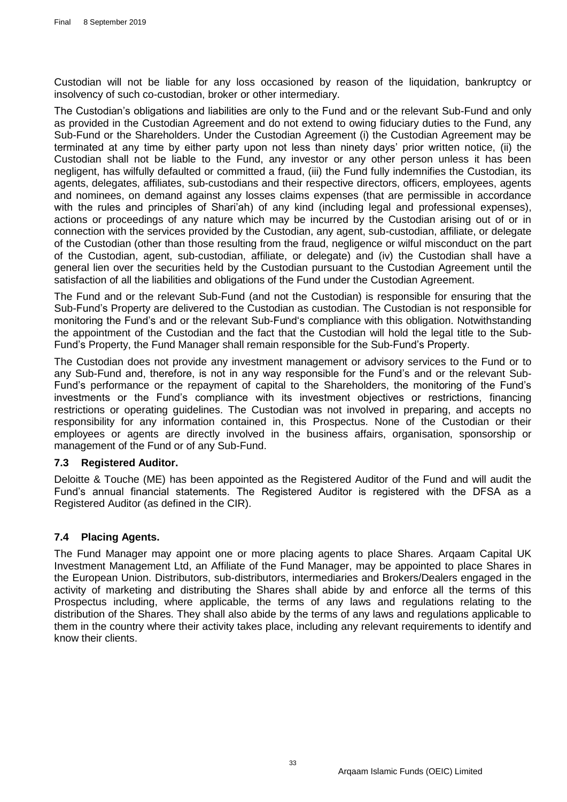Custodian will not be liable for any loss occasioned by reason of the liquidation, bankruptcy or insolvency of such co-custodian, broker or other intermediary.

The Custodian's obligations and liabilities are only to the Fund and or the relevant Sub-Fund and only as provided in the Custodian Agreement and do not extend to owing fiduciary duties to the Fund, any Sub-Fund or the Shareholders. Under the Custodian Agreement (i) the Custodian Agreement may be terminated at any time by either party upon not less than ninety days' prior written notice, (ii) the Custodian shall not be liable to the Fund, any investor or any other person unless it has been negligent, has wilfully defaulted or committed a fraud, (iii) the Fund fully indemnifies the Custodian, its agents, delegates, affiliates, sub-custodians and their respective directors, officers, employees, agents and nominees, on demand against any losses claims expenses (that are permissible in accordance with the rules and principles of Shari'ah) of any kind (including legal and professional expenses), actions or proceedings of any nature which may be incurred by the Custodian arising out of or in connection with the services provided by the Custodian, any agent, sub-custodian, affiliate, or delegate of the Custodian (other than those resulting from the fraud, negligence or wilful misconduct on the part of the Custodian, agent, sub-custodian, affiliate, or delegate) and (iv) the Custodian shall have a general lien over the securities held by the Custodian pursuant to the Custodian Agreement until the satisfaction of all the liabilities and obligations of the Fund under the Custodian Agreement.

The Fund and or the relevant Sub-Fund (and not the Custodian) is responsible for ensuring that the Sub-Fund's Property are delivered to the Custodian as custodian. The Custodian is not responsible for monitoring the Fund's and or the relevant Sub-Fund's compliance with this obligation. Notwithstanding the appointment of the Custodian and the fact that the Custodian will hold the legal title to the Sub-Fund's Property, the Fund Manager shall remain responsible for the Sub-Fund's Property.

The Custodian does not provide any investment management or advisory services to the Fund or to any Sub-Fund and, therefore, is not in any way responsible for the Fund's and or the relevant Sub-Fund's performance or the repayment of capital to the Shareholders, the monitoring of the Fund's investments or the Fund's compliance with its investment objectives or restrictions, financing restrictions or operating guidelines. The Custodian was not involved in preparing, and accepts no responsibility for any information contained in, this Prospectus. None of the Custodian or their employees or agents are directly involved in the business affairs, organisation, sponsorship or management of the Fund or of any Sub-Fund.

# <span id="page-33-0"></span>**7.3 Registered Auditor.**

Deloitte & Touche (ME) has been appointed as the Registered Auditor of the Fund and will audit the Fund's annual financial statements. The Registered Auditor is registered with the DFSA as a Registered Auditor (as defined in the CIR).

# <span id="page-33-1"></span>**7.4 Placing Agents.**

The Fund Manager may appoint one or more placing agents to place Shares. Arqaam Capital UK Investment Management Ltd, an Affiliate of the Fund Manager, may be appointed to place Shares in the European Union. Distributors, sub-distributors, intermediaries and Brokers/Dealers engaged in the activity of marketing and distributing the Shares shall abide by and enforce all the terms of this Prospectus including, where applicable, the terms of any laws and regulations relating to the distribution of the Shares. They shall also abide by the terms of any laws and regulations applicable to them in the country where their activity takes place, including any relevant requirements to identify and know their clients.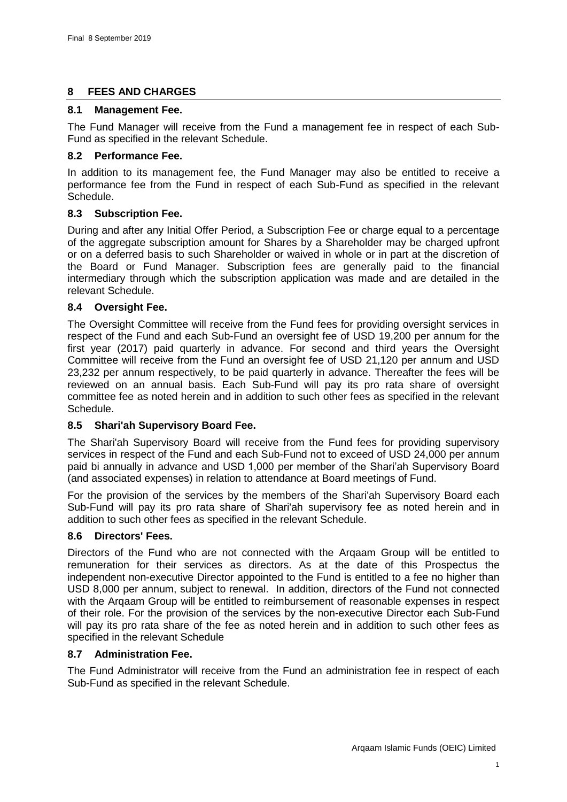# <span id="page-34-0"></span>**8 FEES AND CHARGES**

# <span id="page-34-1"></span>**8.1 Management Fee.**

The Fund Manager will receive from the Fund a management fee in respect of each Sub-Fund as specified in the relevant Schedule.

# <span id="page-34-2"></span>**8.2 Performance Fee.**

In addition to its management fee, the Fund Manager may also be entitled to receive a performance fee from the Fund in respect of each Sub-Fund as specified in the relevant Schedule.

# <span id="page-34-3"></span>**8.3 Subscription Fee.**

During and after any Initial Offer Period, a Subscription Fee or charge equal to a percentage of the aggregate subscription amount for Shares by a Shareholder may be charged upfront or on a deferred basis to such Shareholder or waived in whole or in part at the discretion of the Board or Fund Manager. Subscription fees are generally paid to the financial intermediary through which the subscription application was made and are detailed in the relevant Schedule.

# <span id="page-34-4"></span>**8.4 Oversight Fee.**

The Oversight Committee will receive from the Fund fees for providing oversight services in respect of the Fund and each Sub-Fund an oversight fee of USD 19,200 per annum for the first year (2017) paid quarterly in advance. For second and third years the Oversight Committee will receive from the Fund an oversight fee of USD 21,120 per annum and USD 23,232 per annum respectively, to be paid quarterly in advance. Thereafter the fees will be reviewed on an annual basis. Each Sub-Fund will pay its pro rata share of oversight committee fee as noted herein and in addition to such other fees as specified in the relevant Schedule.

# <span id="page-34-5"></span>**8.5 Shari'ah Supervisory Board Fee.**

The Shari'ah Supervisory Board will receive from the Fund fees for providing supervisory services in respect of the Fund and each Sub-Fund not to exceed of USD 24,000 per annum paid bi annually in advance and USD 1,000 per member of the Shari'ah Supervisory Board (and associated expenses) in relation to attendance at Board meetings of Fund.

For the provision of the services by the members of the Shari'ah Supervisory Board each Sub-Fund will pay its pro rata share of Shari'ah supervisory fee as noted herein and in addition to such other fees as specified in the relevant Schedule.

# <span id="page-34-6"></span>**8.6 Directors' Fees.**

Directors of the Fund who are not connected with the Arqaam Group will be entitled to remuneration for their services as directors. As at the date of this Prospectus the independent non-executive Director appointed to the Fund is entitled to a fee no higher than USD 8,000 per annum, subject to renewal. In addition, directors of the Fund not connected with the Arqaam Group will be entitled to reimbursement of reasonable expenses in respect of their role. For the provision of the services by the non-executive Director each Sub-Fund will pay its pro rata share of the fee as noted herein and in addition to such other fees as specified in the relevant Schedule

# <span id="page-34-7"></span>**8.7 Administration Fee.**

The Fund Administrator will receive from the Fund an administration fee in respect of each Sub-Fund as specified in the relevant Schedule.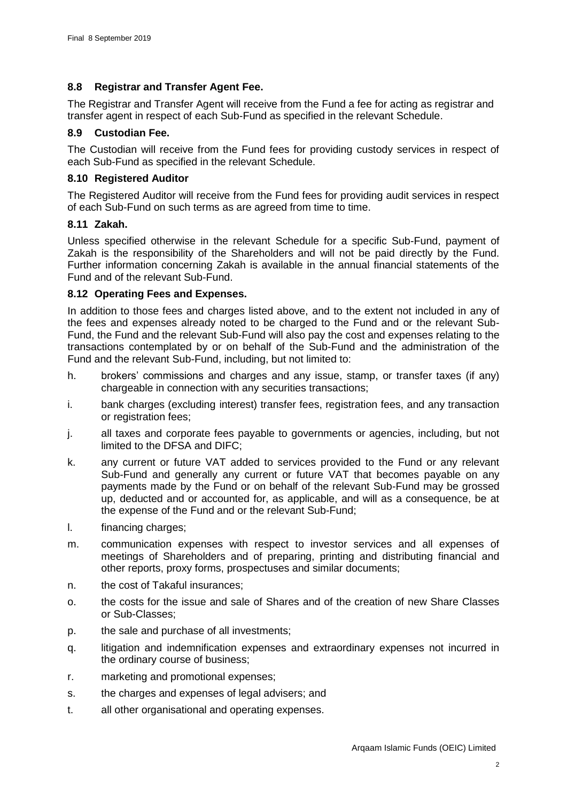# <span id="page-35-0"></span>**8.8 Registrar and Transfer Agent Fee.**

The Registrar and Transfer Agent will receive from the Fund a fee for acting as registrar and transfer agent in respect of each Sub-Fund as specified in the relevant Schedule.

# <span id="page-35-1"></span>**8.9 Custodian Fee.**

The Custodian will receive from the Fund fees for providing custody services in respect of each Sub-Fund as specified in the relevant Schedule.

## <span id="page-35-2"></span>**8.10 Registered Auditor**

The Registered Auditor will receive from the Fund fees for providing audit services in respect of each Sub-Fund on such terms as are agreed from time to time.

## <span id="page-35-3"></span>**8.11 Zakah.**

Unless specified otherwise in the relevant Schedule for a specific Sub-Fund, payment of Zakah is the responsibility of the Shareholders and will not be paid directly by the Fund. Further information concerning Zakah is available in the annual financial statements of the Fund and of the relevant Sub-Fund.

# <span id="page-35-4"></span>**8.12 Operating Fees and Expenses.**

In addition to those fees and charges listed above, and to the extent not included in any of the fees and expenses already noted to be charged to the Fund and or the relevant Sub-Fund, the Fund and the relevant Sub-Fund will also pay the cost and expenses relating to the transactions contemplated by or on behalf of the Sub-Fund and the administration of the Fund and the relevant Sub-Fund, including, but not limited to:

- h. brokers' commissions and charges and any issue, stamp, or transfer taxes (if any) chargeable in connection with any securities transactions;
- i. bank charges (excluding interest) transfer fees, registration fees, and any transaction or registration fees;
- j. all taxes and corporate fees payable to governments or agencies, including, but not limited to the DFSA and DIFC;
- k. any current or future VAT added to services provided to the Fund or any relevant Sub-Fund and generally any current or future VAT that becomes payable on any payments made by the Fund or on behalf of the relevant Sub-Fund may be grossed up, deducted and or accounted for, as applicable, and will as a consequence, be at the expense of the Fund and or the relevant Sub-Fund;
- l. financing charges;
- m. communication expenses with respect to investor services and all expenses of meetings of Shareholders and of preparing, printing and distributing financial and other reports, proxy forms, prospectuses and similar documents;
- n. the cost of Takaful insurances;
- o. the costs for the issue and sale of Shares and of the creation of new Share Classes or Sub-Classes;
- p. the sale and purchase of all investments;
- q. litigation and indemnification expenses and extraordinary expenses not incurred in the ordinary course of business;
- r. marketing and promotional expenses;
- s. the charges and expenses of legal advisers; and
- t. all other organisational and operating expenses.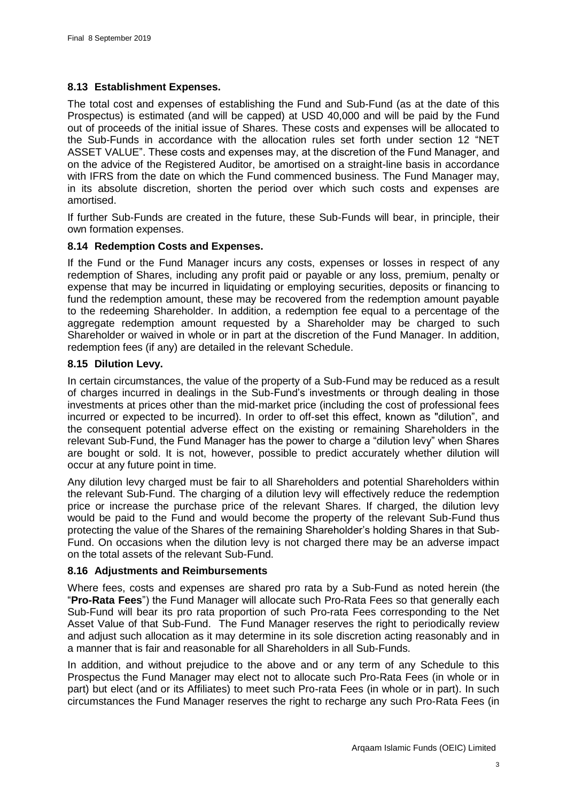# **8.13 Establishment Expenses.**

The total cost and expenses of establishing the Fund and Sub-Fund (as at the date of this Prospectus) is estimated (and will be capped) at USD 40,000 and will be paid by the Fund out of proceeds of the initial issue of Shares. These costs and expenses will be allocated to the Sub-Funds in accordance with the allocation rules set forth under section [12](#page-45-0) ["NET](#page-45-0)  [ASSET VALUE"](#page-45-0). These costs and expenses may, at the discretion of the Fund Manager, and on the advice of the Registered Auditor, be amortised on a straight-line basis in accordance with IFRS from the date on which the Fund commenced business. The Fund Manager may, in its absolute discretion, shorten the period over which such costs and expenses are amortised.

If further Sub-Funds are created in the future, these Sub-Funds will bear, in principle, their own formation expenses.

### **8.14 Redemption Costs and Expenses.**

If the Fund or the Fund Manager incurs any costs, expenses or losses in respect of any redemption of Shares, including any profit paid or payable or any loss, premium, penalty or expense that may be incurred in liquidating or employing securities, deposits or financing to fund the redemption amount, these may be recovered from the redemption amount payable to the redeeming Shareholder. In addition, a redemption fee equal to a percentage of the aggregate redemption amount requested by a Shareholder may be charged to such Shareholder or waived in whole or in part at the discretion of the Fund Manager. In addition, redemption fees (if any) are detailed in the relevant Schedule.

### **8.15 Dilution Levy.**

In certain circumstances, the value of the property of a Sub-Fund may be reduced as a result of charges incurred in dealings in the Sub-Fund's investments or through dealing in those investments at prices other than the mid-market price (including the cost of professional fees incurred or expected to be incurred). In order to off-set this effect, known as "dilution", and the consequent potential adverse effect on the existing or remaining Shareholders in the relevant Sub-Fund, the Fund Manager has the power to charge a "dilution levy" when Shares are bought or sold. It is not, however, possible to predict accurately whether dilution will occur at any future point in time.

Any dilution levy charged must be fair to all Shareholders and potential Shareholders within the relevant Sub-Fund. The charging of a dilution levy will effectively reduce the redemption price or increase the purchase price of the relevant Shares. If charged, the dilution levy would be paid to the Fund and would become the property of the relevant Sub-Fund thus protecting the value of the Shares of the remaining Shareholder's holding Shares in that Sub-Fund. On occasions when the dilution levy is not charged there may be an adverse impact on the total assets of the relevant Sub-Fund.

# **8.16 Adjustments and Reimbursements**

Where fees, costs and expenses are shared pro rata by a Sub-Fund as noted herein (the "**Pro-Rata Fees**") the Fund Manager will allocate such Pro-Rata Fees so that generally each Sub-Fund will bear its pro rata proportion of such Pro-rata Fees corresponding to the Net Asset Value of that Sub-Fund. The Fund Manager reserves the right to periodically review and adjust such allocation as it may determine in its sole discretion acting reasonably and in a manner that is fair and reasonable for all Shareholders in all Sub-Funds.

In addition, and without prejudice to the above and or any term of any Schedule to this Prospectus the Fund Manager may elect not to allocate such Pro-Rata Fees (in whole or in part) but elect (and or its Affiliates) to meet such Pro-rata Fees (in whole or in part). In such circumstances the Fund Manager reserves the right to recharge any such Pro-Rata Fees (in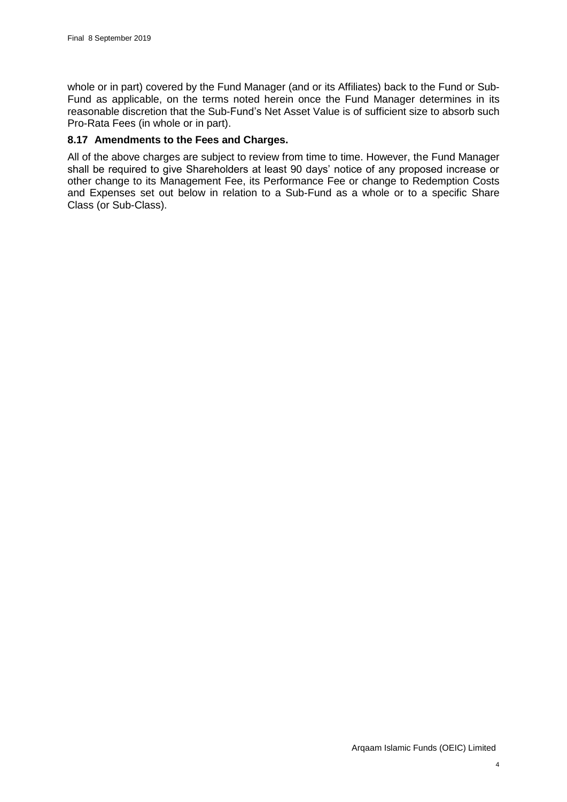whole or in part) covered by the Fund Manager (and or its Affiliates) back to the Fund or Sub-Fund as applicable, on the terms noted herein once the Fund Manager determines in its reasonable discretion that the Sub-Fund's Net Asset Value is of sufficient size to absorb such Pro-Rata Fees (in whole or in part).

### **8.17 Amendments to the Fees and Charges.**

All of the above charges are subject to review from time to time. However, the Fund Manager shall be required to give Shareholders at least 90 days' notice of any proposed increase or other change to its Management Fee, its Performance Fee or change to Redemption Costs and Expenses set out below in relation to a Sub-Fund as a whole or to a specific Share Class (or Sub-Class).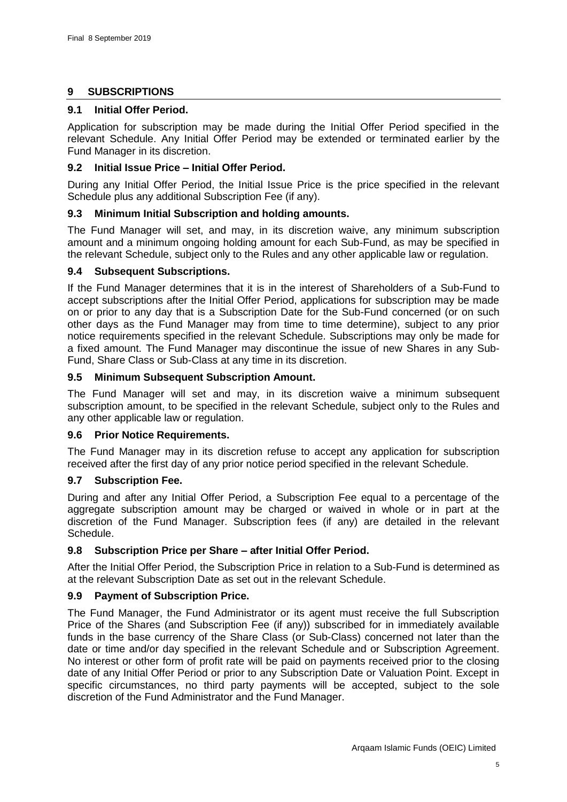# **9 SUBSCRIPTIONS**

# **9.1 Initial Offer Period.**

Application for subscription may be made during the Initial Offer Period specified in the relevant Schedule. Any Initial Offer Period may be extended or terminated earlier by the Fund Manager in its discretion.

# **9.2 Initial Issue Price – Initial Offer Period.**

During any Initial Offer Period, the Initial Issue Price is the price specified in the relevant Schedule plus any additional Subscription Fee (if any).

# **9.3 Minimum Initial Subscription and holding amounts.**

The Fund Manager will set, and may, in its discretion waive, any minimum subscription amount and a minimum ongoing holding amount for each Sub-Fund, as may be specified in the relevant Schedule, subject only to the Rules and any other applicable law or regulation.

# **9.4 Subsequent Subscriptions.**

If the Fund Manager determines that it is in the interest of Shareholders of a Sub-Fund to accept subscriptions after the Initial Offer Period, applications for subscription may be made on or prior to any day that is a Subscription Date for the Sub-Fund concerned (or on such other days as the Fund Manager may from time to time determine), subject to any prior notice requirements specified in the relevant Schedule. Subscriptions may only be made for a fixed amount. The Fund Manager may discontinue the issue of new Shares in any Sub-Fund, Share Class or Sub-Class at any time in its discretion.

# **9.5 Minimum Subsequent Subscription Amount.**

The Fund Manager will set and may, in its discretion waive a minimum subsequent subscription amount, to be specified in the relevant Schedule, subject only to the Rules and any other applicable law or regulation.

# **9.6 Prior Notice Requirements.**

The Fund Manager may in its discretion refuse to accept any application for subscription received after the first day of any prior notice period specified in the relevant Schedule.

# **9.7 Subscription Fee.**

During and after any Initial Offer Period, a Subscription Fee equal to a percentage of the aggregate subscription amount may be charged or waived in whole or in part at the discretion of the Fund Manager. Subscription fees (if any) are detailed in the relevant Schedule.

# **9.8 Subscription Price per Share – after Initial Offer Period.**

After the Initial Offer Period, the Subscription Price in relation to a Sub-Fund is determined as at the relevant Subscription Date as set out in the relevant Schedule.

# **9.9 Payment of Subscription Price.**

The Fund Manager, the Fund Administrator or its agent must receive the full Subscription Price of the Shares (and Subscription Fee (if any)) subscribed for in immediately available funds in the base currency of the Share Class (or Sub-Class) concerned not later than the date or time and/or day specified in the relevant Schedule and or Subscription Agreement. No interest or other form of profit rate will be paid on payments received prior to the closing date of any Initial Offer Period or prior to any Subscription Date or Valuation Point. Except in specific circumstances, no third party payments will be accepted, subject to the sole discretion of the Fund Administrator and the Fund Manager.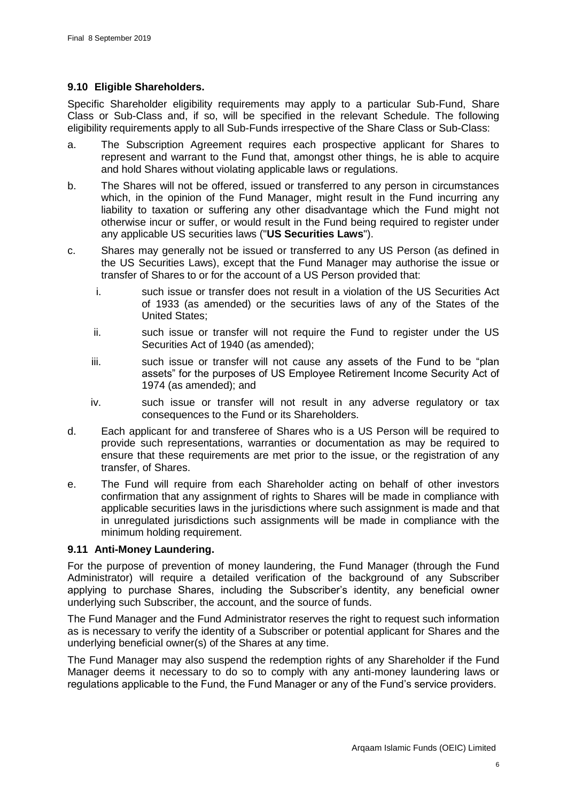# <span id="page-39-0"></span>**9.10 Eligible Shareholders.**

Specific Shareholder eligibility requirements may apply to a particular Sub-Fund, Share Class or Sub-Class and, if so, will be specified in the relevant Schedule. The following eligibility requirements apply to all Sub-Funds irrespective of the Share Class or Sub-Class:

- a. The Subscription Agreement requires each prospective applicant for Shares to represent and warrant to the Fund that, amongst other things, he is able to acquire and hold Shares without violating applicable laws or regulations.
- b. The Shares will not be offered, issued or transferred to any person in circumstances which, in the opinion of the Fund Manager, might result in the Fund incurring any liability to taxation or suffering any other disadvantage which the Fund might not otherwise incur or suffer, or would result in the Fund being required to register under any applicable US securities laws ("**US Securities Laws**").
- c. Shares may generally not be issued or transferred to any US Person (as defined in the US Securities Laws), except that the Fund Manager may authorise the issue or transfer of Shares to or for the account of a US Person provided that:
	- i. such issue or transfer does not result in a violation of the US Securities Act of 1933 (as amended) or the securities laws of any of the States of the United States;
	- ii. such issue or transfer will not require the Fund to register under the US Securities Act of 1940 (as amended);
	- iii. such issue or transfer will not cause any assets of the Fund to be "plan assets" for the purposes of US Employee Retirement Income Security Act of 1974 (as amended); and
	- iv. such issue or transfer will not result in any adverse regulatory or tax consequences to the Fund or its Shareholders.
- d. Each applicant for and transferee of Shares who is a US Person will be required to provide such representations, warranties or documentation as may be required to ensure that these requirements are met prior to the issue, or the registration of any transfer, of Shares.
- e. The Fund will require from each Shareholder acting on behalf of other investors confirmation that any assignment of rights to Shares will be made in compliance with applicable securities laws in the jurisdictions where such assignment is made and that in unregulated jurisdictions such assignments will be made in compliance with the minimum holding requirement.

# <span id="page-39-1"></span>**9.11 Anti-Money Laundering.**

For the purpose of prevention of money laundering, the Fund Manager (through the Fund Administrator) will require a detailed verification of the background of any Subscriber applying to purchase Shares, including the Subscriber's identity, any beneficial owner underlying such Subscriber, the account, and the source of funds.

The Fund Manager and the Fund Administrator reserves the right to request such information as is necessary to verify the identity of a Subscriber or potential applicant for Shares and the underlying beneficial owner(s) of the Shares at any time.

The Fund Manager may also suspend the redemption rights of any Shareholder if the Fund Manager deems it necessary to do so to comply with any anti-money laundering laws or regulations applicable to the Fund, the Fund Manager or any of the Fund's service providers.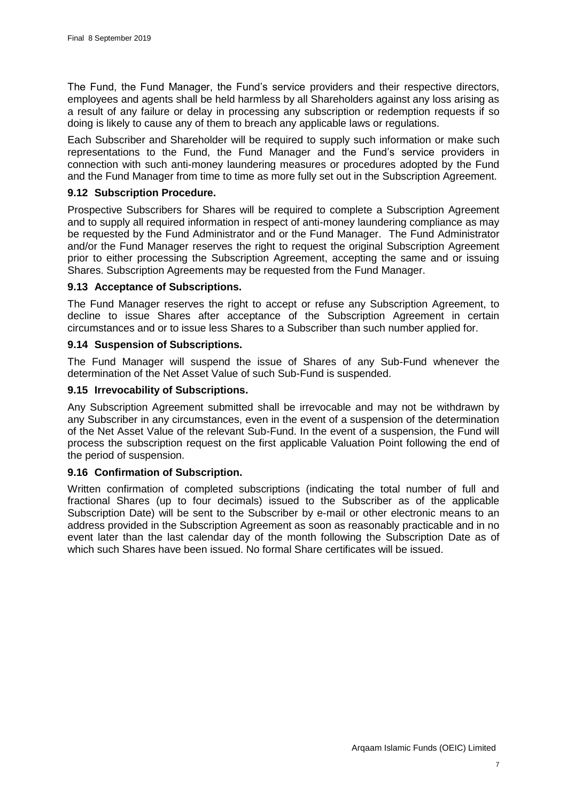The Fund, the Fund Manager, the Fund's service providers and their respective directors, employees and agents shall be held harmless by all Shareholders against any loss arising as a result of any failure or delay in processing any subscription or redemption requests if so doing is likely to cause any of them to breach any applicable laws or regulations.

Each Subscriber and Shareholder will be required to supply such information or make such representations to the Fund, the Fund Manager and the Fund's service providers in connection with such anti-money laundering measures or procedures adopted by the Fund and the Fund Manager from time to time as more fully set out in the Subscription Agreement.

#### **9.12 Subscription Procedure.**

Prospective Subscribers for Shares will be required to complete a Subscription Agreement and to supply all required information in respect of anti-money laundering compliance as may be requested by the Fund Administrator and or the Fund Manager. The Fund Administrator and/or the Fund Manager reserves the right to request the original Subscription Agreement prior to either processing the Subscription Agreement, accepting the same and or issuing Shares. Subscription Agreements may be requested from the Fund Manager.

# **9.13 Acceptance of Subscriptions.**

The Fund Manager reserves the right to accept or refuse any Subscription Agreement, to decline to issue Shares after acceptance of the Subscription Agreement in certain circumstances and or to issue less Shares to a Subscriber than such number applied for.

### **9.14 Suspension of Subscriptions.**

The Fund Manager will suspend the issue of Shares of any Sub-Fund whenever the determination of the Net Asset Value of such Sub-Fund is suspended.

### **9.15 Irrevocability of Subscriptions.**

Any Subscription Agreement submitted shall be irrevocable and may not be withdrawn by any Subscriber in any circumstances, even in the event of a suspension of the determination of the Net Asset Value of the relevant Sub-Fund. In the event of a suspension, the Fund will process the subscription request on the first applicable Valuation Point following the end of the period of suspension.

# **9.16 Confirmation of Subscription.**

Written confirmation of completed subscriptions (indicating the total number of full and fractional Shares (up to four decimals) issued to the Subscriber as of the applicable Subscription Date) will be sent to the Subscriber by e-mail or other electronic means to an address provided in the Subscription Agreement as soon as reasonably practicable and in no event later than the last calendar day of the month following the Subscription Date as of which such Shares have been issued. No formal Share certificates will be issued.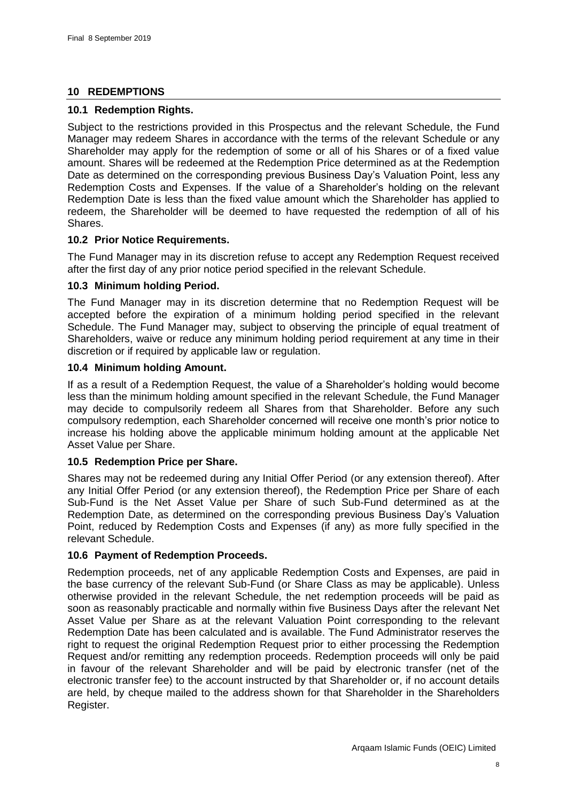# **10 REDEMPTIONS**

### **10.1 Redemption Rights.**

Subject to the restrictions provided in this Prospectus and the relevant Schedule, the Fund Manager may redeem Shares in accordance with the terms of the relevant Schedule or any Shareholder may apply for the redemption of some or all of his Shares or of a fixed value amount. Shares will be redeemed at the Redemption Price determined as at the Redemption Date as determined on the corresponding previous Business Day's Valuation Point, less any Redemption Costs and Expenses. If the value of a Shareholder's holding on the relevant Redemption Date is less than the fixed value amount which the Shareholder has applied to redeem, the Shareholder will be deemed to have requested the redemption of all of his Shares.

# **10.2 Prior Notice Requirements.**

The Fund Manager may in its discretion refuse to accept any Redemption Request received after the first day of any prior notice period specified in the relevant Schedule.

### **10.3 Minimum holding Period.**

The Fund Manager may in its discretion determine that no Redemption Request will be accepted before the expiration of a minimum holding period specified in the relevant Schedule. The Fund Manager may, subject to observing the principle of equal treatment of Shareholders, waive or reduce any minimum holding period requirement at any time in their discretion or if required by applicable law or regulation.

### **10.4 Minimum holding Amount.**

If as a result of a Redemption Request, the value of a Shareholder's holding would become less than the minimum holding amount specified in the relevant Schedule, the Fund Manager may decide to compulsorily redeem all Shares from that Shareholder. Before any such compulsory redemption, each Shareholder concerned will receive one month's prior notice to increase his holding above the applicable minimum holding amount at the applicable Net Asset Value per Share.

# **10.5 Redemption Price per Share.**

Shares may not be redeemed during any Initial Offer Period (or any extension thereof). After any Initial Offer Period (or any extension thereof), the Redemption Price per Share of each Sub-Fund is the Net Asset Value per Share of such Sub-Fund determined as at the Redemption Date, as determined on the corresponding previous Business Day's Valuation Point, reduced by Redemption Costs and Expenses (if any) as more fully specified in the relevant Schedule.

# **10.6 Payment of Redemption Proceeds.**

Redemption proceeds, net of any applicable Redemption Costs and Expenses, are paid in the base currency of the relevant Sub-Fund (or Share Class as may be applicable). Unless otherwise provided in the relevant Schedule, the net redemption proceeds will be paid as soon as reasonably practicable and normally within five Business Days after the relevant Net Asset Value per Share as at the relevant Valuation Point corresponding to the relevant Redemption Date has been calculated and is available. The Fund Administrator reserves the right to request the original Redemption Request prior to either processing the Redemption Request and/or remitting any redemption proceeds. Redemption proceeds will only be paid in favour of the relevant Shareholder and will be paid by electronic transfer (net of the electronic transfer fee) to the account instructed by that Shareholder or, if no account details are held, by cheque mailed to the address shown for that Shareholder in the Shareholders Register.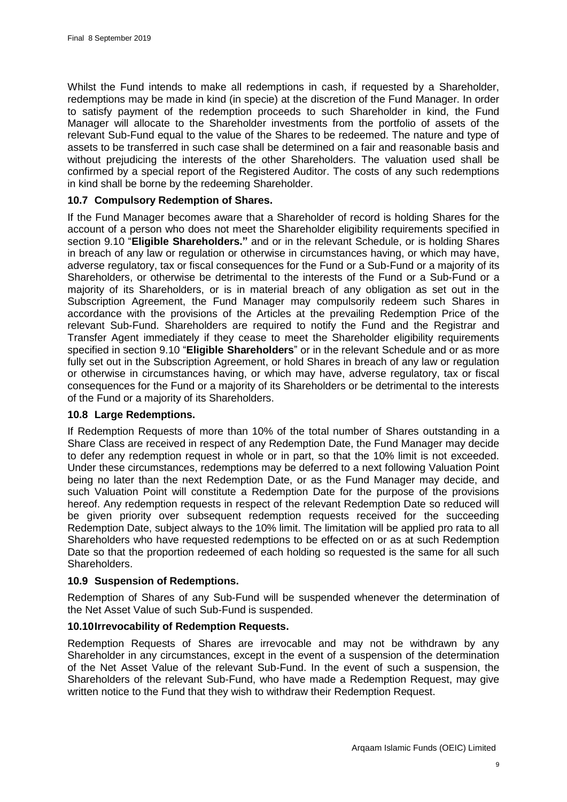Whilst the Fund intends to make all redemptions in cash, if requested by a Shareholder, redemptions may be made in kind (in specie) at the discretion of the Fund Manager. In order to satisfy payment of the redemption proceeds to such Shareholder in kind, the Fund Manager will allocate to the Shareholder investments from the portfolio of assets of the relevant Sub-Fund equal to the value of the Shares to be redeemed. The nature and type of assets to be transferred in such case shall be determined on a fair and reasonable basis and without prejudicing the interests of the other Shareholders. The valuation used shall be confirmed by a special report of the Registered Auditor. The costs of any such redemptions in kind shall be borne by the redeeming Shareholder.

# **10.7 Compulsory Redemption of Shares.**

If the Fund Manager becomes aware that a Shareholder of record is holding Shares for the account of a person who does not meet the Shareholder eligibility requirements specified in section [9.10](#page-39-0) "**[Eligible Shareholders."](#page-39-0)** and or in the relevant Schedule, or is holding Shares in breach of any law or regulation or otherwise in circumstances having, or which may have, adverse regulatory, tax or fiscal consequences for the Fund or a Sub-Fund or a majority of its Shareholders, or otherwise be detrimental to the interests of the Fund or a Sub-Fund or a majority of its Shareholders, or is in material breach of any obligation as set out in the Subscription Agreement, the Fund Manager may compulsorily redeem such Shares in accordance with the provisions of the Articles at the prevailing Redemption Price of the relevant Sub-Fund. Shareholders are required to notify the Fund and the Registrar and Transfer Agent immediately if they cease to meet the Shareholder eligibility requirements specified in section [9.10](#page-39-0) "**Eligible Shareholders**" or in the relevant Schedule and or as more fully set out in the Subscription Agreement, or hold Shares in breach of any law or regulation or otherwise in circumstances having, or which may have, adverse regulatory, tax or fiscal consequences for the Fund or a majority of its Shareholders or be detrimental to the interests of the Fund or a majority of its Shareholders.

# **10.8 Large Redemptions.**

If Redemption Requests of more than 10% of the total number of Shares outstanding in a Share Class are received in respect of any Redemption Date, the Fund Manager may decide to defer any redemption request in whole or in part, so that the 10% limit is not exceeded. Under these circumstances, redemptions may be deferred to a next following Valuation Point being no later than the next Redemption Date, or as the Fund Manager may decide, and such Valuation Point will constitute a Redemption Date for the purpose of the provisions hereof. Any redemption requests in respect of the relevant Redemption Date so reduced will be given priority over subsequent redemption requests received for the succeeding Redemption Date, subject always to the 10% limit. The limitation will be applied pro rata to all Shareholders who have requested redemptions to be effected on or as at such Redemption Date so that the proportion redeemed of each holding so requested is the same for all such Shareholders.

#### **10.9 Suspension of Redemptions.**

Redemption of Shares of any Sub-Fund will be suspended whenever the determination of the Net Asset Value of such Sub-Fund is suspended.

#### **10.10Irrevocability of Redemption Requests.**

Redemption Requests of Shares are irrevocable and may not be withdrawn by any Shareholder in any circumstances, except in the event of a suspension of the determination of the Net Asset Value of the relevant Sub-Fund. In the event of such a suspension, the Shareholders of the relevant Sub-Fund, who have made a Redemption Request, may give written notice to the Fund that they wish to withdraw their Redemption Request.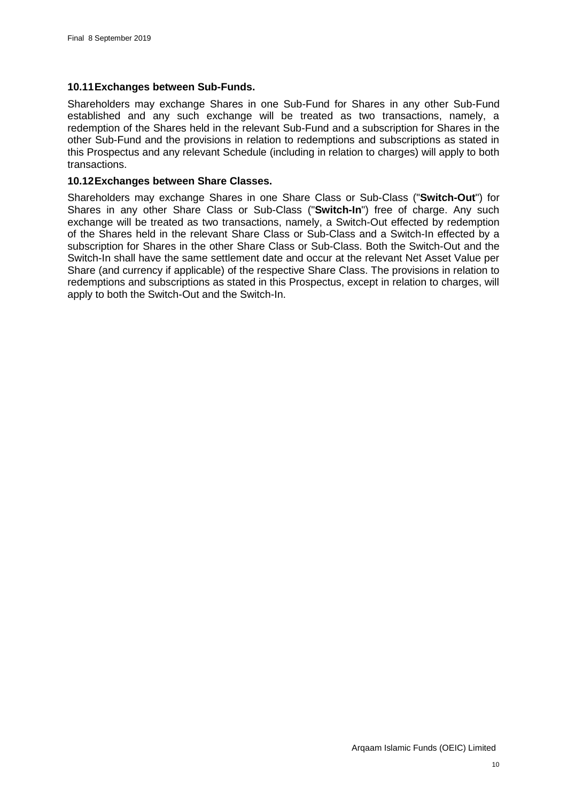# **10.11Exchanges between Sub-Funds.**

Shareholders may exchange Shares in one Sub-Fund for Shares in any other Sub-Fund established and any such exchange will be treated as two transactions, namely, a redemption of the Shares held in the relevant Sub-Fund and a subscription for Shares in the other Sub-Fund and the provisions in relation to redemptions and subscriptions as stated in this Prospectus and any relevant Schedule (including in relation to charges) will apply to both transactions.

# **10.12Exchanges between Share Classes.**

Shareholders may exchange Shares in one Share Class or Sub-Class ("**Switch-Out**") for Shares in any other Share Class or Sub-Class ("**Switch-In**") free of charge. Any such exchange will be treated as two transactions, namely, a Switch-Out effected by redemption of the Shares held in the relevant Share Class or Sub-Class and a Switch-In effected by a subscription for Shares in the other Share Class or Sub-Class. Both the Switch-Out and the Switch-In shall have the same settlement date and occur at the relevant Net Asset Value per Share (and currency if applicable) of the respective Share Class. The provisions in relation to redemptions and subscriptions as stated in this Prospectus, except in relation to charges, will apply to both the Switch-Out and the Switch-In.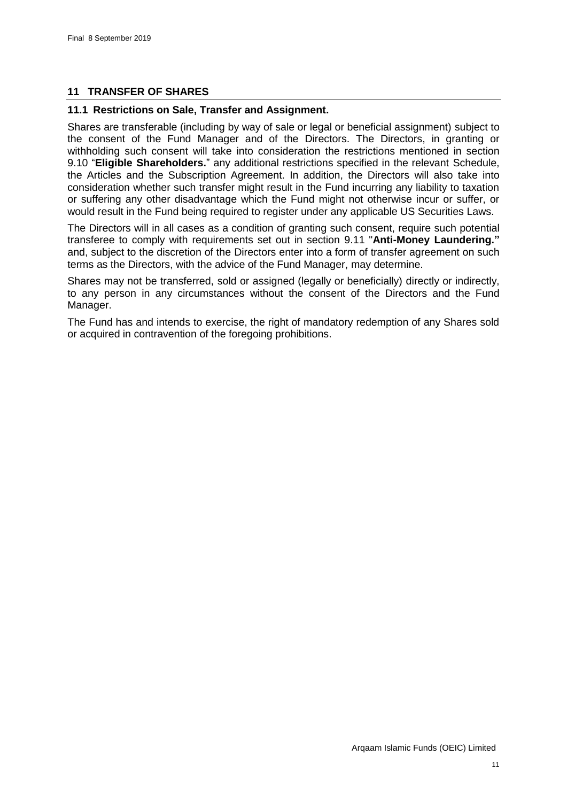# **11 TRANSFER OF SHARES**

#### **11.1 Restrictions on Sale, Transfer and Assignment.**

Shares are transferable (including by way of sale or legal or beneficial assignment) subject to the consent of the Fund Manager and of the Directors. The Directors, in granting or withholding such consent will take into consideration the restrictions mentioned in section [9.10](#page-39-0) "**[Eligible Shareholders.](#page-39-0)**" any additional restrictions specified in the relevant Schedule, the Articles and the Subscription Agreement. In addition, the Directors will also take into consideration whether such transfer might result in the Fund incurring any liability to taxation or suffering any other disadvantage which the Fund might not otherwise incur or suffer, or would result in the Fund being required to register under any applicable US Securities Laws.

The Directors will in all cases as a condition of granting such consent, require such potential transferee to comply with requirements set out in section [9.11](#page-39-1) "**[Anti-Money Laundering."](#page-39-1)** and, subject to the discretion of the Directors enter into a form of transfer agreement on such terms as the Directors, with the advice of the Fund Manager, may determine.

Shares may not be transferred, sold or assigned (legally or beneficially) directly or indirectly, to any person in any circumstances without the consent of the Directors and the Fund Manager.

The Fund has and intends to exercise, the right of mandatory redemption of any Shares sold or acquired in contravention of the foregoing prohibitions.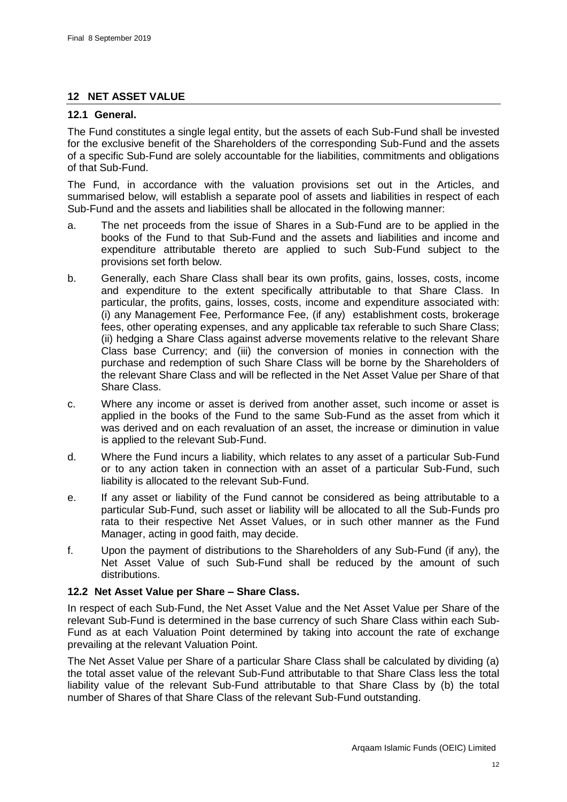# <span id="page-45-0"></span>**12 NET ASSET VALUE**

### **12.1 General.**

The Fund constitutes a single legal entity, but the assets of each Sub-Fund shall be invested for the exclusive benefit of the Shareholders of the corresponding Sub-Fund and the assets of a specific Sub-Fund are solely accountable for the liabilities, commitments and obligations of that Sub-Fund.

The Fund, in accordance with the valuation provisions set out in the Articles, and summarised below, will establish a separate pool of assets and liabilities in respect of each Sub-Fund and the assets and liabilities shall be allocated in the following manner:

- a. The net proceeds from the issue of Shares in a Sub-Fund are to be applied in the books of the Fund to that Sub-Fund and the assets and liabilities and income and expenditure attributable thereto are applied to such Sub-Fund subject to the provisions set forth below.
- b. Generally, each Share Class shall bear its own profits, gains, losses, costs, income and expenditure to the extent specifically attributable to that Share Class. In particular, the profits, gains, losses, costs, income and expenditure associated with: (i) any Management Fee, Performance Fee, (if any) establishment costs, brokerage fees, other operating expenses, and any applicable tax referable to such Share Class; (ii) hedging a Share Class against adverse movements relative to the relevant Share Class base Currency; and (iii) the conversion of monies in connection with the purchase and redemption of such Share Class will be borne by the Shareholders of the relevant Share Class and will be reflected in the Net Asset Value per Share of that Share Class.
- c. Where any income or asset is derived from another asset, such income or asset is applied in the books of the Fund to the same Sub-Fund as the asset from which it was derived and on each revaluation of an asset, the increase or diminution in value is applied to the relevant Sub-Fund.
- d. Where the Fund incurs a liability, which relates to any asset of a particular Sub-Fund or to any action taken in connection with an asset of a particular Sub-Fund, such liability is allocated to the relevant Sub-Fund.
- e. If any asset or liability of the Fund cannot be considered as being attributable to a particular Sub-Fund, such asset or liability will be allocated to all the Sub-Funds pro rata to their respective Net Asset Values, or in such other manner as the Fund Manager, acting in good faith, may decide.
- f. Upon the payment of distributions to the Shareholders of any Sub-Fund (if any), the Net Asset Value of such Sub-Fund shall be reduced by the amount of such distributions.

# **12.2 Net Asset Value per Share – Share Class.**

In respect of each Sub-Fund, the Net Asset Value and the Net Asset Value per Share of the relevant Sub-Fund is determined in the base currency of such Share Class within each Sub-Fund as at each Valuation Point determined by taking into account the rate of exchange prevailing at the relevant Valuation Point.

The Net Asset Value per Share of a particular Share Class shall be calculated by dividing (a) the total asset value of the relevant Sub-Fund attributable to that Share Class less the total liability value of the relevant Sub-Fund attributable to that Share Class by (b) the total number of Shares of that Share Class of the relevant Sub-Fund outstanding.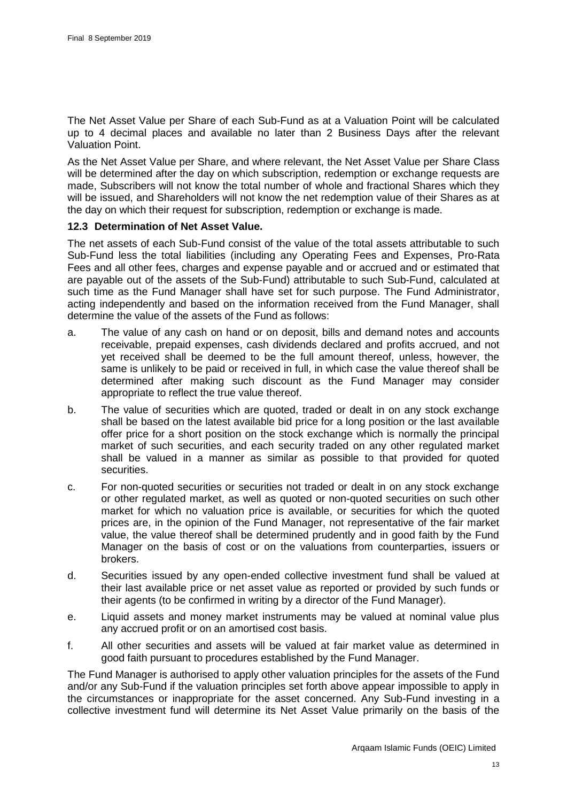The Net Asset Value per Share of each Sub-Fund as at a Valuation Point will be calculated up to 4 decimal places and available no later than 2 Business Days after the relevant Valuation Point.

As the Net Asset Value per Share, and where relevant, the Net Asset Value per Share Class will be determined after the day on which subscription, redemption or exchange requests are made, Subscribers will not know the total number of whole and fractional Shares which they will be issued, and Shareholders will not know the net redemption value of their Shares as at the day on which their request for subscription, redemption or exchange is made.

### **12.3 Determination of Net Asset Value.**

The net assets of each Sub-Fund consist of the value of the total assets attributable to such Sub-Fund less the total liabilities (including any Operating Fees and Expenses, Pro-Rata Fees and all other fees, charges and expense payable and or accrued and or estimated that are payable out of the assets of the Sub-Fund) attributable to such Sub-Fund, calculated at such time as the Fund Manager shall have set for such purpose. The Fund Administrator, acting independently and based on the information received from the Fund Manager, shall determine the value of the assets of the Fund as follows:

- a. The value of any cash on hand or on deposit, bills and demand notes and accounts receivable, prepaid expenses, cash dividends declared and profits accrued, and not yet received shall be deemed to be the full amount thereof, unless, however, the same is unlikely to be paid or received in full, in which case the value thereof shall be determined after making such discount as the Fund Manager may consider appropriate to reflect the true value thereof.
- b. The value of securities which are quoted, traded or dealt in on any stock exchange shall be based on the latest available bid price for a long position or the last available offer price for a short position on the stock exchange which is normally the principal market of such securities, and each security traded on any other regulated market shall be valued in a manner as similar as possible to that provided for quoted securities.
- c. For non-quoted securities or securities not traded or dealt in on any stock exchange or other regulated market, as well as quoted or non-quoted securities on such other market for which no valuation price is available, or securities for which the quoted prices are, in the opinion of the Fund Manager, not representative of the fair market value, the value thereof shall be determined prudently and in good faith by the Fund Manager on the basis of cost or on the valuations from counterparties, issuers or brokers.
- d. Securities issued by any open-ended collective investment fund shall be valued at their last available price or net asset value as reported or provided by such funds or their agents (to be confirmed in writing by a director of the Fund Manager).
- e. Liquid assets and money market instruments may be valued at nominal value plus any accrued profit or on an amortised cost basis.
- f. All other securities and assets will be valued at fair market value as determined in good faith pursuant to procedures established by the Fund Manager.

The Fund Manager is authorised to apply other valuation principles for the assets of the Fund and/or any Sub-Fund if the valuation principles set forth above appear impossible to apply in the circumstances or inappropriate for the asset concerned. Any Sub-Fund investing in a collective investment fund will determine its Net Asset Value primarily on the basis of the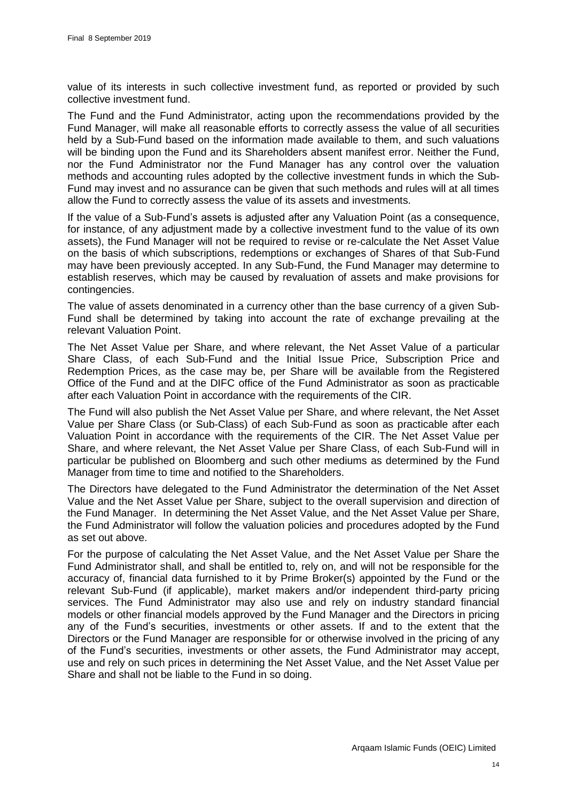value of its interests in such collective investment fund, as reported or provided by such collective investment fund.

The Fund and the Fund Administrator, acting upon the recommendations provided by the Fund Manager, will make all reasonable efforts to correctly assess the value of all securities held by a Sub-Fund based on the information made available to them, and such valuations will be binding upon the Fund and its Shareholders absent manifest error. Neither the Fund, nor the Fund Administrator nor the Fund Manager has any control over the valuation methods and accounting rules adopted by the collective investment funds in which the Sub-Fund may invest and no assurance can be given that such methods and rules will at all times allow the Fund to correctly assess the value of its assets and investments.

If the value of a Sub-Fund's assets is adjusted after any Valuation Point (as a consequence, for instance, of any adjustment made by a collective investment fund to the value of its own assets), the Fund Manager will not be required to revise or re-calculate the Net Asset Value on the basis of which subscriptions, redemptions or exchanges of Shares of that Sub-Fund may have been previously accepted. In any Sub-Fund, the Fund Manager may determine to establish reserves, which may be caused by revaluation of assets and make provisions for contingencies.

The value of assets denominated in a currency other than the base currency of a given Sub-Fund shall be determined by taking into account the rate of exchange prevailing at the relevant Valuation Point.

The Net Asset Value per Share, and where relevant, the Net Asset Value of a particular Share Class, of each Sub-Fund and the Initial Issue Price, Subscription Price and Redemption Prices, as the case may be, per Share will be available from the Registered Office of the Fund and at the DIFC office of the Fund Administrator as soon as practicable after each Valuation Point in accordance with the requirements of the CIR.

The Fund will also publish the Net Asset Value per Share, and where relevant, the Net Asset Value per Share Class (or Sub-Class) of each Sub-Fund as soon as practicable after each Valuation Point in accordance with the requirements of the CIR. The Net Asset Value per Share, and where relevant, the Net Asset Value per Share Class, of each Sub-Fund will in particular be published on Bloomberg and such other mediums as determined by the Fund Manager from time to time and notified to the Shareholders.

The Directors have delegated to the Fund Administrator the determination of the Net Asset Value and the Net Asset Value per Share, subject to the overall supervision and direction of the Fund Manager. In determining the Net Asset Value, and the Net Asset Value per Share, the Fund Administrator will follow the valuation policies and procedures adopted by the Fund as set out above.

For the purpose of calculating the Net Asset Value, and the Net Asset Value per Share the Fund Administrator shall, and shall be entitled to, rely on, and will not be responsible for the accuracy of, financial data furnished to it by Prime Broker(s) appointed by the Fund or the relevant Sub-Fund (if applicable), market makers and/or independent third-party pricing services. The Fund Administrator may also use and rely on industry standard financial models or other financial models approved by the Fund Manager and the Directors in pricing any of the Fund's securities, investments or other assets. If and to the extent that the Directors or the Fund Manager are responsible for or otherwise involved in the pricing of any of the Fund's securities, investments or other assets, the Fund Administrator may accept, use and rely on such prices in determining the Net Asset Value, and the Net Asset Value per Share and shall not be liable to the Fund in so doing.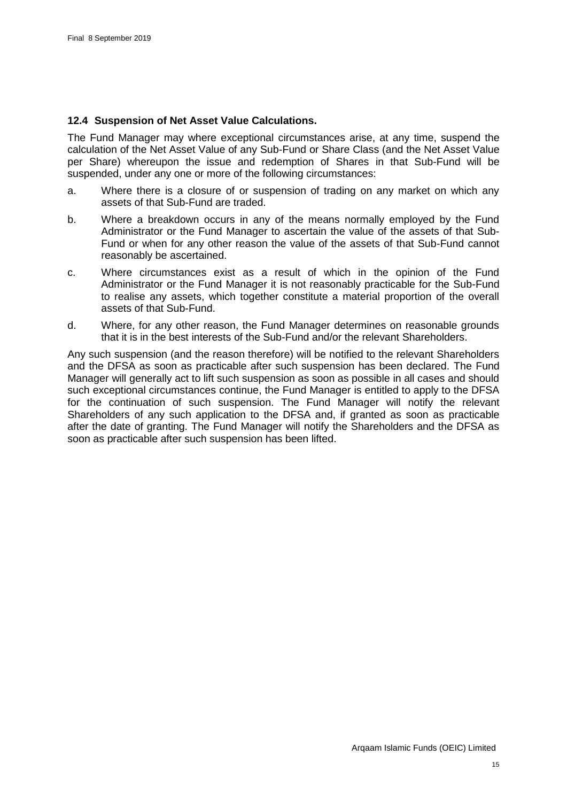#### **12.4 Suspension of Net Asset Value Calculations.**

The Fund Manager may where exceptional circumstances arise, at any time, suspend the calculation of the Net Asset Value of any Sub-Fund or Share Class (and the Net Asset Value per Share) whereupon the issue and redemption of Shares in that Sub-Fund will be suspended, under any one or more of the following circumstances:

- a. Where there is a closure of or suspension of trading on any market on which any assets of that Sub-Fund are traded.
- b. Where a breakdown occurs in any of the means normally employed by the Fund Administrator or the Fund Manager to ascertain the value of the assets of that Sub-Fund or when for any other reason the value of the assets of that Sub-Fund cannot reasonably be ascertained.
- c. Where circumstances exist as a result of which in the opinion of the Fund Administrator or the Fund Manager it is not reasonably practicable for the Sub-Fund to realise any assets, which together constitute a material proportion of the overall assets of that Sub-Fund.
- d. Where, for any other reason, the Fund Manager determines on reasonable grounds that it is in the best interests of the Sub-Fund and/or the relevant Shareholders.

Any such suspension (and the reason therefore) will be notified to the relevant Shareholders and the DFSA as soon as practicable after such suspension has been declared. The Fund Manager will generally act to lift such suspension as soon as possible in all cases and should such exceptional circumstances continue, the Fund Manager is entitled to apply to the DFSA for the continuation of such suspension. The Fund Manager will notify the relevant Shareholders of any such application to the DFSA and, if granted as soon as practicable after the date of granting. The Fund Manager will notify the Shareholders and the DFSA as soon as practicable after such suspension has been lifted.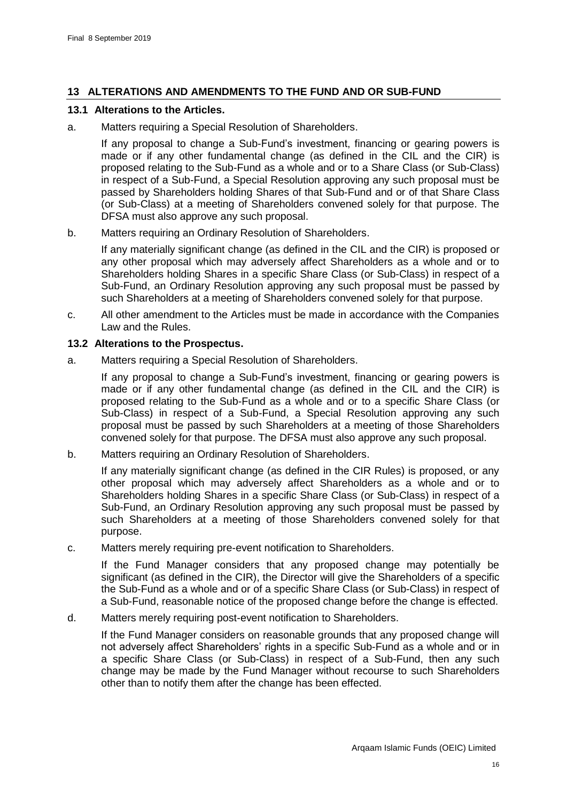# **13 ALTERATIONS AND AMENDMENTS TO THE FUND AND OR SUB-FUND**

#### **13.1 Alterations to the Articles.**

a. Matters requiring a Special Resolution of Shareholders.

If any proposal to change a Sub-Fund's investment, financing or gearing powers is made or if any other fundamental change (as defined in the CIL and the CIR) is proposed relating to the Sub-Fund as a whole and or to a Share Class (or Sub-Class) in respect of a Sub-Fund, a Special Resolution approving any such proposal must be passed by Shareholders holding Shares of that Sub-Fund and or of that Share Class (or Sub-Class) at a meeting of Shareholders convened solely for that purpose. The DFSA must also approve any such proposal.

b. Matters requiring an Ordinary Resolution of Shareholders.

If any materially significant change (as defined in the CIL and the CIR) is proposed or any other proposal which may adversely affect Shareholders as a whole and or to Shareholders holding Shares in a specific Share Class (or Sub-Class) in respect of a Sub-Fund, an Ordinary Resolution approving any such proposal must be passed by such Shareholders at a meeting of Shareholders convened solely for that purpose.

c. All other amendment to the Articles must be made in accordance with the Companies Law and the Rules.

### **13.2 Alterations to the Prospectus.**

a. Matters requiring a Special Resolution of Shareholders.

If any proposal to change a Sub-Fund's investment, financing or gearing powers is made or if any other fundamental change (as defined in the CIL and the CIR) is proposed relating to the Sub-Fund as a whole and or to a specific Share Class (or Sub-Class) in respect of a Sub-Fund, a Special Resolution approving any such proposal must be passed by such Shareholders at a meeting of those Shareholders convened solely for that purpose. The DFSA must also approve any such proposal.

b. Matters requiring an Ordinary Resolution of Shareholders.

If any materially significant change (as defined in the CIR Rules) is proposed, or any other proposal which may adversely affect Shareholders as a whole and or to Shareholders holding Shares in a specific Share Class (or Sub-Class) in respect of a Sub-Fund, an Ordinary Resolution approving any such proposal must be passed by such Shareholders at a meeting of those Shareholders convened solely for that purpose.

c. Matters merely requiring pre-event notification to Shareholders.

If the Fund Manager considers that any proposed change may potentially be significant (as defined in the CIR), the Director will give the Shareholders of a specific the Sub-Fund as a whole and or of a specific Share Class (or Sub-Class) in respect of a Sub-Fund, reasonable notice of the proposed change before the change is effected.

d. Matters merely requiring post-event notification to Shareholders.

If the Fund Manager considers on reasonable grounds that any proposed change will not adversely affect Shareholders' rights in a specific Sub-Fund as a whole and or in a specific Share Class (or Sub-Class) in respect of a Sub-Fund, then any such change may be made by the Fund Manager without recourse to such Shareholders other than to notify them after the change has been effected.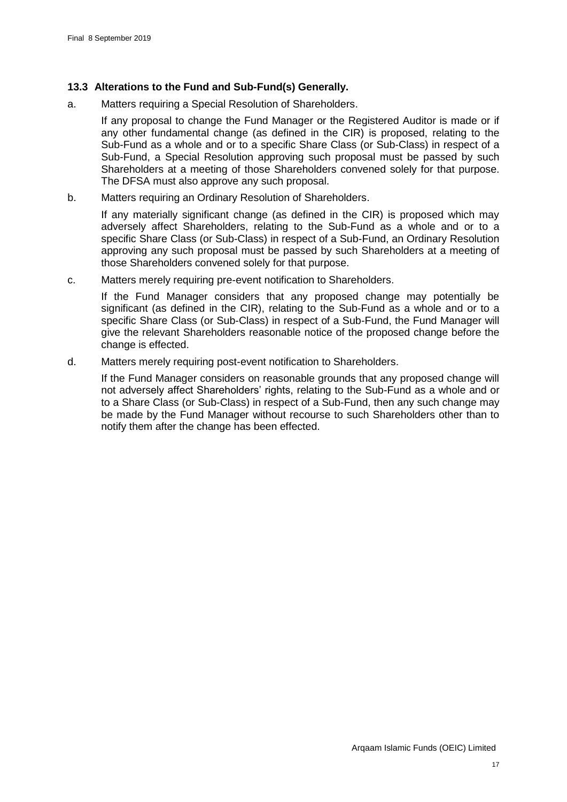# **13.3 Alterations to the Fund and Sub-Fund(s) Generally.**

a. Matters requiring a Special Resolution of Shareholders.

If any proposal to change the Fund Manager or the Registered Auditor is made or if any other fundamental change (as defined in the CIR) is proposed, relating to the Sub-Fund as a whole and or to a specific Share Class (or Sub-Class) in respect of a Sub-Fund, a Special Resolution approving such proposal must be passed by such Shareholders at a meeting of those Shareholders convened solely for that purpose. The DFSA must also approve any such proposal.

b. Matters requiring an Ordinary Resolution of Shareholders.

If any materially significant change (as defined in the CIR) is proposed which may adversely affect Shareholders, relating to the Sub-Fund as a whole and or to a specific Share Class (or Sub-Class) in respect of a Sub-Fund, an Ordinary Resolution approving any such proposal must be passed by such Shareholders at a meeting of those Shareholders convened solely for that purpose.

c. Matters merely requiring pre-event notification to Shareholders.

If the Fund Manager considers that any proposed change may potentially be significant (as defined in the CIR), relating to the Sub-Fund as a whole and or to a specific Share Class (or Sub-Class) in respect of a Sub-Fund, the Fund Manager will give the relevant Shareholders reasonable notice of the proposed change before the change is effected.

d. Matters merely requiring post-event notification to Shareholders.

If the Fund Manager considers on reasonable grounds that any proposed change will not adversely affect Shareholders' rights, relating to the Sub-Fund as a whole and or to a Share Class (or Sub-Class) in respect of a Sub-Fund, then any such change may be made by the Fund Manager without recourse to such Shareholders other than to notify them after the change has been effected.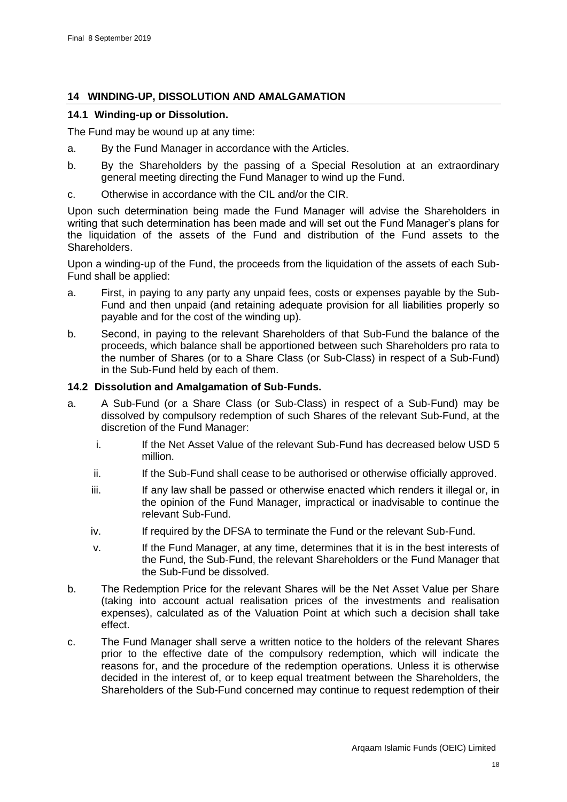# **14 WINDING-UP, DISSOLUTION AND AMALGAMATION**

### **14.1 Winding-up or Dissolution.**

The Fund may be wound up at any time:

- a. By the Fund Manager in accordance with the Articles.
- b. By the Shareholders by the passing of a Special Resolution at an extraordinary general meeting directing the Fund Manager to wind up the Fund.
- c. Otherwise in accordance with the CIL and/or the CIR.

Upon such determination being made the Fund Manager will advise the Shareholders in writing that such determination has been made and will set out the Fund Manager's plans for the liquidation of the assets of the Fund and distribution of the Fund assets to the Shareholders.

Upon a winding-up of the Fund, the proceeds from the liquidation of the assets of each Sub-Fund shall be applied:

- a. First, in paying to any party any unpaid fees, costs or expenses payable by the Sub-Fund and then unpaid (and retaining adequate provision for all liabilities properly so payable and for the cost of the winding up).
- b. Second, in paying to the relevant Shareholders of that Sub-Fund the balance of the proceeds, which balance shall be apportioned between such Shareholders pro rata to the number of Shares (or to a Share Class (or Sub-Class) in respect of a Sub-Fund) in the Sub-Fund held by each of them.

### **14.2 Dissolution and Amalgamation of Sub-Funds.**

- a. A Sub-Fund (or a Share Class (or Sub-Class) in respect of a Sub-Fund) may be dissolved by compulsory redemption of such Shares of the relevant Sub-Fund, at the discretion of the Fund Manager:
	- i. If the Net Asset Value of the relevant Sub-Fund has decreased below USD 5 million.
	- ii. If the Sub-Fund shall cease to be authorised or otherwise officially approved.
	- iii. If any law shall be passed or otherwise enacted which renders it illegal or, in the opinion of the Fund Manager, impractical or inadvisable to continue the relevant Sub-Fund.
	- iv. If required by the DFSA to terminate the Fund or the relevant Sub-Fund.
	- v. If the Fund Manager, at any time, determines that it is in the best interests of the Fund, the Sub-Fund, the relevant Shareholders or the Fund Manager that the Sub-Fund be dissolved.
- b. The Redemption Price for the relevant Shares will be the Net Asset Value per Share (taking into account actual realisation prices of the investments and realisation expenses), calculated as of the Valuation Point at which such a decision shall take effect.
- c. The Fund Manager shall serve a written notice to the holders of the relevant Shares prior to the effective date of the compulsory redemption, which will indicate the reasons for, and the procedure of the redemption operations. Unless it is otherwise decided in the interest of, or to keep equal treatment between the Shareholders, the Shareholders of the Sub-Fund concerned may continue to request redemption of their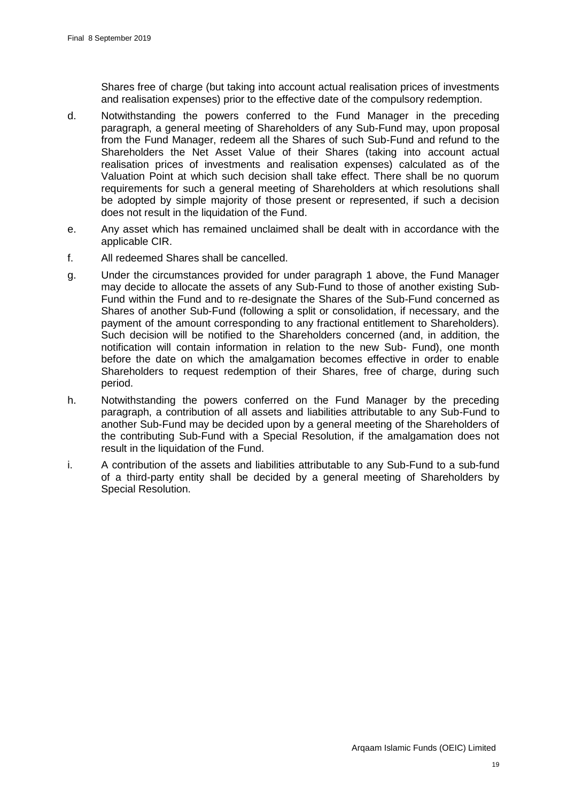Shares free of charge (but taking into account actual realisation prices of investments and realisation expenses) prior to the effective date of the compulsory redemption.

- d. Notwithstanding the powers conferred to the Fund Manager in the preceding paragraph, a general meeting of Shareholders of any Sub-Fund may, upon proposal from the Fund Manager, redeem all the Shares of such Sub-Fund and refund to the Shareholders the Net Asset Value of their Shares (taking into account actual realisation prices of investments and realisation expenses) calculated as of the Valuation Point at which such decision shall take effect. There shall be no quorum requirements for such a general meeting of Shareholders at which resolutions shall be adopted by simple majority of those present or represented, if such a decision does not result in the liquidation of the Fund.
- e. Any asset which has remained unclaimed shall be dealt with in accordance with the applicable CIR.
- f. All redeemed Shares shall be cancelled.
- g. Under the circumstances provided for under paragraph 1 above, the Fund Manager may decide to allocate the assets of any Sub-Fund to those of another existing Sub-Fund within the Fund and to re-designate the Shares of the Sub-Fund concerned as Shares of another Sub-Fund (following a split or consolidation, if necessary, and the payment of the amount corresponding to any fractional entitlement to Shareholders). Such decision will be notified to the Shareholders concerned (and, in addition, the notification will contain information in relation to the new Sub- Fund), one month before the date on which the amalgamation becomes effective in order to enable Shareholders to request redemption of their Shares, free of charge, during such period.
- h. Notwithstanding the powers conferred on the Fund Manager by the preceding paragraph, a contribution of all assets and liabilities attributable to any Sub-Fund to another Sub-Fund may be decided upon by a general meeting of the Shareholders of the contributing Sub-Fund with a Special Resolution, if the amalgamation does not result in the liquidation of the Fund.
- i. A contribution of the assets and liabilities attributable to any Sub-Fund to a sub-fund of a third-party entity shall be decided by a general meeting of Shareholders by Special Resolution.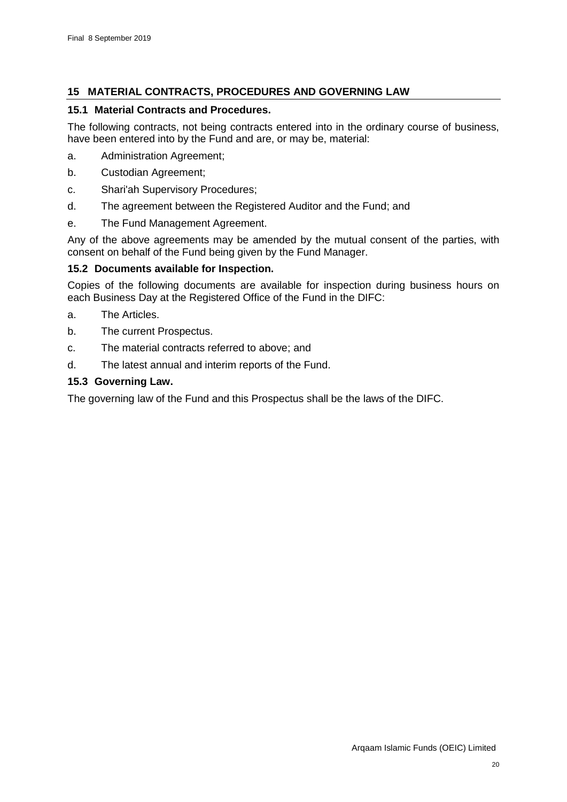# <span id="page-53-0"></span>**15 MATERIAL CONTRACTS, PROCEDURES AND GOVERNING LAW**

# **15.1 Material Contracts and Procedures.**

The following contracts, not being contracts entered into in the ordinary course of business, have been entered into by the Fund and are, or may be, material:

- a. Administration Agreement;
- b. Custodian Agreement;
- c. Shari'ah Supervisory Procedures;
- d. The agreement between the Registered Auditor and the Fund; and
- e. The Fund Management Agreement.

Any of the above agreements may be amended by the mutual consent of the parties, with consent on behalf of the Fund being given by the Fund Manager.

# **15.2 Documents available for Inspection.**

Copies of the following documents are available for inspection during business hours on each Business Day at the Registered Office of the Fund in the DIFC:

- a. The Articles.
- b. The current Prospectus.
- c. The material contracts referred to above; and
- d. The latest annual and interim reports of the Fund.

# **15.3 Governing Law.**

The governing law of the Fund and this Prospectus shall be the laws of the DIFC.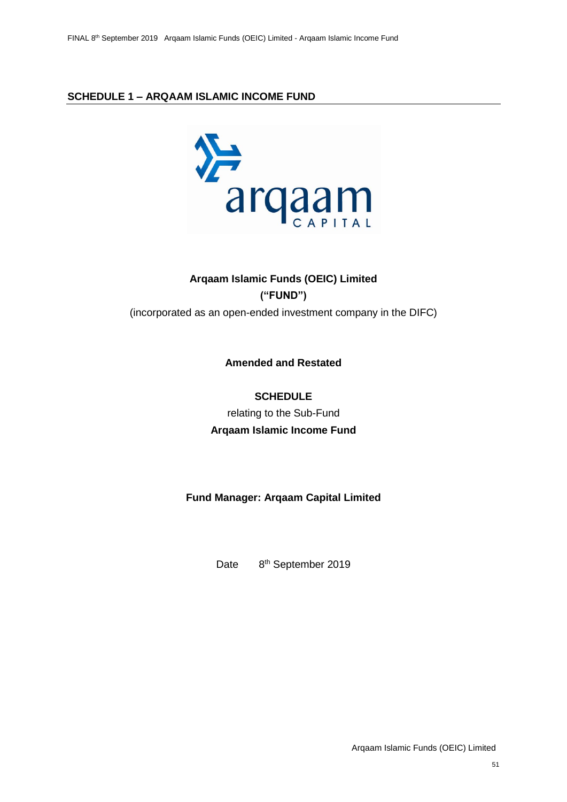# **SCHEDULE 1 – ARQAAM ISLAMIC INCOME FUND**



# **Arqaam Islamic Funds (OEIC) Limited ("FUND")** (incorporated as an open-ended investment company in the DIFC)

**Amended and Restated** 

**SCHEDULE** relating to the Sub-Fund **Arqaam Islamic Income Fund**

**Fund Manager: Arqaam Capital Limited**

Date 8<sup>th</sup> September 2019

Arqaam Islamic Funds (OEIC) Limited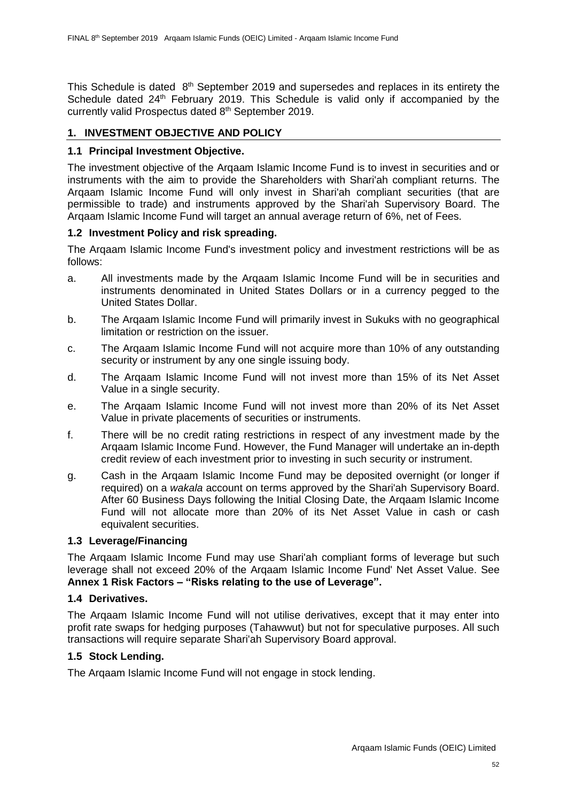This Schedule is dated 8<sup>th</sup> September 2019 and supersedes and replaces in its entirety the Schedule dated 24<sup>th</sup> February 2019. This Schedule is valid only if accompanied by the currently valid Prospectus dated 8 th September 2019.

# **1. INVESTMENT OBJECTIVE AND POLICY**

# **1.1 Principal Investment Objective.**

The investment objective of the Arqaam Islamic Income Fund is to invest in securities and or instruments with the aim to provide the Shareholders with Shari'ah compliant returns. The Arqaam Islamic Income Fund will only invest in Shari'ah compliant securities (that are permissible to trade) and instruments approved by the Shari'ah Supervisory Board. The Arqaam Islamic Income Fund will target an annual average return of 6%, net of Fees.

### **1.2 Investment Policy and risk spreading.**

The Arqaam Islamic Income Fund's investment policy and investment restrictions will be as follows:

- a. All investments made by the Arqaam Islamic Income Fund will be in securities and instruments denominated in United States Dollars or in a currency pegged to the United States Dollar.
- b. The Arqaam Islamic Income Fund will primarily invest in Sukuks with no geographical limitation or restriction on the issuer.
- c. The Arqaam Islamic Income Fund will not acquire more than 10% of any outstanding security or instrument by any one single issuing body.
- d. The Arqaam Islamic Income Fund will not invest more than 15% of its Net Asset Value in a single security.
- e. The Arqaam Islamic Income Fund will not invest more than 20% of its Net Asset Value in private placements of securities or instruments.
- f. There will be no credit rating restrictions in respect of any investment made by the Arqaam Islamic Income Fund. However, the Fund Manager will undertake an in-depth credit review of each investment prior to investing in such security or instrument.
- g. Cash in the Arqaam Islamic Income Fund may be deposited overnight (or longer if required) on a *wakala* account on terms approved by the Shari'ah Supervisory Board. After 60 Business Days following the Initial Closing Date, the Arqaam Islamic Income Fund will not allocate more than 20% of its Net Asset Value in cash or cash equivalent securities.

# **1.3 Leverage/Financing**

The Arqaam Islamic Income Fund may use Shari'ah compliant forms of leverage but such leverage shall not exceed 20% of the Arqaam Islamic Income Fund' Net Asset Value. See **Annex 1 Risk Factors – "Risks relating to the use of Leverage".**

# **1.4 Derivatives.**

The Arqaam Islamic Income Fund will not utilise derivatives, except that it may enter into profit rate swaps for hedging purposes (Tahawwut) but not for speculative purposes. All such transactions will require separate Shari'ah Supervisory Board approval.

# **1.5 Stock Lending.**

The Arqaam Islamic Income Fund will not engage in stock lending.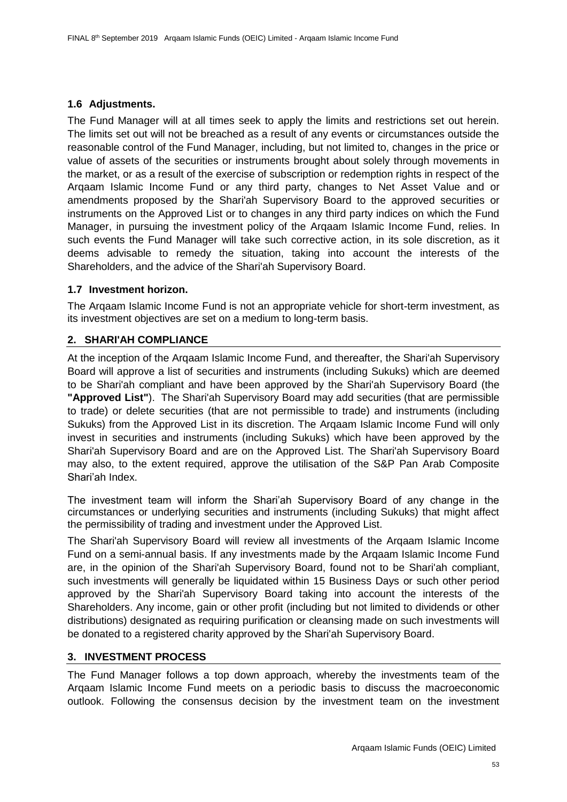# **1.6 Adjustments.**

The Fund Manager will at all times seek to apply the limits and restrictions set out herein. The limits set out will not be breached as a result of any events or circumstances outside the reasonable control of the Fund Manager, including, but not limited to, changes in the price or value of assets of the securities or instruments brought about solely through movements in the market, or as a result of the exercise of subscription or redemption rights in respect of the Arqaam Islamic Income Fund or any third party, changes to Net Asset Value and or amendments proposed by the Shari'ah Supervisory Board to the approved securities or instruments on the Approved List or to changes in any third party indices on which the Fund Manager, in pursuing the investment policy of the Arqaam Islamic Income Fund, relies. In such events the Fund Manager will take such corrective action, in its sole discretion, as it deems advisable to remedy the situation, taking into account the interests of the Shareholders, and the advice of the Shari'ah Supervisory Board.

# **1.7 Investment horizon.**

The Arqaam Islamic Income Fund is not an appropriate vehicle for short-term investment, as its investment objectives are set on a medium to long-term basis.

# **2. SHARI'AH COMPLIANCE**

At the inception of the Arqaam Islamic Income Fund, and thereafter, the Shari'ah Supervisory Board will approve a list of securities and instruments (including Sukuks) which are deemed to be Shari'ah compliant and have been approved by the Shari'ah Supervisory Board (the **"Approved List"**). The Shari'ah Supervisory Board may add securities (that are permissible to trade) or delete securities (that are not permissible to trade) and instruments (including Sukuks) from the Approved List in its discretion. The Arqaam Islamic Income Fund will only invest in securities and instruments (including Sukuks) which have been approved by the Shari'ah Supervisory Board and are on the Approved List. The Shari'ah Supervisory Board may also, to the extent required, approve the utilisation of the S&P Pan Arab Composite Shari'ah Index.

The investment team will inform the Shari'ah Supervisory Board of any change in the circumstances or underlying securities and instruments (including Sukuks) that might affect the permissibility of trading and investment under the Approved List.

The Shari'ah Supervisory Board will review all investments of the Arqaam Islamic Income Fund on a semi-annual basis. If any investments made by the Arqaam Islamic Income Fund are, in the opinion of the Shari'ah Supervisory Board, found not to be Shari'ah compliant, such investments will generally be liquidated within 15 Business Days or such other period approved by the Shari'ah Supervisory Board taking into account the interests of the Shareholders. Any income, gain or other profit (including but not limited to dividends or other distributions) designated as requiring purification or cleansing made on such investments will be donated to a registered charity approved by the Shari'ah Supervisory Board.

# **3. INVESTMENT PROCESS**

The Fund Manager follows a top down approach, whereby the investments team of the Arqaam Islamic Income Fund meets on a periodic basis to discuss the macroeconomic outlook. Following the consensus decision by the investment team on the investment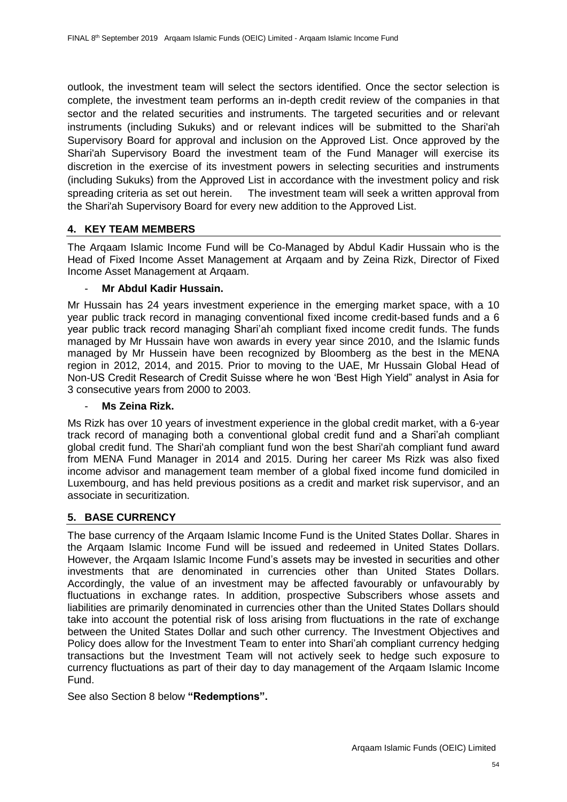outlook, the investment team will select the sectors identified. Once the sector selection is complete, the investment team performs an in-depth credit review of the companies in that sector and the related securities and instruments. The targeted securities and or relevant instruments (including Sukuks) and or relevant indices will be submitted to the Shari'ah Supervisory Board for approval and inclusion on the Approved List. Once approved by the Shari'ah Supervisory Board the investment team of the Fund Manager will exercise its discretion in the exercise of its investment powers in selecting securities and instruments (including Sukuks) from the Approved List in accordance with the investment policy and risk spreading criteria as set out herein. The investment team will seek a written approval from the Shari'ah Supervisory Board for every new addition to the Approved List.

# **4. KEY TEAM MEMBERS**

The Arqaam Islamic Income Fund will be Co-Managed by Abdul Kadir Hussain who is the Head of Fixed Income Asset Management at Arqaam and by Zeina Rizk, Director of Fixed Income Asset Management at Arqaam.

### - **Mr Abdul Kadir Hussain.**

Mr Hussain has 24 years investment experience in the emerging market space, with a 10 year public track record in managing conventional fixed income credit-based funds and a 6 year public track record managing Shari'ah compliant fixed income credit funds. The funds managed by Mr Hussain have won awards in every year since 2010, and the Islamic funds managed by Mr Hussein have been recognized by Bloomberg as the best in the MENA region in 2012, 2014, and 2015. Prior to moving to the UAE, Mr Hussain Global Head of Non-US Credit Research of Credit Suisse where he won 'Best High Yield" analyst in Asia for 3 consecutive years from 2000 to 2003.

# - **Ms Zeina Rizk.**

Ms Rizk has over 10 years of investment experience in the global credit market, with a 6-year track record of managing both a conventional global credit fund and a Shari'ah compliant global credit fund. The Shari'ah compliant fund won the best Shari'ah compliant fund award from MENA Fund Manager in 2014 and 2015. During her career Ms Rizk was also fixed income advisor and management team member of a global fixed income fund domiciled in Luxembourg, and has held previous positions as a credit and market risk supervisor, and an associate in securitization.

# **5. BASE CURRENCY**

The base currency of the Arqaam Islamic Income Fund is the United States Dollar. Shares in the Arqaam Islamic Income Fund will be issued and redeemed in United States Dollars. However, the Arqaam Islamic Income Fund's assets may be invested in securities and other investments that are denominated in currencies other than United States Dollars. Accordingly, the value of an investment may be affected favourably or unfavourably by fluctuations in exchange rates. In addition, prospective Subscribers whose assets and liabilities are primarily denominated in currencies other than the United States Dollars should take into account the potential risk of loss arising from fluctuations in the rate of exchange between the United States Dollar and such other currency. The Investment Objectives and Policy does allow for the Investment Team to enter into Shari'ah compliant currency hedging transactions but the Investment Team will not actively seek to hedge such exposure to currency fluctuations as part of their day to day management of the Arqaam Islamic Income Fund.

See also Section 8 below **"Redemptions".**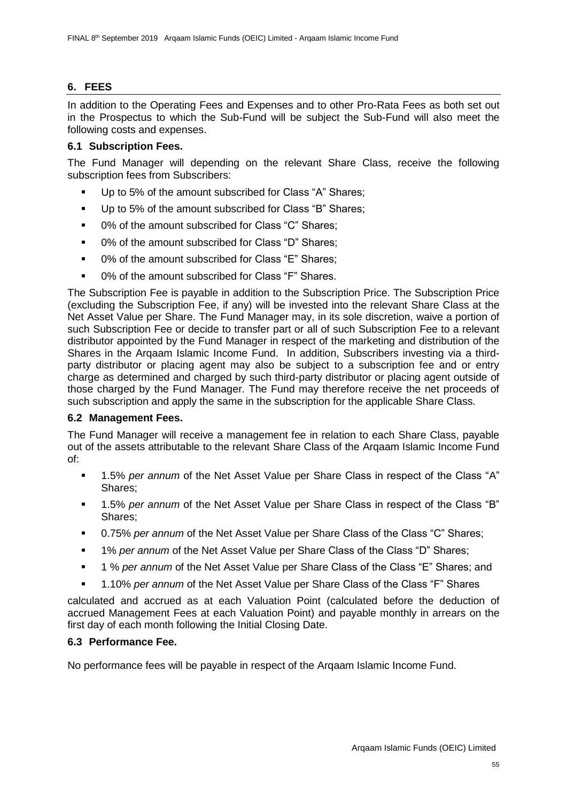# **6. FEES**

In addition to the Operating Fees and Expenses and to other Pro-Rata Fees as both set out in the Prospectus to which the Sub-Fund will be subject the Sub-Fund will also meet the following costs and expenses.

# **6.1 Subscription Fees.**

The Fund Manager will depending on the relevant Share Class, receive the following subscription fees from Subscribers:

- Up to 5% of the amount subscribed for Class "A" Shares;
- Up to 5% of the amount subscribed for Class "B" Shares;
- 0% of the amount subscribed for Class "C" Shares:
- 0% of the amount subscribed for Class "D" Shares;
- 0% of the amount subscribed for Class "E" Shares:
- 0% of the amount subscribed for Class "F" Shares.

The Subscription Fee is payable in addition to the Subscription Price. The Subscription Price (excluding the Subscription Fee, if any) will be invested into the relevant Share Class at the Net Asset Value per Share. The Fund Manager may, in its sole discretion, waive a portion of such Subscription Fee or decide to transfer part or all of such Subscription Fee to a relevant distributor appointed by the Fund Manager in respect of the marketing and distribution of the Shares in the Arqaam Islamic Income Fund. In addition, Subscribers investing via a thirdparty distributor or placing agent may also be subject to a subscription fee and or entry charge as determined and charged by such third-party distributor or placing agent outside of those charged by the Fund Manager. The Fund may therefore receive the net proceeds of such subscription and apply the same in the subscription for the applicable Share Class.

# **6.2 Management Fees.**

The Fund Manager will receive a management fee in relation to each Share Class, payable out of the assets attributable to the relevant Share Class of the Arqaam Islamic Income Fund of:

- 1.5% *per annum* of the Net Asset Value per Share Class in respect of the Class "A" Shares;
- 1.5% *per annum* of the Net Asset Value per Share Class in respect of the Class "B" Shares;
- 0.75% *per annum* of the Net Asset Value per Share Class of the Class "C" Shares;
- 1% *per annum* of the Net Asset Value per Share Class of the Class "D" Shares;
- 1 % *per annum* of the Net Asset Value per Share Class of the Class "E" Shares; and
- 1.10% *per annum* of the Net Asset Value per Share Class of the Class "F" Shares

calculated and accrued as at each Valuation Point (calculated before the deduction of accrued Management Fees at each Valuation Point) and payable monthly in arrears on the first day of each month following the Initial Closing Date.

# **6.3 Performance Fee.**

No performance fees will be payable in respect of the Arqaam Islamic Income Fund.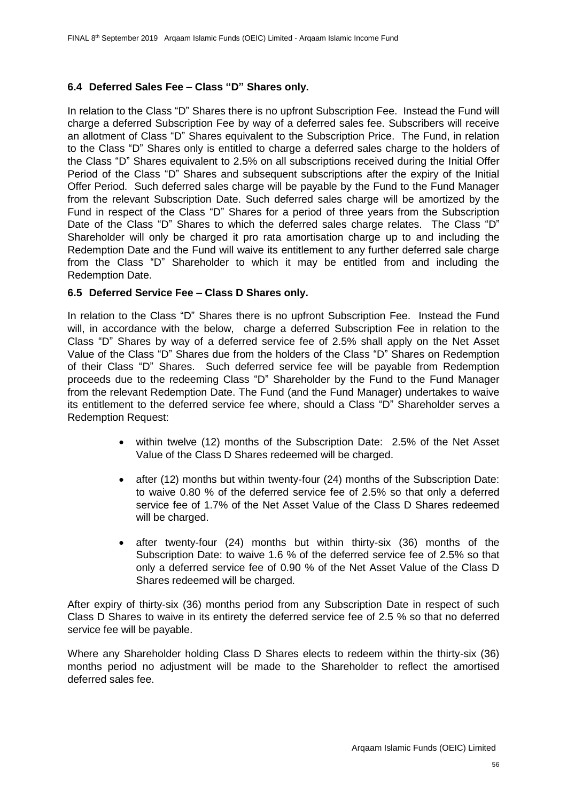# **6.4 Deferred Sales Fee – Class "D" Shares only.**

In relation to the Class "D" Shares there is no upfront Subscription Fee. Instead the Fund will charge a deferred Subscription Fee by way of a deferred sales fee. Subscribers will receive an allotment of Class "D" Shares equivalent to the Subscription Price. The Fund, in relation to the Class "D" Shares only is entitled to charge a deferred sales charge to the holders of the Class "D" Shares equivalent to 2.5% on all subscriptions received during the Initial Offer Period of the Class "D" Shares and subsequent subscriptions after the expiry of the Initial Offer Period. Such deferred sales charge will be payable by the Fund to the Fund Manager from the relevant Subscription Date. Such deferred sales charge will be amortized by the Fund in respect of the Class "D" Shares for a period of three years from the Subscription Date of the Class "D" Shares to which the deferred sales charge relates. The Class "D" Shareholder will only be charged it pro rata amortisation charge up to and including the Redemption Date and the Fund will waive its entitlement to any further deferred sale charge from the Class "D" Shareholder to which it may be entitled from and including the Redemption Date.

# **6.5 Deferred Service Fee – Class D Shares only.**

In relation to the Class "D" Shares there is no upfront Subscription Fee. Instead the Fund will, in accordance with the below, charge a deferred Subscription Fee in relation to the Class "D" Shares by way of a deferred service fee of 2.5% shall apply on the Net Asset Value of the Class "D" Shares due from the holders of the Class "D" Shares on Redemption of their Class "D" Shares. Such deferred service fee will be payable from Redemption proceeds due to the redeeming Class "D" Shareholder by the Fund to the Fund Manager from the relevant Redemption Date. The Fund (and the Fund Manager) undertakes to waive its entitlement to the deferred service fee where, should a Class "D" Shareholder serves a Redemption Request:

- within twelve (12) months of the Subscription Date: 2.5% of the Net Asset Value of the Class D Shares redeemed will be charged.
- after (12) months but within twenty-four (24) months of the Subscription Date: to waive 0.80 % of the deferred service fee of 2.5% so that only a deferred service fee of 1.7% of the Net Asset Value of the Class D Shares redeemed will be charged.
- after twenty-four (24) months but within thirty-six (36) months of the Subscription Date: to waive 1.6 % of the deferred service fee of 2.5% so that only a deferred service fee of 0.90 % of the Net Asset Value of the Class D Shares redeemed will be charged.

After expiry of thirty-six (36) months period from any Subscription Date in respect of such Class D Shares to waive in its entirety the deferred service fee of 2.5 % so that no deferred service fee will be payable.

Where any Shareholder holding Class D Shares elects to redeem within the thirty-six (36) months period no adjustment will be made to the Shareholder to reflect the amortised deferred sales fee.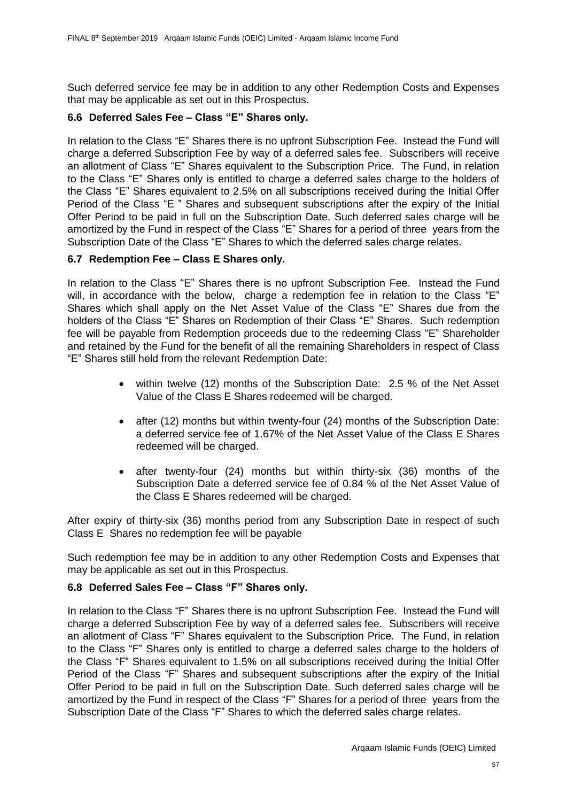Such deferred service fee may be in addition to any other Redemption Costs and Expenses that may be applicable as set out in this Prospectus.

# **6.6 Deferred Sales Fee – Class "E" Shares only.**

In relation to the Class "E" Shares there is no upfront Subscription Fee. Instead the Fund will charge a deferred Subscription Fee by way of a deferred sales fee. Subscribers will receive an allotment of Class "E" Shares equivalent to the Subscription Price. The Fund, in relation to the Class "E" Shares only is entitled to charge a deferred sales charge to the holders of the Class "E" Shares equivalent to 2.5% on all subscriptions received during the Initial Offer Period of the Class "E " Shares and subsequent subscriptions after the expiry of the Initial Offer Period to be paid in full on the Subscription Date. Such deferred sales charge will be amortized by the Fund in respect of the Class "E" Shares for a period of three years from the Subscription Date of the Class "E" Shares to which the deferred sales charge relates.

# **6.7 Redemption Fee – Class E Shares only.**

In relation to the Class "E" Shares there is no upfront Subscription Fee. Instead the Fund will, in accordance with the below, charge a redemption fee in relation to the Class "E" Shares which shall apply on the Net Asset Value of the Class "E" Shares due from the holders of the Class "E" Shares on Redemption of their Class "E" Shares. Such redemption fee will be payable from Redemption proceeds due to the redeeming Class "E" Shareholder and retained by the Fund for the benefit of all the remaining Shareholders in respect of Class "E" Shares still held from the relevant Redemption Date:

- within twelve (12) months of the Subscription Date: 2.5 % of the Net Asset Value of the Class E Shares redeemed will be charged.
- after (12) months but within twenty-four (24) months of the Subscription Date: a deferred service fee of 1.67% of the Net Asset Value of the Class E Shares redeemed will be charged.
- after twenty-four (24) months but within thirty-six (36) months of the Subscription Date a deferred service fee of 0.84 % of the Net Asset Value of the Class E Shares redeemed will be charged.

After expiry of thirty-six (36) months period from any Subscription Date in respect of such Class E Shares no redemption fee will be payable

Such redemption fee may be in addition to any other Redemption Costs and Expenses that may be applicable as set out in this Prospectus.

# **6.8 Deferred Sales Fee – Class "F" Shares only.**

In relation to the Class "F" Shares there is no upfront Subscription Fee. Instead the Fund will charge a deferred Subscription Fee by way of a deferred sales fee. Subscribers will receive an allotment of Class "F" Shares equivalent to the Subscription Price. The Fund, in relation to the Class "F" Shares only is entitled to charge a deferred sales charge to the holders of the Class "F" Shares equivalent to 1.5% on all subscriptions received during the Initial Offer Period of the Class "F" Shares and subsequent subscriptions after the expiry of the Initial Offer Period to be paid in full on the Subscription Date. Such deferred sales charge will be amortized by the Fund in respect of the Class "F" Shares for a period of three years from the Subscription Date of the Class "F" Shares to which the deferred sales charge relates.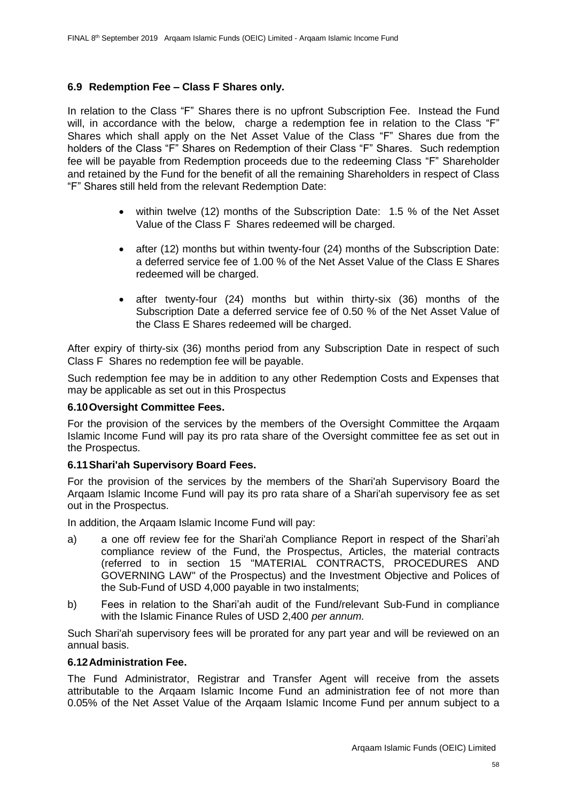# **6.9 Redemption Fee – Class F Shares only.**

In relation to the Class "F" Shares there is no upfront Subscription Fee. Instead the Fund will, in accordance with the below, charge a redemption fee in relation to the Class "F" Shares which shall apply on the Net Asset Value of the Class "F" Shares due from the holders of the Class "F" Shares on Redemption of their Class "F" Shares. Such redemption fee will be payable from Redemption proceeds due to the redeeming Class "F" Shareholder and retained by the Fund for the benefit of all the remaining Shareholders in respect of Class "F" Shares still held from the relevant Redemption Date:

- within twelve (12) months of the Subscription Date: 1.5 % of the Net Asset Value of the Class F Shares redeemed will be charged.
- after (12) months but within twenty-four (24) months of the Subscription Date: a deferred service fee of 1.00 % of the Net Asset Value of the Class E Shares redeemed will be charged.
- after twenty-four (24) months but within thirty-six (36) months of the Subscription Date a deferred service fee of 0.50 % of the Net Asset Value of the Class E Shares redeemed will be charged.

After expiry of thirty-six (36) months period from any Subscription Date in respect of such Class F Shares no redemption fee will be payable.

Such redemption fee may be in addition to any other Redemption Costs and Expenses that may be applicable as set out in this Prospectus

#### **6.10Oversight Committee Fees.**

For the provision of the services by the members of the Oversight Committee the Arqaam Islamic Income Fund will pay its pro rata share of the Oversight committee fee as set out in the Prospectus.

#### **6.11Shari'ah Supervisory Board Fees.**

For the provision of the services by the members of the Shari'ah Supervisory Board the Arqaam Islamic Income Fund will pay its pro rata share of a Shari'ah supervisory fee as set out in the Prospectus.

In addition, the Arqaam Islamic Income Fund will pay:

- a) a one off review fee for the Shari'ah Compliance Report in respect of the Shari'ah compliance review of the Fund, the Prospectus, Articles, the material contracts (referred to in section [15](#page-53-0) ["MATERIAL CONTRACTS, PROCEDURES](#page-53-0) AND [GOVERNING LAW"](#page-53-0) of the Prospectus) and the Investment Objective and Polices of the Sub-Fund of USD 4,000 payable in two instalments;
- b) Fees in relation to the Shari'ah audit of the Fund/relevant Sub-Fund in compliance with the Islamic Finance Rules of USD 2,400 *per annum.*

Such Shari'ah supervisory fees will be prorated for any part year and will be reviewed on an annual basis.

#### **6.12Administration Fee.**

The Fund Administrator, Registrar and Transfer Agent will receive from the assets attributable to the Arqaam Islamic Income Fund an administration fee of not more than 0.05% of the Net Asset Value of the Arqaam Islamic Income Fund per annum subject to a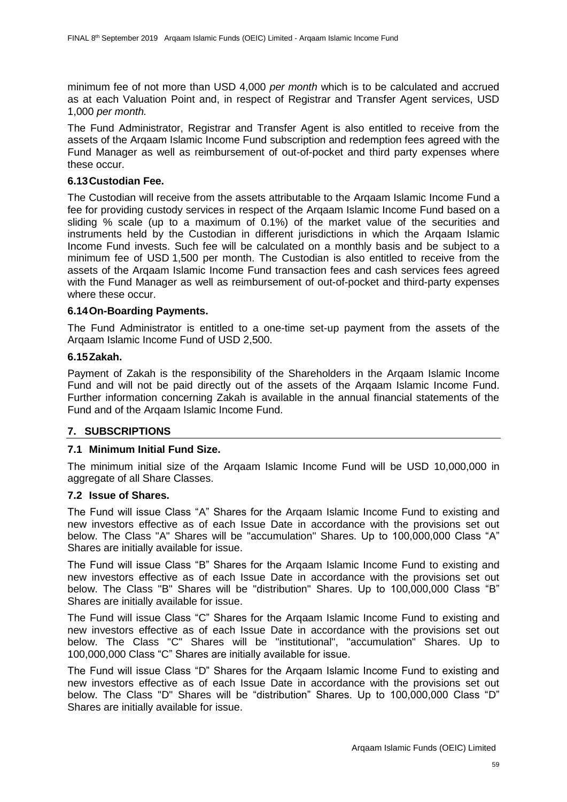minimum fee of not more than USD 4,000 *per month* which is to be calculated and accrued as at each Valuation Point and, in respect of Registrar and Transfer Agent services, USD 1,000 *per month.*

The Fund Administrator, Registrar and Transfer Agent is also entitled to receive from the assets of the Arqaam Islamic Income Fund subscription and redemption fees agreed with the Fund Manager as well as reimbursement of out-of-pocket and third party expenses where these occur.

### **6.13Custodian Fee.**

The Custodian will receive from the assets attributable to the Arqaam Islamic Income Fund a fee for providing custody services in respect of the Arqaam Islamic Income Fund based on a sliding % scale (up to a maximum of 0.1%) of the market value of the securities and instruments held by the Custodian in different jurisdictions in which the Arqaam Islamic Income Fund invests. Such fee will be calculated on a monthly basis and be subject to a minimum fee of USD 1,500 per month. The Custodian is also entitled to receive from the assets of the Arqaam Islamic Income Fund transaction fees and cash services fees agreed with the Fund Manager as well as reimbursement of out-of-pocket and third-party expenses where these occur.

### **6.14On-Boarding Payments.**

The Fund Administrator is entitled to a one-time set-up payment from the assets of the Arqaam Islamic Income Fund of USD 2,500.

### **6.15Zakah.**

Payment of Zakah is the responsibility of the Shareholders in the Arqaam Islamic Income Fund and will not be paid directly out of the assets of the Arqaam Islamic Income Fund. Further information concerning Zakah is available in the annual financial statements of the Fund and of the Arqaam Islamic Income Fund.

# **7. SUBSCRIPTIONS**

# **7.1 Minimum Initial Fund Size.**

The minimum initial size of the Arqaam Islamic Income Fund will be USD 10,000,000 in aggregate of all Share Classes.

#### **7.2 Issue of Shares.**

The Fund will issue Class "A" Shares for the Arqaam Islamic Income Fund to existing and new investors effective as of each Issue Date in accordance with the provisions set out below. The Class "A" Shares will be "accumulation" Shares. Up to 100,000,000 Class "A" Shares are initially available for issue.

The Fund will issue Class "B" Shares for the Arqaam Islamic Income Fund to existing and new investors effective as of each Issue Date in accordance with the provisions set out below. The Class "B" Shares will be "distribution" Shares. Up to 100,000,000 Class "B" Shares are initially available for issue.

The Fund will issue Class "C" Shares for the Arqaam Islamic Income Fund to existing and new investors effective as of each Issue Date in accordance with the provisions set out below. The Class "C" Shares will be "institutional", "accumulation" Shares. Up to 100,000,000 Class "C" Shares are initially available for issue.

The Fund will issue Class "D" Shares for the Arqaam Islamic Income Fund to existing and new investors effective as of each Issue Date in accordance with the provisions set out below. The Class "D" Shares will be "distribution" Shares. Up to 100,000,000 Class "D" Shares are initially available for issue.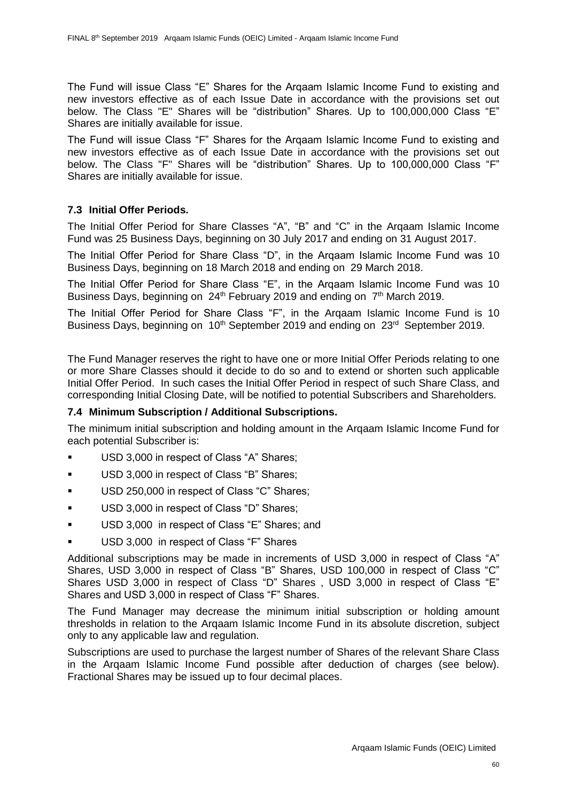The Fund will issue Class "E" Shares for the Arqaam Islamic Income Fund to existing and new investors effective as of each Issue Date in accordance with the provisions set out below. The Class "E" Shares will be "distribution" Shares. Up to 100,000,000 Class "E" Shares are initially available for issue.

The Fund will issue Class "F" Shares for the Arqaam Islamic Income Fund to existing and new investors effective as of each Issue Date in accordance with the provisions set out below. The Class "F" Shares will be "distribution" Shares. Up to 100,000,000 Class "F" Shares are initially available for issue.

# **7.3 Initial Offer Periods.**

The Initial Offer Period for Share Classes "A", "B" and "C" in the Arqaam Islamic Income Fund was 25 Business Days, beginning on 30 July 2017 and ending on 31 August 2017.

The Initial Offer Period for Share Class "D", in the Arqaam Islamic Income Fund was 10 Business Days, beginning on 18 March 2018 and ending on 29 March 2018.

The Initial Offer Period for Share Class "E", in the Arqaam Islamic Income Fund was 10 Business Days, beginning on 24<sup>th</sup> February 2019 and ending on 7<sup>th</sup> March 2019.

The Initial Offer Period for Share Class "F", in the Arqaam Islamic Income Fund is 10 Business Days, beginning on 10<sup>th</sup> September 2019 and ending on 23<sup>rd</sup> September 2019.

The Fund Manager reserves the right to have one or more Initial Offer Periods relating to one or more Share Classes should it decide to do so and to extend or shorten such applicable Initial Offer Period. In such cases the Initial Offer Period in respect of such Share Class, and corresponding Initial Closing Date, will be notified to potential Subscribers and Shareholders.

# **7.4 Minimum Subscription / Additional Subscriptions.**

The minimum initial subscription and holding amount in the Arqaam Islamic Income Fund for each potential Subscriber is:

- USD 3,000 in respect of Class "A" Shares;
- **USD 3,000 in respect of Class "B" Shares;**
- USD 250,000 in respect of Class "C" Shares;
- **USD 3,000 in respect of Class "D" Shares;**
- USD 3,000 in respect of Class "E" Shares; and
- USD 3,000 in respect of Class "F" Shares

Additional subscriptions may be made in increments of USD 3,000 in respect of Class "A" Shares, USD 3,000 in respect of Class "B" Shares, USD 100,000 in respect of Class "C" Shares USD 3,000 in respect of Class "D" Shares , USD 3,000 in respect of Class "E" Shares and USD 3,000 in respect of Class "F" Shares.

The Fund Manager may decrease the minimum initial subscription or holding amount thresholds in relation to the Arqaam Islamic Income Fund in its absolute discretion, subject only to any applicable law and regulation.

Subscriptions are used to purchase the largest number of Shares of the relevant Share Class in the Arqaam Islamic Income Fund possible after deduction of charges (see below). Fractional Shares may be issued up to four decimal places.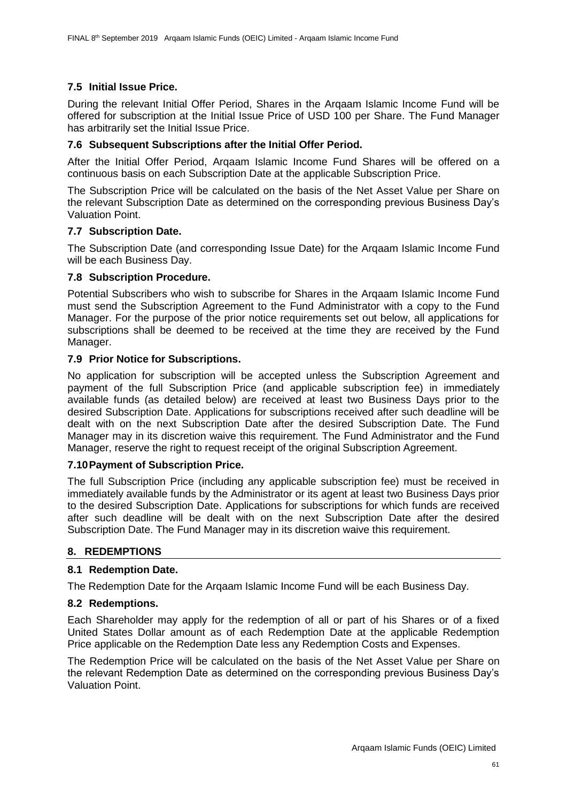# **7.5 Initial Issue Price.**

During the relevant Initial Offer Period, Shares in the Arqaam Islamic Income Fund will be offered for subscription at the Initial Issue Price of USD 100 per Share. The Fund Manager has arbitrarily set the Initial Issue Price.

### **7.6 Subsequent Subscriptions after the Initial Offer Period.**

After the Initial Offer Period, Arqaam Islamic Income Fund Shares will be offered on a continuous basis on each Subscription Date at the applicable Subscription Price.

The Subscription Price will be calculated on the basis of the Net Asset Value per Share on the relevant Subscription Date as determined on the corresponding previous Business Day's Valuation Point.

### **7.7 Subscription Date.**

The Subscription Date (and corresponding Issue Date) for the Arqaam Islamic Income Fund will be each Business Day.

### **7.8 Subscription Procedure.**

Potential Subscribers who wish to subscribe for Shares in the Arqaam Islamic Income Fund must send the Subscription Agreement to the Fund Administrator with a copy to the Fund Manager. For the purpose of the prior notice requirements set out below, all applications for subscriptions shall be deemed to be received at the time they are received by the Fund Manager.

### **7.9 Prior Notice for Subscriptions.**

No application for subscription will be accepted unless the Subscription Agreement and payment of the full Subscription Price (and applicable subscription fee) in immediately available funds (as detailed below) are received at least two Business Days prior to the desired Subscription Date. Applications for subscriptions received after such deadline will be dealt with on the next Subscription Date after the desired Subscription Date. The Fund Manager may in its discretion waive this requirement. The Fund Administrator and the Fund Manager, reserve the right to request receipt of the original Subscription Agreement.

#### **7.10Payment of Subscription Price.**

The full Subscription Price (including any applicable subscription fee) must be received in immediately available funds by the Administrator or its agent at least two Business Days prior to the desired Subscription Date. Applications for subscriptions for which funds are received after such deadline will be dealt with on the next Subscription Date after the desired Subscription Date. The Fund Manager may in its discretion waive this requirement.

# **8. REDEMPTIONS**

#### **8.1 Redemption Date.**

The Redemption Date for the Arqaam Islamic Income Fund will be each Business Day.

#### **8.2 Redemptions.**

Each Shareholder may apply for the redemption of all or part of his Shares or of a fixed United States Dollar amount as of each Redemption Date at the applicable Redemption Price applicable on the Redemption Date less any Redemption Costs and Expenses.

The Redemption Price will be calculated on the basis of the Net Asset Value per Share on the relevant Redemption Date as determined on the corresponding previous Business Day's Valuation Point.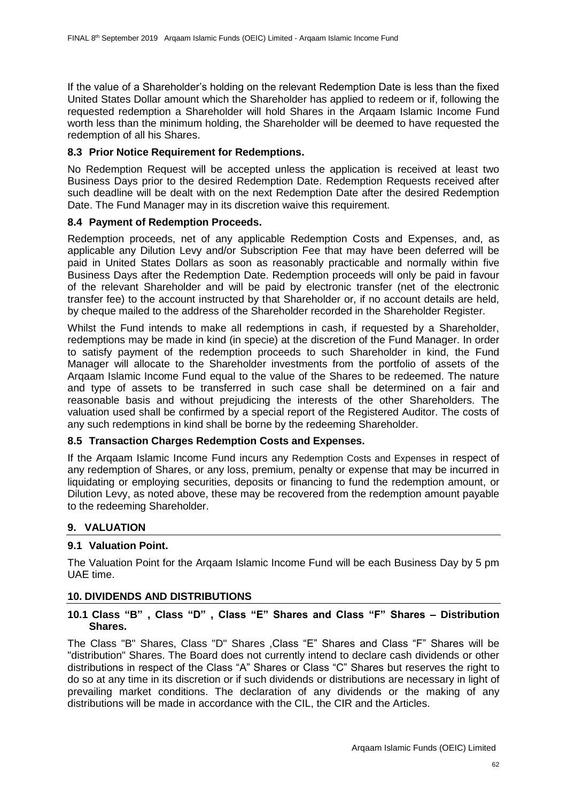If the value of a Shareholder's holding on the relevant Redemption Date is less than the fixed United States Dollar amount which the Shareholder has applied to redeem or if, following the requested redemption a Shareholder will hold Shares in the Arqaam Islamic Income Fund worth less than the minimum holding, the Shareholder will be deemed to have requested the redemption of all his Shares.

### **8.3 Prior Notice Requirement for Redemptions.**

No Redemption Request will be accepted unless the application is received at least two Business Days prior to the desired Redemption Date. Redemption Requests received after such deadline will be dealt with on the next Redemption Date after the desired Redemption Date. The Fund Manager may in its discretion waive this requirement.

### **8.4 Payment of Redemption Proceeds.**

Redemption proceeds, net of any applicable Redemption Costs and Expenses, and, as applicable any Dilution Levy and/or Subscription Fee that may have been deferred will be paid in United States Dollars as soon as reasonably practicable and normally within five Business Days after the Redemption Date. Redemption proceeds will only be paid in favour of the relevant Shareholder and will be paid by electronic transfer (net of the electronic transfer fee) to the account instructed by that Shareholder or, if no account details are held, by cheque mailed to the address of the Shareholder recorded in the Shareholder Register.

Whilst the Fund intends to make all redemptions in cash, if requested by a Shareholder, redemptions may be made in kind (in specie) at the discretion of the Fund Manager. In order to satisfy payment of the redemption proceeds to such Shareholder in kind, the Fund Manager will allocate to the Shareholder investments from the portfolio of assets of the Arqaam Islamic Income Fund equal to the value of the Shares to be redeemed. The nature and type of assets to be transferred in such case shall be determined on a fair and reasonable basis and without prejudicing the interests of the other Shareholders. The valuation used shall be confirmed by a special report of the Registered Auditor. The costs of any such redemptions in kind shall be borne by the redeeming Shareholder.

# **8.5 Transaction Charges Redemption Costs and Expenses.**

If the Arqaam Islamic Income Fund incurs any Redemption Costs and Expenses in respect of any redemption of Shares, or any loss, premium, penalty or expense that may be incurred in liquidating or employing securities, deposits or financing to fund the redemption amount, or Dilution Levy, as noted above, these may be recovered from the redemption amount payable to the redeeming Shareholder.

# **9. VALUATION**

# **9.1 Valuation Point.**

The Valuation Point for the Arqaam Islamic Income Fund will be each Business Day by 5 pm UAE time.

#### **10. DIVIDENDS AND DISTRIBUTIONS**

### **10.1 Class "B" , Class "D" , Class "E" Shares and Class "F" Shares – Distribution Shares.**

The Class "B" Shares, Class "D" Shares ,Class "E" Shares and Class "F" Shares will be "distribution" Shares. The Board does not currently intend to declare cash dividends or other distributions in respect of the Class "A" Shares or Class "C" Shares but reserves the right to do so at any time in its discretion or if such dividends or distributions are necessary in light of prevailing market conditions. The declaration of any dividends or the making of any distributions will be made in accordance with the CIL, the CIR and the Articles.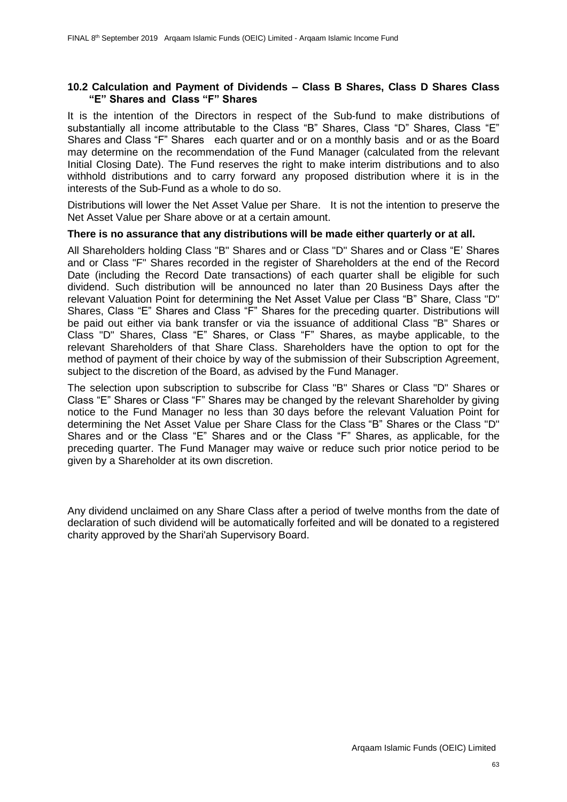#### **10.2 Calculation and Payment of Dividends – Class B Shares, Class D Shares Class "E" Shares and Class "F" Shares**

It is the intention of the Directors in respect of the Sub-fund to make distributions of substantially all income attributable to the Class "B" Shares, Class "D" Shares, Class "E" Shares and Class "F" Shares each quarter and or on a monthly basis and or as the Board may determine on the recommendation of the Fund Manager (calculated from the relevant Initial Closing Date). The Fund reserves the right to make interim distributions and to also withhold distributions and to carry forward any proposed distribution where it is in the interests of the Sub-Fund as a whole to do so.

Distributions will lower the Net Asset Value per Share. It is not the intention to preserve the Net Asset Value per Share above or at a certain amount.

#### **There is no assurance that any distributions will be made either quarterly or at all.**

All Shareholders holding Class "B" Shares and or Class "D" Shares and or Class "E' Shares and or Class "F" Shares recorded in the register of Shareholders at the end of the Record Date (including the Record Date transactions) of each quarter shall be eligible for such dividend. Such distribution will be announced no later than 20 Business Days after the relevant Valuation Point for determining the Net Asset Value per Class "B" Share, Class "D" Shares, Class "E" Shares and Class "F" Shares for the preceding quarter. Distributions will be paid out either via bank transfer or via the issuance of additional Class "B" Shares or Class "D" Shares, Class "E" Shares, or Class "F" Shares, as maybe applicable, to the relevant Shareholders of that Share Class. Shareholders have the option to opt for the method of payment of their choice by way of the submission of their Subscription Agreement, subject to the discretion of the Board, as advised by the Fund Manager.

The selection upon subscription to subscribe for Class "B" Shares or Class "D" Shares or Class "E" Shares or Class "F" Shares may be changed by the relevant Shareholder by giving notice to the Fund Manager no less than 30 days before the relevant Valuation Point for determining the Net Asset Value per Share Class for the Class "B" Shares or the Class "D" Shares and or the Class "E" Shares and or the Class "F" Shares, as applicable, for the preceding quarter. The Fund Manager may waive or reduce such prior notice period to be given by a Shareholder at its own discretion.

Any dividend unclaimed on any Share Class after a period of twelve months from the date of declaration of such dividend will be automatically forfeited and will be donated to a registered charity approved by the Shari'ah Supervisory Board.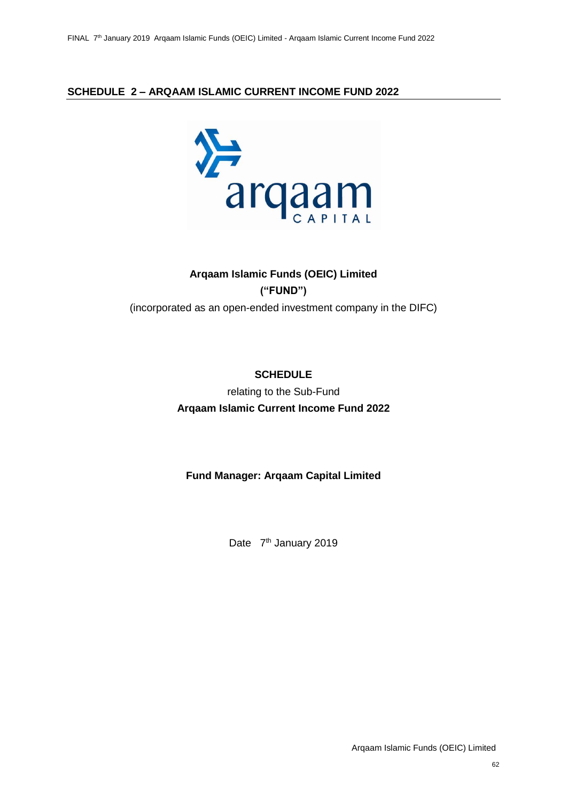# **SCHEDULE 2 – ARQAAM ISLAMIC CURRENT INCOME FUND 2022**



# **Arqaam Islamic Funds (OEIC) Limited ("FUND")** (incorporated as an open-ended investment company in the DIFC)

# **SCHEDULE** relating to the Sub-Fund **Arqaam Islamic Current Income Fund 2022**

# **Fund Manager: Arqaam Capital Limited**

Date 7<sup>th</sup> January 2019

Arqaam Islamic Funds (OEIC) Limited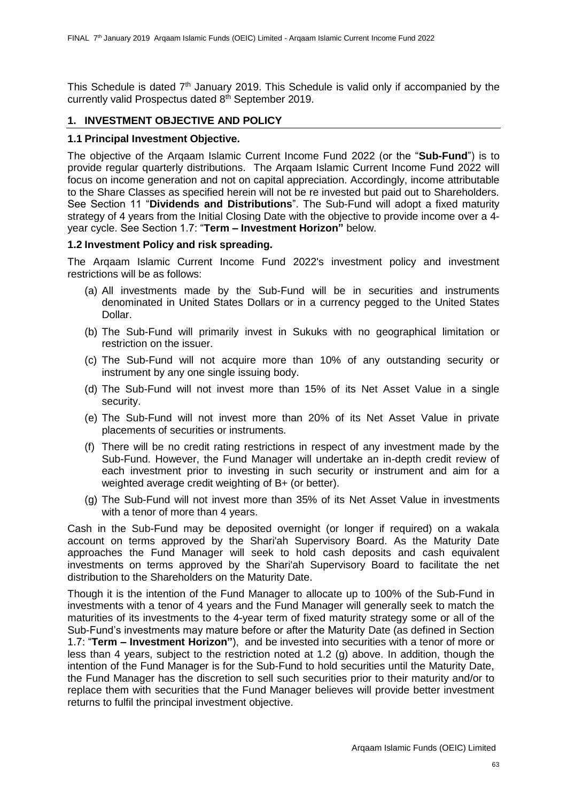This Schedule is dated 7<sup>th</sup> January 2019. This Schedule is valid only if accompanied by the currently valid Prospectus dated 8 th September 2019.

### **1. INVESTMENT OBJECTIVE AND POLICY**

### **1.1 Principal Investment Objective.**

The objective of the Arqaam Islamic Current Income Fund 2022 (or the "**Sub-Fund**") is to provide regular quarterly distributions. The Arqaam Islamic Current Income Fund 2022 will focus on income generation and not on capital appreciation. Accordingly, income attributable to the Share Classes as specified herein will not be re invested but paid out to Shareholders. See Section 11 "**Dividends and Distributions**". The Sub-Fund will adopt a fixed maturity strategy of 4 years from the Initial Closing Date with the objective to provide income over a 4 year cycle. See Section 1.7: "**Term – Investment Horizon"** below.

### **1.2 Investment Policy and risk spreading.**

The Arqaam Islamic Current Income Fund 2022's investment policy and investment restrictions will be as follows:

- (a) All investments made by the Sub-Fund will be in securities and instruments denominated in United States Dollars or in a currency pegged to the United States Dollar.
- (b) The Sub-Fund will primarily invest in Sukuks with no geographical limitation or restriction on the issuer.
- (c) The Sub-Fund will not acquire more than 10% of any outstanding security or instrument by any one single issuing body.
- (d) The Sub-Fund will not invest more than 15% of its Net Asset Value in a single security.
- (e) The Sub-Fund will not invest more than 20% of its Net Asset Value in private placements of securities or instruments.
- (f) There will be no credit rating restrictions in respect of any investment made by the Sub-Fund. However, the Fund Manager will undertake an in-depth credit review of each investment prior to investing in such security or instrument and aim for a weighted average credit weighting of B+ (or better).
- (g) The Sub-Fund will not invest more than 35% of its Net Asset Value in investments with a tenor of more than 4 years.

Cash in the Sub-Fund may be deposited overnight (or longer if required) on a wakala account on terms approved by the Shari'ah Supervisory Board. As the Maturity Date approaches the Fund Manager will seek to hold cash deposits and cash equivalent investments on terms approved by the Shari'ah Supervisory Board to facilitate the net distribution to the Shareholders on the Maturity Date.

Though it is the intention of the Fund Manager to allocate up to 100% of the Sub-Fund in investments with a tenor of 4 years and the Fund Manager will generally seek to match the maturities of its investments to the 4-year term of fixed maturity strategy some or all of the Sub-Fund's investments may mature before or after the Maturity Date (as defined in Section 1.7: "**Term – Investment Horizon"**), and be invested into securities with a tenor of more or less than 4 years, subject to the restriction noted at 1.2 (g) above. In addition, though the intention of the Fund Manager is for the Sub-Fund to hold securities until the Maturity Date, the Fund Manager has the discretion to sell such securities prior to their maturity and/or to replace them with securities that the Fund Manager believes will provide better investment returns to fulfil the principal investment objective.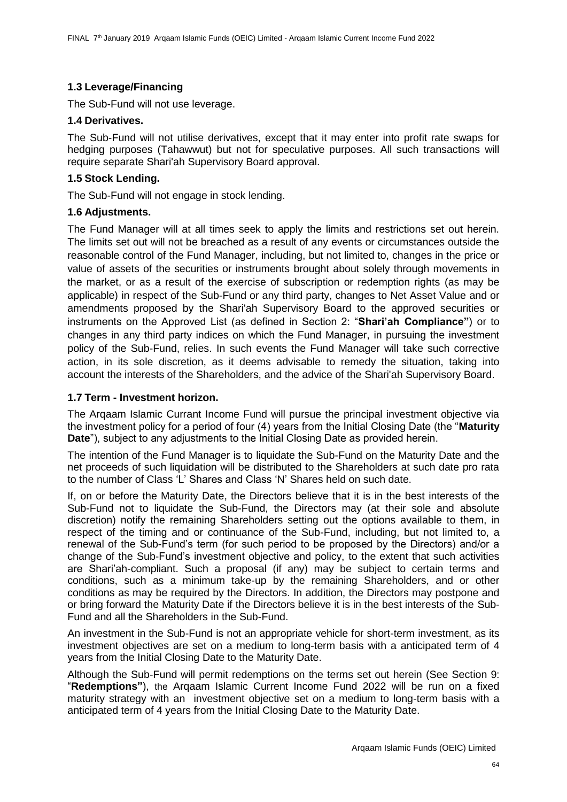# **1.3 Leverage/Financing**

The Sub-Fund will not use leverage.

# **1.4 Derivatives.**

The Sub-Fund will not utilise derivatives, except that it may enter into profit rate swaps for hedging purposes (Tahawwut) but not for speculative purposes. All such transactions will require separate Shari'ah Supervisory Board approval.

# **1.5 Stock Lending.**

The Sub-Fund will not engage in stock lending.

# **1.6 Adjustments.**

The Fund Manager will at all times seek to apply the limits and restrictions set out herein. The limits set out will not be breached as a result of any events or circumstances outside the reasonable control of the Fund Manager, including, but not limited to, changes in the price or value of assets of the securities or instruments brought about solely through movements in the market, or as a result of the exercise of subscription or redemption rights (as may be applicable) in respect of the Sub-Fund or any third party, changes to Net Asset Value and or amendments proposed by the Shari'ah Supervisory Board to the approved securities or instruments on the Approved List (as defined in Section 2: "**Shari'ah Compliance"**) or to changes in any third party indices on which the Fund Manager, in pursuing the investment policy of the Sub-Fund, relies. In such events the Fund Manager will take such corrective action, in its sole discretion, as it deems advisable to remedy the situation, taking into account the interests of the Shareholders, and the advice of the Shari'ah Supervisory Board.

### **1.7 Term - Investment horizon.**

The Arqaam Islamic Currant Income Fund will pursue the principal investment objective via the investment policy for a period of four (4) years from the Initial Closing Date (the "**Maturity Date**"), subject to any adjustments to the Initial Closing Date as provided herein.

The intention of the Fund Manager is to liquidate the Sub-Fund on the Maturity Date and the net proceeds of such liquidation will be distributed to the Shareholders at such date pro rata to the number of Class 'L' Shares and Class 'N' Shares held on such date.

If, on or before the Maturity Date, the Directors believe that it is in the best interests of the Sub-Fund not to liquidate the Sub-Fund, the Directors may (at their sole and absolute discretion) notify the remaining Shareholders setting out the options available to them, in respect of the timing and or continuance of the Sub-Fund, including, but not limited to, a renewal of the Sub-Fund's term (for such period to be proposed by the Directors) and/or a change of the Sub-Fund's investment objective and policy, to the extent that such activities are Shari'ah-compliant. Such a proposal (if any) may be subject to certain terms and conditions, such as a minimum take-up by the remaining Shareholders, and or other conditions as may be required by the Directors. In addition, the Directors may postpone and or bring forward the Maturity Date if the Directors believe it is in the best interests of the Sub-Fund and all the Shareholders in the Sub-Fund.

An investment in the Sub-Fund is not an appropriate vehicle for short-term investment, as its investment objectives are set on a medium to long-term basis with a anticipated term of 4 years from the Initial Closing Date to the Maturity Date.

Although the Sub-Fund will permit redemptions on the terms set out herein (See Section 9: "**Redemptions"**), the Arqaam Islamic Current Income Fund 2022 will be run on a fixed maturity strategy with an investment objective set on a medium to long-term basis with a anticipated term of 4 years from the Initial Closing Date to the Maturity Date.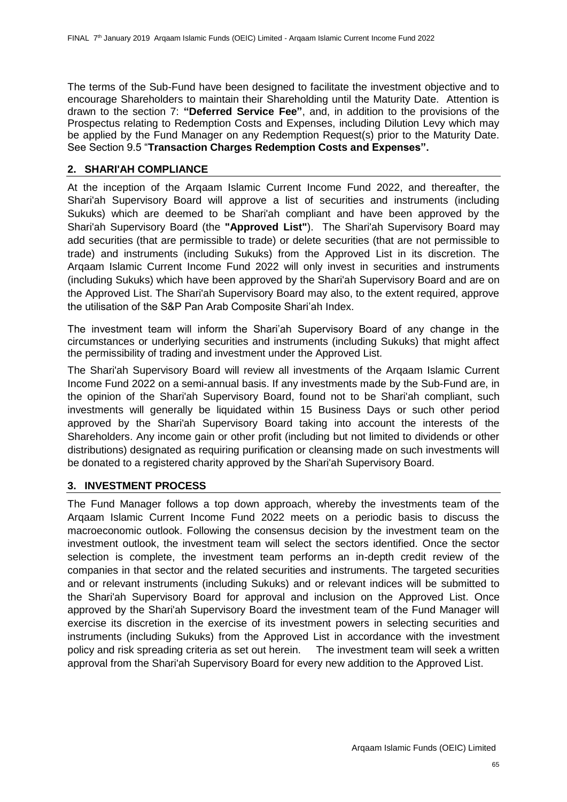The terms of the Sub-Fund have been designed to facilitate the investment objective and to encourage Shareholders to maintain their Shareholding until the Maturity Date. Attention is drawn to the section 7: **"Deferred Service Fee"**, and, in addition to the provisions of the Prospectus relating to Redemption Costs and Expenses, including Dilution Levy which may be applied by the Fund Manager on any Redemption Request(s) prior to the Maturity Date. See Section 9.5 "**Transaction Charges Redemption Costs and Expenses".**

# **2. SHARI'AH COMPLIANCE**

At the inception of the Arqaam Islamic Current Income Fund 2022, and thereafter, the Shari'ah Supervisory Board will approve a list of securities and instruments (including Sukuks) which are deemed to be Shari'ah compliant and have been approved by the Shari'ah Supervisory Board (the **"Approved List"**). The Shari'ah Supervisory Board may add securities (that are permissible to trade) or delete securities (that are not permissible to trade) and instruments (including Sukuks) from the Approved List in its discretion. The Arqaam Islamic Current Income Fund 2022 will only invest in securities and instruments (including Sukuks) which have been approved by the Shari'ah Supervisory Board and are on the Approved List. The Shari'ah Supervisory Board may also, to the extent required, approve the utilisation of the S&P Pan Arab Composite Shari'ah Index.

The investment team will inform the Shari'ah Supervisory Board of any change in the circumstances or underlying securities and instruments (including Sukuks) that might affect the permissibility of trading and investment under the Approved List.

The Shari'ah Supervisory Board will review all investments of the Arqaam Islamic Current Income Fund 2022 on a semi-annual basis. If any investments made by the Sub-Fund are, in the opinion of the Shari'ah Supervisory Board, found not to be Shari'ah compliant, such investments will generally be liquidated within 15 Business Days or such other period approved by the Shari'ah Supervisory Board taking into account the interests of the Shareholders. Any income gain or other profit (including but not limited to dividends or other distributions) designated as requiring purification or cleansing made on such investments will be donated to a registered charity approved by the Shari'ah Supervisory Board.

# **3. INVESTMENT PROCESS**

The Fund Manager follows a top down approach, whereby the investments team of the Arqaam Islamic Current Income Fund 2022 meets on a periodic basis to discuss the macroeconomic outlook. Following the consensus decision by the investment team on the investment outlook, the investment team will select the sectors identified. Once the sector selection is complete, the investment team performs an in-depth credit review of the companies in that sector and the related securities and instruments. The targeted securities and or relevant instruments (including Sukuks) and or relevant indices will be submitted to the Shari'ah Supervisory Board for approval and inclusion on the Approved List. Once approved by the Shari'ah Supervisory Board the investment team of the Fund Manager will exercise its discretion in the exercise of its investment powers in selecting securities and instruments (including Sukuks) from the Approved List in accordance with the investment policy and risk spreading criteria as set out herein. The investment team will seek a written approval from the Shari'ah Supervisory Board for every new addition to the Approved List.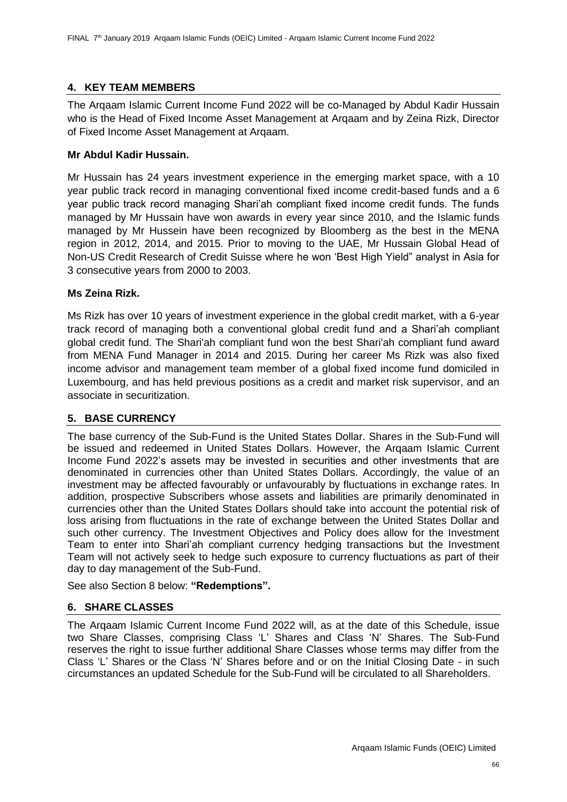# **4. KEY TEAM MEMBERS**

The Arqaam Islamic Current Income Fund 2022 will be co-Managed by Abdul Kadir Hussain who is the Head of Fixed Income Asset Management at Arqaam and by Zeina Rizk, Director of Fixed Income Asset Management at Arqaam.

### **Mr Abdul Kadir Hussain.**

Mr Hussain has 24 years investment experience in the emerging market space, with a 10 year public track record in managing conventional fixed income credit-based funds and a 6 year public track record managing Shari'ah compliant fixed income credit funds. The funds managed by Mr Hussain have won awards in every year since 2010, and the Islamic funds managed by Mr Hussein have been recognized by Bloomberg as the best in the MENA region in 2012, 2014, and 2015. Prior to moving to the UAE, Mr Hussain Global Head of Non-US Credit Research of Credit Suisse where he won 'Best High Yield" analyst in Asia for 3 consecutive years from 2000 to 2003.

### **Ms Zeina Rizk.**

Ms Rizk has over 10 years of investment experience in the global credit market, with a 6-year track record of managing both a conventional global credit fund and a Shari'ah compliant global credit fund. The Shari'ah compliant fund won the best Shari'ah compliant fund award from MENA Fund Manager in 2014 and 2015. During her career Ms Rizk was also fixed income advisor and management team member of a global fixed income fund domiciled in Luxembourg, and has held previous positions as a credit and market risk supervisor, and an associate in securitization.

# **5. BASE CURRENCY**

The base currency of the Sub-Fund is the United States Dollar. Shares in the Sub-Fund will be issued and redeemed in United States Dollars. However, the Arqaam Islamic Current Income Fund 2022's assets may be invested in securities and other investments that are denominated in currencies other than United States Dollars. Accordingly, the value of an investment may be affected favourably or unfavourably by fluctuations in exchange rates. In addition, prospective Subscribers whose assets and liabilities are primarily denominated in currencies other than the United States Dollars should take into account the potential risk of loss arising from fluctuations in the rate of exchange between the United States Dollar and such other currency. The Investment Objectives and Policy does allow for the Investment Team to enter into Shari'ah compliant currency hedging transactions but the Investment Team will not actively seek to hedge such exposure to currency fluctuations as part of their day to day management of the Sub-Fund.

See also Section 8 below: **"Redemptions".**

# **6. SHARE CLASSES**

The Arqaam Islamic Current Income Fund 2022 will, as at the date of this Schedule, issue two Share Classes, comprising Class 'L' Shares and Class 'N' Shares. The Sub-Fund reserves the right to issue further additional Share Classes whose terms may differ from the Class 'L' Shares or the Class 'N' Shares before and or on the Initial Closing Date - in such circumstances an updated Schedule for the Sub-Fund will be circulated to all Shareholders.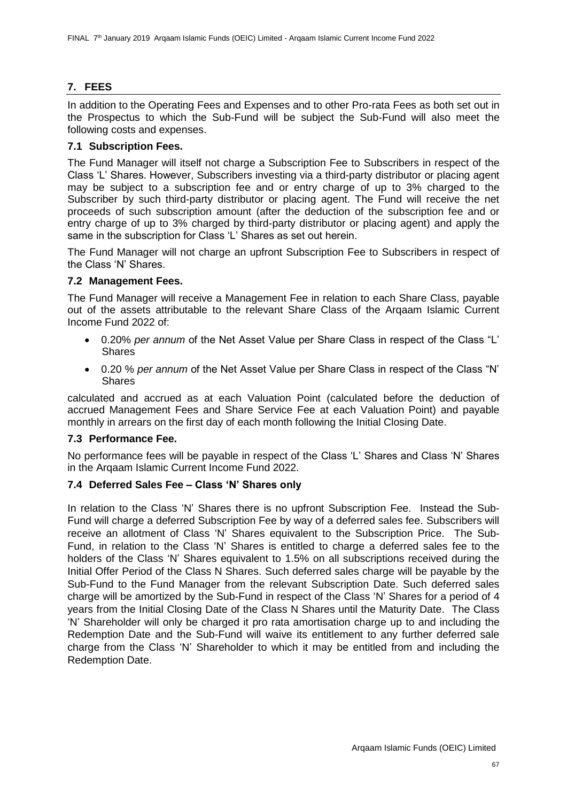# **7. FEES**

In addition to the Operating Fees and Expenses and to other Pro-rata Fees as both set out in the Prospectus to which the Sub-Fund will be subject the Sub-Fund will also meet the following costs and expenses.

## **7.1 Subscription Fees.**

The Fund Manager will itself not charge a Subscription Fee to Subscribers in respect of the Class 'L' Shares. However, Subscribers investing via a third-party distributor or placing agent may be subject to a subscription fee and or entry charge of up to 3% charged to the Subscriber by such third-party distributor or placing agent. The Fund will receive the net proceeds of such subscription amount (after the deduction of the subscription fee and or entry charge of up to 3% charged by third-party distributor or placing agent) and apply the same in the subscription for Class 'L' Shares as set out herein.

The Fund Manager will not charge an upfront Subscription Fee to Subscribers in respect of the Class 'N' Shares.

## **7.2 Management Fees.**

The Fund Manager will receive a Management Fee in relation to each Share Class, payable out of the assets attributable to the relevant Share Class of the Arqaam Islamic Current Income Fund 2022 of:

- 0.20% *per annum* of the Net Asset Value per Share Class in respect of the Class "L' Shares
- 0.20 % *per annum* of the Net Asset Value per Share Class in respect of the Class "N' **Shares**

calculated and accrued as at each Valuation Point (calculated before the deduction of accrued Management Fees and Share Service Fee at each Valuation Point) and payable monthly in arrears on the first day of each month following the Initial Closing Date.

## **7.3 Performance Fee.**

No performance fees will be payable in respect of the Class 'L' Shares and Class 'N' Shares in the Arqaam Islamic Current Income Fund 2022.

## **7.4 Deferred Sales Fee – Class 'N' Shares only**

In relation to the Class 'N' Shares there is no upfront Subscription Fee. Instead the Sub-Fund will charge a deferred Subscription Fee by way of a deferred sales fee. Subscribers will receive an allotment of Class 'N' Shares equivalent to the Subscription Price. The Sub-Fund, in relation to the Class 'N' Shares is entitled to charge a deferred sales fee to the holders of the Class 'N' Shares equivalent to 1.5% on all subscriptions received during the Initial Offer Period of the Class N Shares. Such deferred sales charge will be payable by the Sub-Fund to the Fund Manager from the relevant Subscription Date. Such deferred sales charge will be amortized by the Sub-Fund in respect of the Class 'N' Shares for a period of 4 years from the Initial Closing Date of the Class N Shares until the Maturity Date. The Class 'N' Shareholder will only be charged it pro rata amortisation charge up to and including the Redemption Date and the Sub-Fund will waive its entitlement to any further deferred sale charge from the Class 'N' Shareholder to which it may be entitled from and including the Redemption Date.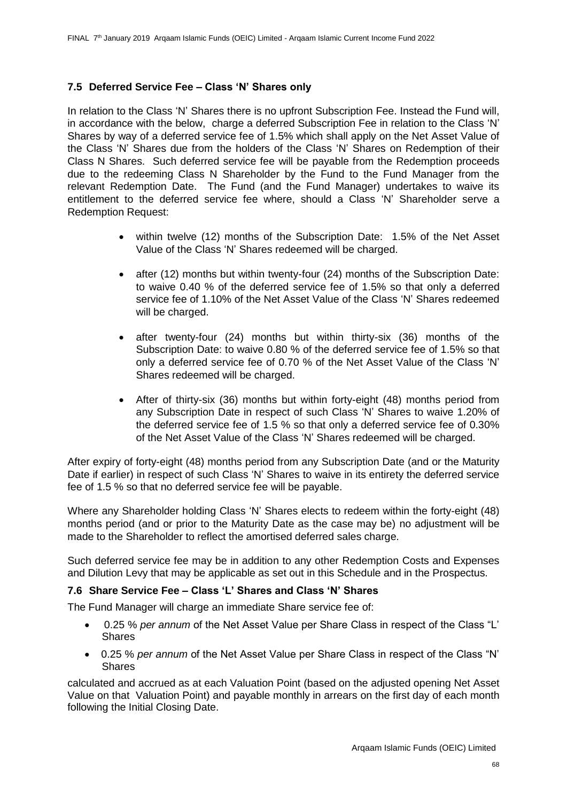## **7.5 Deferred Service Fee – Class 'N' Shares only**

In relation to the Class 'N' Shares there is no upfront Subscription Fee. Instead the Fund will, in accordance with the below, charge a deferred Subscription Fee in relation to the Class 'N' Shares by way of a deferred service fee of 1.5% which shall apply on the Net Asset Value of the Class 'N' Shares due from the holders of the Class 'N' Shares on Redemption of their Class N Shares. Such deferred service fee will be payable from the Redemption proceeds due to the redeeming Class N Shareholder by the Fund to the Fund Manager from the relevant Redemption Date. The Fund (and the Fund Manager) undertakes to waive its entitlement to the deferred service fee where, should a Class 'N' Shareholder serve a Redemption Request:

- within twelve (12) months of the Subscription Date: 1.5% of the Net Asset Value of the Class 'N' Shares redeemed will be charged.
- after (12) months but within twenty-four (24) months of the Subscription Date: to waive 0.40 % of the deferred service fee of 1.5% so that only a deferred service fee of 1.10% of the Net Asset Value of the Class 'N' Shares redeemed will be charged.
- after twenty-four (24) months but within thirty-six (36) months of the Subscription Date: to waive 0.80 % of the deferred service fee of 1.5% so that only a deferred service fee of 0.70 % of the Net Asset Value of the Class 'N' Shares redeemed will be charged.
- After of thirty-six (36) months but within forty-eight (48) months period from any Subscription Date in respect of such Class 'N' Shares to waive 1.20% of the deferred service fee of 1.5 % so that only a deferred service fee of 0.30% of the Net Asset Value of the Class 'N' Shares redeemed will be charged.

After expiry of forty-eight (48) months period from any Subscription Date (and or the Maturity Date if earlier) in respect of such Class 'N' Shares to waive in its entirety the deferred service fee of 1.5 % so that no deferred service fee will be payable.

Where any Shareholder holding Class 'N' Shares elects to redeem within the forty-eight (48) months period (and or prior to the Maturity Date as the case may be) no adjustment will be made to the Shareholder to reflect the amortised deferred sales charge.

Such deferred service fee may be in addition to any other Redemption Costs and Expenses and Dilution Levy that may be applicable as set out in this Schedule and in the Prospectus.

## **7.6 Share Service Fee – Class 'L' Shares and Class 'N' Shares**

The Fund Manager will charge an immediate Share service fee of:

- 0.25 % *per annum* of the Net Asset Value per Share Class in respect of the Class "L' Shares
- 0.25 % *per annum* of the Net Asset Value per Share Class in respect of the Class "N' **Shares**

calculated and accrued as at each Valuation Point (based on the adjusted opening Net Asset Value on that Valuation Point) and payable monthly in arrears on the first day of each month following the Initial Closing Date.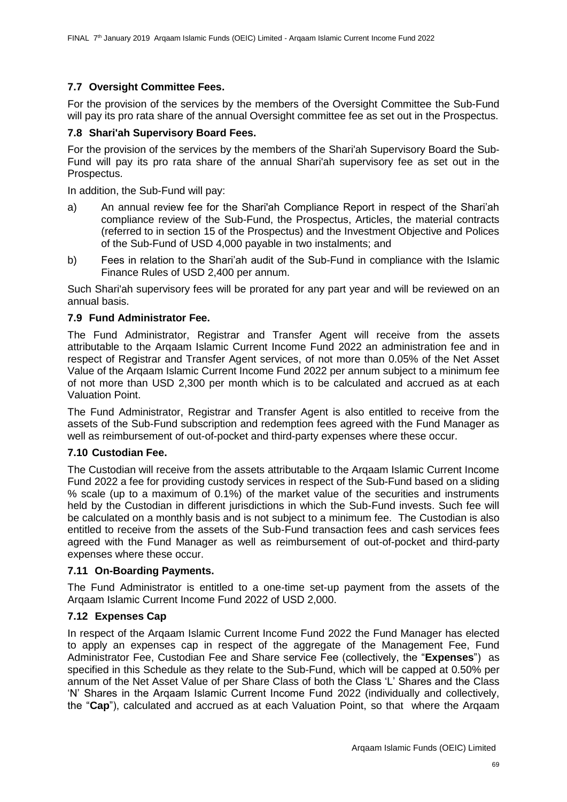## **7.7 Oversight Committee Fees.**

For the provision of the services by the members of the Oversight Committee the Sub-Fund will pay its pro rata share of the annual Oversight committee fee as set out in the Prospectus.

## **7.8 Shari'ah Supervisory Board Fees.**

For the provision of the services by the members of the Shari'ah Supervisory Board the Sub-Fund will pay its pro rata share of the annual Shari'ah supervisory fee as set out in the Prospectus.

In addition, the Sub-Fund will pay:

- a) An annual review fee for the Shari'ah Compliance Report in respect of the Shari'ah compliance review of the Sub-Fund, the Prospectus, Articles, the material contracts (referred to in section 15 of the Prospectus) and the Investment Objective and Polices of the Sub-Fund of USD 4,000 payable in two instalments; and
- b) Fees in relation to the Shari'ah audit of the Sub-Fund in compliance with the Islamic Finance Rules of USD 2,400 per annum.

Such Shari'ah supervisory fees will be prorated for any part year and will be reviewed on an annual basis.

### **7.9 Fund Administrator Fee.**

The Fund Administrator, Registrar and Transfer Agent will receive from the assets attributable to the Arqaam Islamic Current Income Fund 2022 an administration fee and in respect of Registrar and Transfer Agent services, of not more than 0.05% of the Net Asset Value of the Arqaam Islamic Current Income Fund 2022 per annum subject to a minimum fee of not more than USD 2,300 per month which is to be calculated and accrued as at each Valuation Point.

The Fund Administrator, Registrar and Transfer Agent is also entitled to receive from the assets of the Sub-Fund subscription and redemption fees agreed with the Fund Manager as well as reimbursement of out-of-pocket and third-party expenses where these occur.

#### **7.10 Custodian Fee.**

The Custodian will receive from the assets attributable to the Arqaam Islamic Current Income Fund 2022 a fee for providing custody services in respect of the Sub-Fund based on a sliding % scale (up to a maximum of 0.1%) of the market value of the securities and instruments held by the Custodian in different jurisdictions in which the Sub-Fund invests. Such fee will be calculated on a monthly basis and is not subject to a minimum fee. The Custodian is also entitled to receive from the assets of the Sub-Fund transaction fees and cash services fees agreed with the Fund Manager as well as reimbursement of out-of-pocket and third-party expenses where these occur.

#### **7.11 On-Boarding Payments.**

The Fund Administrator is entitled to a one-time set-up payment from the assets of the Arqaam Islamic Current Income Fund 2022 of USD 2,000.

## **7.12 Expenses Cap**

In respect of the Arqaam Islamic Current Income Fund 2022 the Fund Manager has elected to apply an expenses cap in respect of the aggregate of the Management Fee, Fund Administrator Fee, Custodian Fee and Share service Fee (collectively, the "**Expenses**") as specified in this Schedule as they relate to the Sub-Fund, which will be capped at 0.50% per annum of the Net Asset Value of per Share Class of both the Class 'L' Shares and the Class 'N' Shares in the Arqaam Islamic Current Income Fund 2022 (individually and collectively, the "**Cap**"), calculated and accrued as at each Valuation Point, so that where the Arqaam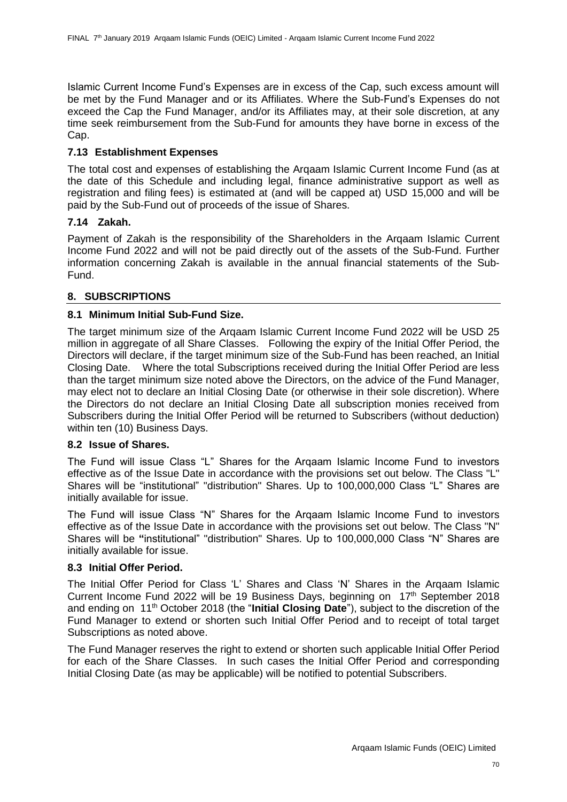Islamic Current Income Fund's Expenses are in excess of the Cap, such excess amount will be met by the Fund Manager and or its Affiliates. Where the Sub-Fund's Expenses do not exceed the Cap the Fund Manager, and/or its Affiliates may, at their sole discretion, at any time seek reimbursement from the Sub-Fund for amounts they have borne in excess of the Cap.

## **7.13 Establishment Expenses**

The total cost and expenses of establishing the Arqaam Islamic Current Income Fund (as at the date of this Schedule and including legal, finance administrative support as well as registration and filing fees) is estimated at (and will be capped at) USD 15,000 and will be paid by the Sub-Fund out of proceeds of the issue of Shares.

### **7.14 Zakah.**

Payment of Zakah is the responsibility of the Shareholders in the Arqaam Islamic Current Income Fund 2022 and will not be paid directly out of the assets of the Sub-Fund. Further information concerning Zakah is available in the annual financial statements of the Sub-Fund.

## **8. SUBSCRIPTIONS**

## **8.1 Minimum Initial Sub-Fund Size.**

The target minimum size of the Arqaam Islamic Current Income Fund 2022 will be USD 25 million in aggregate of all Share Classes. Following the expiry of the Initial Offer Period, the Directors will declare, if the target minimum size of the Sub-Fund has been reached, an Initial Closing Date. Where the total Subscriptions received during the Initial Offer Period are less than the target minimum size noted above the Directors, on the advice of the Fund Manager, may elect not to declare an Initial Closing Date (or otherwise in their sole discretion). Where the Directors do not declare an Initial Closing Date all subscription monies received from Subscribers during the Initial Offer Period will be returned to Subscribers (without deduction) within ten (10) Business Days.

## **8.2 Issue of Shares.**

The Fund will issue Class "L" Shares for the Arqaam Islamic Income Fund to investors effective as of the Issue Date in accordance with the provisions set out below. The Class "L" Shares will be "institutional" "distribution" Shares. Up to 100,000,000 Class "L" Shares are initially available for issue.

The Fund will issue Class "N" Shares for the Arqaam Islamic Income Fund to investors effective as of the Issue Date in accordance with the provisions set out below. The Class "N" Shares will be **"**institutional" "distribution" Shares. Up to 100,000,000 Class "N" Shares are initially available for issue.

### **8.3 Initial Offer Period.**

The Initial Offer Period for Class 'L' Shares and Class 'N' Shares in the Arqaam Islamic Current Income Fund 2022 will be 19 Business Days, beginning on  $17<sup>th</sup>$  September 2018 and ending on 11th October 2018 (the "**Initial Closing Date**"), subject to the discretion of the Fund Manager to extend or shorten such Initial Offer Period and to receipt of total target Subscriptions as noted above.

The Fund Manager reserves the right to extend or shorten such applicable Initial Offer Period for each of the Share Classes. In such cases the Initial Offer Period and corresponding Initial Closing Date (as may be applicable) will be notified to potential Subscribers.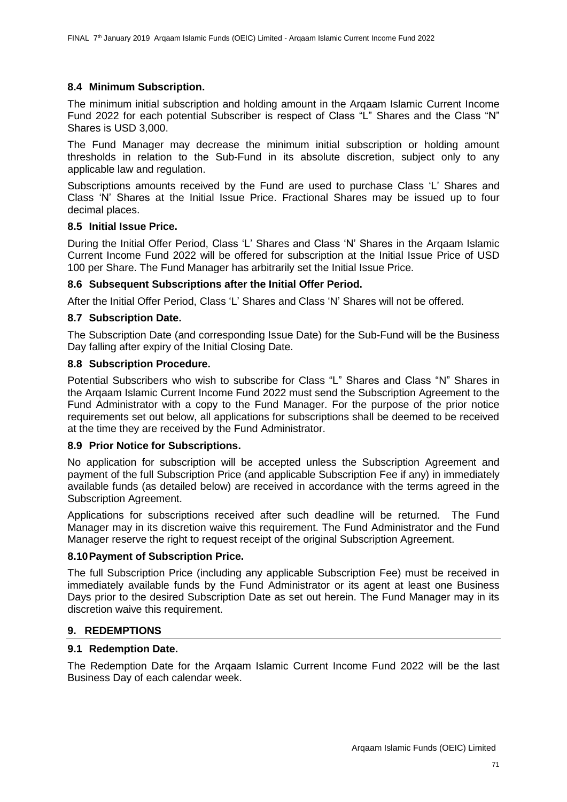### **8.4 Minimum Subscription.**

The minimum initial subscription and holding amount in the Arqaam Islamic Current Income Fund 2022 for each potential Subscriber is respect of Class "L" Shares and the Class "N" Shares is USD 3,000.

The Fund Manager may decrease the minimum initial subscription or holding amount thresholds in relation to the Sub-Fund in its absolute discretion, subject only to any applicable law and regulation.

Subscriptions amounts received by the Fund are used to purchase Class 'L' Shares and Class 'N' Shares at the Initial Issue Price. Fractional Shares may be issued up to four decimal places.

#### **8.5 Initial Issue Price.**

During the Initial Offer Period, Class 'L' Shares and Class 'N' Shares in the Arqaam Islamic Current Income Fund 2022 will be offered for subscription at the Initial Issue Price of USD 100 per Share. The Fund Manager has arbitrarily set the Initial Issue Price.

### **8.6 Subsequent Subscriptions after the Initial Offer Period.**

After the Initial Offer Period, Class 'L' Shares and Class 'N' Shares will not be offered.

### **8.7 Subscription Date.**

The Subscription Date (and corresponding Issue Date) for the Sub-Fund will be the Business Day falling after expiry of the Initial Closing Date.

#### **8.8 Subscription Procedure.**

Potential Subscribers who wish to subscribe for Class "L" Shares and Class "N" Shares in the Arqaam Islamic Current Income Fund 2022 must send the Subscription Agreement to the Fund Administrator with a copy to the Fund Manager. For the purpose of the prior notice requirements set out below, all applications for subscriptions shall be deemed to be received at the time they are received by the Fund Administrator.

#### **8.9 Prior Notice for Subscriptions.**

No application for subscription will be accepted unless the Subscription Agreement and payment of the full Subscription Price (and applicable Subscription Fee if any) in immediately available funds (as detailed below) are received in accordance with the terms agreed in the Subscription Agreement.

Applications for subscriptions received after such deadline will be returned. The Fund Manager may in its discretion waive this requirement. The Fund Administrator and the Fund Manager reserve the right to request receipt of the original Subscription Agreement.

#### **8.10Payment of Subscription Price.**

The full Subscription Price (including any applicable Subscription Fee) must be received in immediately available funds by the Fund Administrator or its agent at least one Business Days prior to the desired Subscription Date as set out herein. The Fund Manager may in its discretion waive this requirement.

#### **9. REDEMPTIONS**

#### **9.1 Redemption Date.**

The Redemption Date for the Arqaam Islamic Current Income Fund 2022 will be the last Business Day of each calendar week.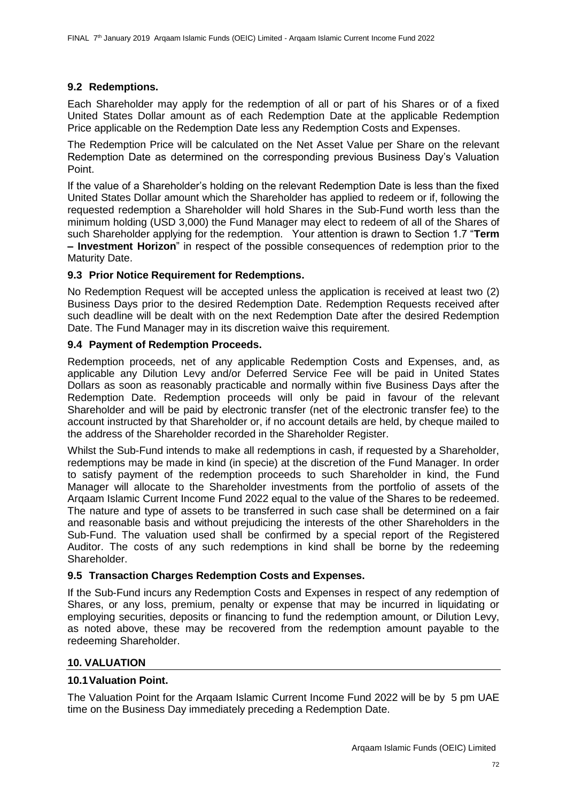### **9.2 Redemptions.**

Each Shareholder may apply for the redemption of all or part of his Shares or of a fixed United States Dollar amount as of each Redemption Date at the applicable Redemption Price applicable on the Redemption Date less any Redemption Costs and Expenses.

The Redemption Price will be calculated on the Net Asset Value per Share on the relevant Redemption Date as determined on the corresponding previous Business Day's Valuation Point.

If the value of a Shareholder's holding on the relevant Redemption Date is less than the fixed United States Dollar amount which the Shareholder has applied to redeem or if, following the requested redemption a Shareholder will hold Shares in the Sub-Fund worth less than the minimum holding (USD 3,000) the Fund Manager may elect to redeem of all of the Shares of such Shareholder applying for the redemption. Your attention is drawn to Section 1.7 "**Term – Investment Horizon**" in respect of the possible consequences of redemption prior to the Maturity Date.

### **9.3 Prior Notice Requirement for Redemptions.**

No Redemption Request will be accepted unless the application is received at least two (2) Business Days prior to the desired Redemption Date. Redemption Requests received after such deadline will be dealt with on the next Redemption Date after the desired Redemption Date. The Fund Manager may in its discretion waive this requirement.

### **9.4 Payment of Redemption Proceeds.**

Redemption proceeds, net of any applicable Redemption Costs and Expenses, and, as applicable any Dilution Levy and/or Deferred Service Fee will be paid in United States Dollars as soon as reasonably practicable and normally within five Business Days after the Redemption Date. Redemption proceeds will only be paid in favour of the relevant Shareholder and will be paid by electronic transfer (net of the electronic transfer fee) to the account instructed by that Shareholder or, if no account details are held, by cheque mailed to the address of the Shareholder recorded in the Shareholder Register.

Whilst the Sub-Fund intends to make all redemptions in cash, if requested by a Shareholder, redemptions may be made in kind (in specie) at the discretion of the Fund Manager. In order to satisfy payment of the redemption proceeds to such Shareholder in kind, the Fund Manager will allocate to the Shareholder investments from the portfolio of assets of the Arqaam Islamic Current Income Fund 2022 equal to the value of the Shares to be redeemed. The nature and type of assets to be transferred in such case shall be determined on a fair and reasonable basis and without prejudicing the interests of the other Shareholders in the Sub-Fund. The valuation used shall be confirmed by a special report of the Registered Auditor. The costs of any such redemptions in kind shall be borne by the redeeming Shareholder.

## **9.5 Transaction Charges Redemption Costs and Expenses.**

If the Sub-Fund incurs any Redemption Costs and Expenses in respect of any redemption of Shares, or any loss, premium, penalty or expense that may be incurred in liquidating or employing securities, deposits or financing to fund the redemption amount, or Dilution Levy, as noted above, these may be recovered from the redemption amount payable to the redeeming Shareholder.

## **10. VALUATION**

#### **10.1Valuation Point.**

The Valuation Point for the Arqaam Islamic Current Income Fund 2022 will be by 5 pm UAE time on the Business Day immediately preceding a Redemption Date.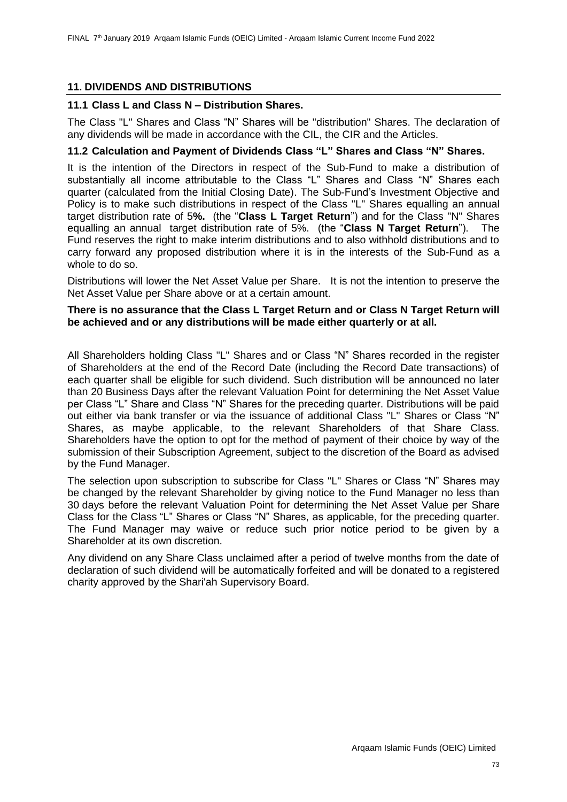## **11. DIVIDENDS AND DISTRIBUTIONS**

### **11.1 Class L and Class N – Distribution Shares.**

The Class "L" Shares and Class "N" Shares will be "distribution" Shares. The declaration of any dividends will be made in accordance with the CIL, the CIR and the Articles.

## **11.2 Calculation and Payment of Dividends Class "L" Shares and Class "N" Shares.**

It is the intention of the Directors in respect of the Sub-Fund to make a distribution of substantially all income attributable to the Class "L" Shares and Class "N" Shares each quarter (calculated from the Initial Closing Date). The Sub-Fund's Investment Objective and Policy is to make such distributions in respect of the Class "L" Shares equalling an annual target distribution rate of 5**%.** (the "**Class L Target Return**") and for the Class "N" Shares equalling an annual target distribution rate of 5%. (the "**Class N Target Return**"). The Fund reserves the right to make interim distributions and to also withhold distributions and to carry forward any proposed distribution where it is in the interests of the Sub-Fund as a whole to do so.

Distributions will lower the Net Asset Value per Share. It is not the intention to preserve the Net Asset Value per Share above or at a certain amount.

### **There is no assurance that the Class L Target Return and or Class N Target Return will be achieved and or any distributions will be made either quarterly or at all.**

All Shareholders holding Class "L" Shares and or Class "N" Shares recorded in the register of Shareholders at the end of the Record Date (including the Record Date transactions) of each quarter shall be eligible for such dividend. Such distribution will be announced no later than 20 Business Days after the relevant Valuation Point for determining the Net Asset Value per Class "L" Share and Class "N" Shares for the preceding quarter. Distributions will be paid out either via bank transfer or via the issuance of additional Class "L" Shares or Class "N" Shares, as maybe applicable, to the relevant Shareholders of that Share Class. Shareholders have the option to opt for the method of payment of their choice by way of the submission of their Subscription Agreement, subject to the discretion of the Board as advised by the Fund Manager.

The selection upon subscription to subscribe for Class "L" Shares or Class "N" Shares may be changed by the relevant Shareholder by giving notice to the Fund Manager no less than 30 days before the relevant Valuation Point for determining the Net Asset Value per Share Class for the Class "L" Shares or Class "N" Shares, as applicable, for the preceding quarter. The Fund Manager may waive or reduce such prior notice period to be given by a Shareholder at its own discretion.

Any dividend on any Share Class unclaimed after a period of twelve months from the date of declaration of such dividend will be automatically forfeited and will be donated to a registered charity approved by the Shari'ah Supervisory Board.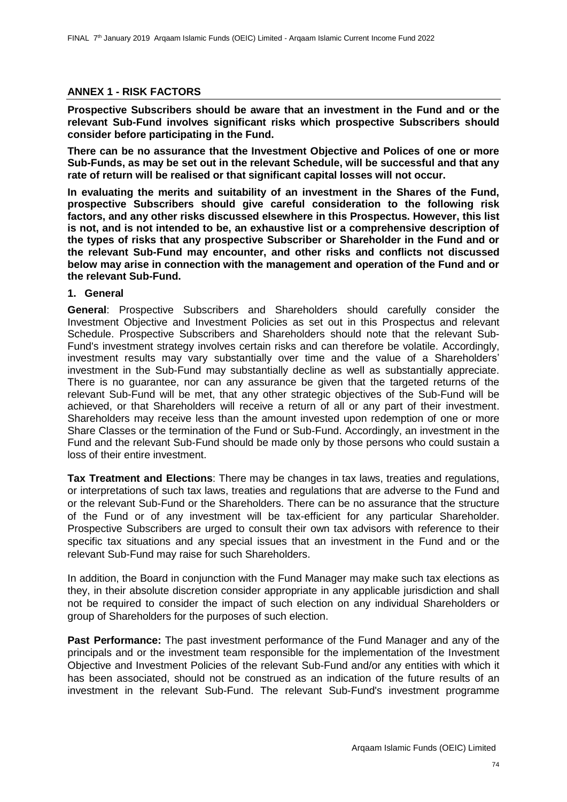## **ANNEX 1 - RISK FACTORS**

**Prospective Subscribers should be aware that an investment in the Fund and or the relevant Sub-Fund involves significant risks which prospective Subscribers should consider before participating in the Fund.** 

**There can be no assurance that the Investment Objective and Polices of one or more Sub-Funds, as may be set out in the relevant Schedule, will be successful and that any rate of return will be realised or that significant capital losses will not occur.**

**In evaluating the merits and suitability of an investment in the Shares of the Fund, prospective Subscribers should give careful consideration to the following risk factors, and any other risks discussed elsewhere in this Prospectus. However, this list is not, and is not intended to be, an exhaustive list or a comprehensive description of the types of risks that any prospective Subscriber or Shareholder in the Fund and or the relevant Sub-Fund may encounter, and other risks and conflicts not discussed below may arise in connection with the management and operation of the Fund and or the relevant Sub-Fund.** 

### **1. General**

**General**: Prospective Subscribers and Shareholders should carefully consider the Investment Objective and Investment Policies as set out in this Prospectus and relevant Schedule. Prospective Subscribers and Shareholders should note that the relevant Sub-Fund's investment strategy involves certain risks and can therefore be volatile. Accordingly, investment results may vary substantially over time and the value of a Shareholders' investment in the Sub-Fund may substantially decline as well as substantially appreciate. There is no guarantee, nor can any assurance be given that the targeted returns of the relevant Sub-Fund will be met, that any other strategic objectives of the Sub-Fund will be achieved, or that Shareholders will receive a return of all or any part of their investment. Shareholders may receive less than the amount invested upon redemption of one or more Share Classes or the termination of the Fund or Sub-Fund. Accordingly, an investment in the Fund and the relevant Sub-Fund should be made only by those persons who could sustain a loss of their entire investment.

**Tax Treatment and Elections**: There may be changes in tax laws, treaties and regulations, or interpretations of such tax laws, treaties and regulations that are adverse to the Fund and or the relevant Sub-Fund or the Shareholders. There can be no assurance that the structure of the Fund or of any investment will be tax-efficient for any particular Shareholder. Prospective Subscribers are urged to consult their own tax advisors with reference to their specific tax situations and any special issues that an investment in the Fund and or the relevant Sub-Fund may raise for such Shareholders.

In addition, the Board in conjunction with the Fund Manager may make such tax elections as they, in their absolute discretion consider appropriate in any applicable jurisdiction and shall not be required to consider the impact of such election on any individual Shareholders or group of Shareholders for the purposes of such election.

**Past Performance:** The past investment performance of the Fund Manager and any of the principals and or the investment team responsible for the implementation of the Investment Objective and Investment Policies of the relevant Sub-Fund and/or any entities with which it has been associated, should not be construed as an indication of the future results of an investment in the relevant Sub-Fund. The relevant Sub-Fund's investment programme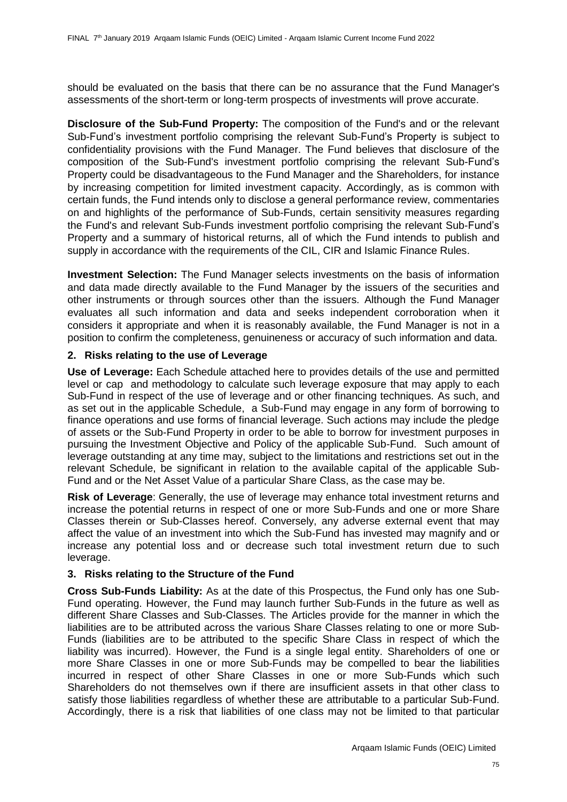should be evaluated on the basis that there can be no assurance that the Fund Manager's assessments of the short-term or long-term prospects of investments will prove accurate.

**Disclosure of the Sub-Fund Property:** The composition of the Fund's and or the relevant Sub-Fund's investment portfolio comprising the relevant Sub-Fund's Property is subject to confidentiality provisions with the Fund Manager. The Fund believes that disclosure of the composition of the Sub-Fund's investment portfolio comprising the relevant Sub-Fund's Property could be disadvantageous to the Fund Manager and the Shareholders, for instance by increasing competition for limited investment capacity. Accordingly, as is common with certain funds, the Fund intends only to disclose a general performance review, commentaries on and highlights of the performance of Sub-Funds, certain sensitivity measures regarding the Fund's and relevant Sub-Funds investment portfolio comprising the relevant Sub-Fund's Property and a summary of historical returns, all of which the Fund intends to publish and supply in accordance with the requirements of the CIL, CIR and Islamic Finance Rules.

**Investment Selection:** The Fund Manager selects investments on the basis of information and data made directly available to the Fund Manager by the issuers of the securities and other instruments or through sources other than the issuers. Although the Fund Manager evaluates all such information and data and seeks independent corroboration when it considers it appropriate and when it is reasonably available, the Fund Manager is not in a position to confirm the completeness, genuineness or accuracy of such information and data.

### **2. Risks relating to the use of Leverage**

**Use of Leverage:** Each Schedule attached here to provides details of the use and permitted level or cap and methodology to calculate such leverage exposure that may apply to each Sub-Fund in respect of the use of leverage and or other financing techniques. As such, and as set out in the applicable Schedule, a Sub-Fund may engage in any form of borrowing to finance operations and use forms of financial leverage. Such actions may include the pledge of assets or the Sub-Fund Property in order to be able to borrow for investment purposes in pursuing the Investment Objective and Policy of the applicable Sub-Fund. Such amount of leverage outstanding at any time may, subject to the limitations and restrictions set out in the relevant Schedule, be significant in relation to the available capital of the applicable Sub-Fund and or the Net Asset Value of a particular Share Class, as the case may be.

**Risk of Leverage**: Generally, the use of leverage may enhance total investment returns and increase the potential returns in respect of one or more Sub-Funds and one or more Share Classes therein or Sub-Classes hereof. Conversely, any adverse external event that may affect the value of an investment into which the Sub-Fund has invested may magnify and or increase any potential loss and or decrease such total investment return due to such leverage.

## **3. Risks relating to the Structure of the Fund**

**Cross Sub-Funds Liability:** As at the date of this Prospectus, the Fund only has one Sub-Fund operating. However, the Fund may launch further Sub-Funds in the future as well as different Share Classes and Sub-Classes. The Articles provide for the manner in which the liabilities are to be attributed across the various Share Classes relating to one or more Sub-Funds (liabilities are to be attributed to the specific Share Class in respect of which the liability was incurred). However, the Fund is a single legal entity. Shareholders of one or more Share Classes in one or more Sub-Funds may be compelled to bear the liabilities incurred in respect of other Share Classes in one or more Sub-Funds which such Shareholders do not themselves own if there are insufficient assets in that other class to satisfy those liabilities regardless of whether these are attributable to a particular Sub-Fund. Accordingly, there is a risk that liabilities of one class may not be limited to that particular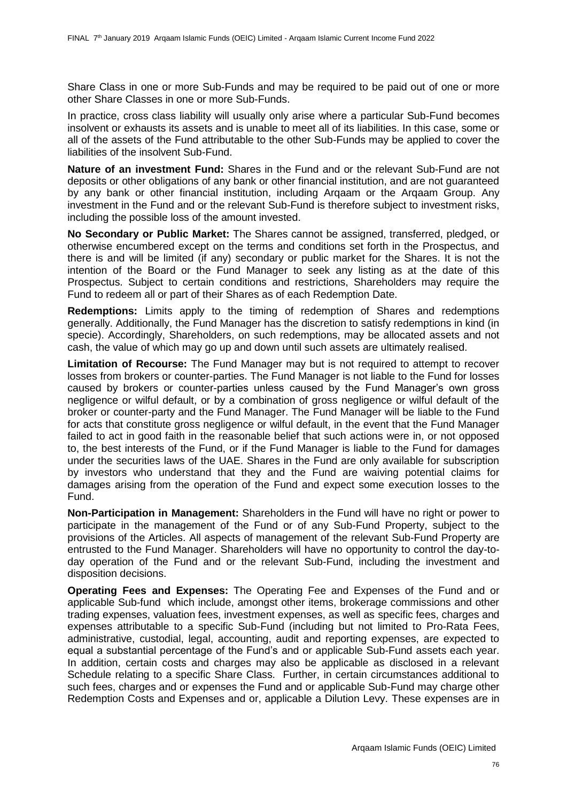Share Class in one or more Sub-Funds and may be required to be paid out of one or more other Share Classes in one or more Sub-Funds.

In practice, cross class liability will usually only arise where a particular Sub-Fund becomes insolvent or exhausts its assets and is unable to meet all of its liabilities. In this case, some or all of the assets of the Fund attributable to the other Sub-Funds may be applied to cover the liabilities of the insolvent Sub-Fund.

**Nature of an investment Fund:** Shares in the Fund and or the relevant Sub-Fund are not deposits or other obligations of any bank or other financial institution, and are not guaranteed by any bank or other financial institution, including Arqaam or the Arqaam Group. Any investment in the Fund and or the relevant Sub-Fund is therefore subject to investment risks, including the possible loss of the amount invested.

**No Secondary or Public Market:** The Shares cannot be assigned, transferred, pledged, or otherwise encumbered except on the terms and conditions set forth in the Prospectus, and there is and will be limited (if any) secondary or public market for the Shares. It is not the intention of the Board or the Fund Manager to seek any listing as at the date of this Prospectus. Subject to certain conditions and restrictions, Shareholders may require the Fund to redeem all or part of their Shares as of each Redemption Date.

**Redemptions:** Limits apply to the timing of redemption of Shares and redemptions generally. Additionally, the Fund Manager has the discretion to satisfy redemptions in kind (in specie). Accordingly, Shareholders, on such redemptions, may be allocated assets and not cash, the value of which may go up and down until such assets are ultimately realised.

**Limitation of Recourse:** The Fund Manager may but is not required to attempt to recover losses from brokers or counter-parties. The Fund Manager is not liable to the Fund for losses caused by brokers or counter-parties unless caused by the Fund Manager's own gross negligence or wilful default, or by a combination of gross negligence or wilful default of the broker or counter-party and the Fund Manager. The Fund Manager will be liable to the Fund for acts that constitute gross negligence or wilful default, in the event that the Fund Manager failed to act in good faith in the reasonable belief that such actions were in, or not opposed to, the best interests of the Fund, or if the Fund Manager is liable to the Fund for damages under the securities laws of the UAE. Shares in the Fund are only available for subscription by investors who understand that they and the Fund are waiving potential claims for damages arising from the operation of the Fund and expect some execution losses to the Fund.

**Non-Participation in Management:** Shareholders in the Fund will have no right or power to participate in the management of the Fund or of any Sub-Fund Property, subject to the provisions of the Articles. All aspects of management of the relevant Sub-Fund Property are entrusted to the Fund Manager. Shareholders will have no opportunity to control the day-today operation of the Fund and or the relevant Sub-Fund, including the investment and disposition decisions.

**Operating Fees and Expenses:** The Operating Fee and Expenses of the Fund and or applicable Sub-fund which include, amongst other items, brokerage commissions and other trading expenses, valuation fees, investment expenses, as well as specific fees, charges and expenses attributable to a specific Sub-Fund (including but not limited to Pro-Rata Fees, administrative, custodial, legal, accounting, audit and reporting expenses, are expected to equal a substantial percentage of the Fund's and or applicable Sub-Fund assets each year. In addition, certain costs and charges may also be applicable as disclosed in a relevant Schedule relating to a specific Share Class. Further, in certain circumstances additional to such fees, charges and or expenses the Fund and or applicable Sub-Fund may charge other Redemption Costs and Expenses and or, applicable a Dilution Levy. These expenses are in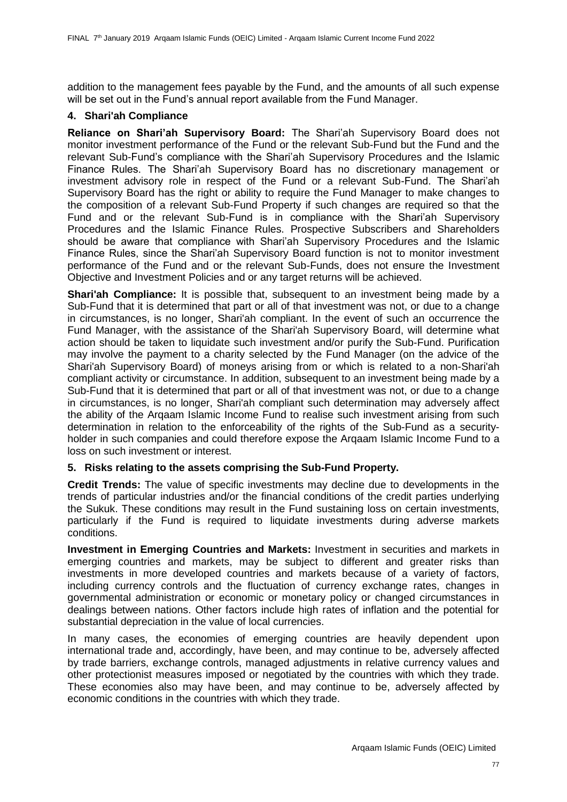addition to the management fees payable by the Fund, and the amounts of all such expense will be set out in the Fund's annual report available from the Fund Manager.

## **4. Shari'ah Compliance**

**Reliance on Shari'ah Supervisory Board:** The Shari'ah Supervisory Board does not monitor investment performance of the Fund or the relevant Sub-Fund but the Fund and the relevant Sub-Fund's compliance with the Shari'ah Supervisory Procedures and the Islamic Finance Rules. The Shari'ah Supervisory Board has no discretionary management or investment advisory role in respect of the Fund or a relevant Sub-Fund. The Shari'ah Supervisory Board has the right or ability to require the Fund Manager to make changes to the composition of a relevant Sub-Fund Property if such changes are required so that the Fund and or the relevant Sub-Fund is in compliance with the Shari'ah Supervisory Procedures and the Islamic Finance Rules. Prospective Subscribers and Shareholders should be aware that compliance with Shari'ah Supervisory Procedures and the Islamic Finance Rules, since the Shari'ah Supervisory Board function is not to monitor investment performance of the Fund and or the relevant Sub-Funds, does not ensure the Investment Objective and Investment Policies and or any target returns will be achieved.

**Shari'ah Compliance:** It is possible that, subsequent to an investment being made by a Sub-Fund that it is determined that part or all of that investment was not, or due to a change in circumstances, is no longer, Shari'ah compliant. In the event of such an occurrence the Fund Manager, with the assistance of the Shari'ah Supervisory Board, will determine what action should be taken to liquidate such investment and/or purify the Sub-Fund. Purification may involve the payment to a charity selected by the Fund Manager (on the advice of the Shari'ah Supervisory Board) of moneys arising from or which is related to a non-Shari'ah compliant activity or circumstance. In addition, subsequent to an investment being made by a Sub-Fund that it is determined that part or all of that investment was not, or due to a change in circumstances, is no longer, Shari'ah compliant such determination may adversely affect the ability of the Arqaam Islamic Income Fund to realise such investment arising from such determination in relation to the enforceability of the rights of the Sub-Fund as a securityholder in such companies and could therefore expose the Arqaam Islamic Income Fund to a loss on such investment or interest.

## **5. Risks relating to the assets comprising the Sub-Fund Property.**

**Credit Trends:** The value of specific investments may decline due to developments in the trends of particular industries and/or the financial conditions of the credit parties underlying the Sukuk. These conditions may result in the Fund sustaining loss on certain investments, particularly if the Fund is required to liquidate investments during adverse markets conditions.

**Investment in Emerging Countries and Markets:** Investment in securities and markets in emerging countries and markets, may be subject to different and greater risks than investments in more developed countries and markets because of a variety of factors, including currency controls and the fluctuation of currency exchange rates, changes in governmental administration or economic or monetary policy or changed circumstances in dealings between nations. Other factors include high rates of inflation and the potential for substantial depreciation in the value of local currencies.

In many cases, the economies of emerging countries are heavily dependent upon international trade and, accordingly, have been, and may continue to be, adversely affected by trade barriers, exchange controls, managed adjustments in relative currency values and other protectionist measures imposed or negotiated by the countries with which they trade. These economies also may have been, and may continue to be, adversely affected by economic conditions in the countries with which they trade.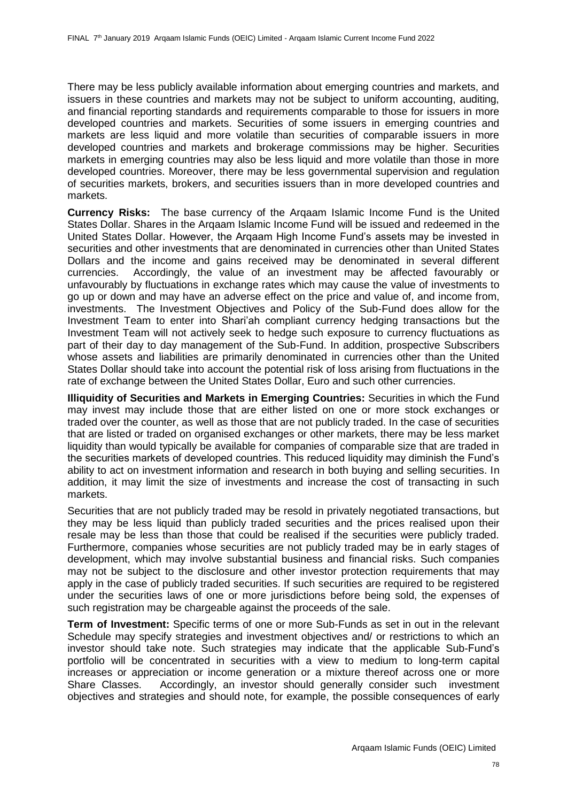There may be less publicly available information about emerging countries and markets, and issuers in these countries and markets may not be subject to uniform accounting, auditing, and financial reporting standards and requirements comparable to those for issuers in more developed countries and markets. Securities of some issuers in emerging countries and markets are less liquid and more volatile than securities of comparable issuers in more developed countries and markets and brokerage commissions may be higher. Securities markets in emerging countries may also be less liquid and more volatile than those in more developed countries. Moreover, there may be less governmental supervision and regulation of securities markets, brokers, and securities issuers than in more developed countries and markets.

**Currency Risks:** The base currency of the Arqaam Islamic Income Fund is the United States Dollar. Shares in the Arqaam Islamic Income Fund will be issued and redeemed in the United States Dollar. However, the Arqaam High Income Fund's assets may be invested in securities and other investments that are denominated in currencies other than United States Dollars and the income and gains received may be denominated in several different currencies. Accordingly, the value of an investment may be affected favourably or unfavourably by fluctuations in exchange rates which may cause the value of investments to go up or down and may have an adverse effect on the price and value of, and income from, investments. The Investment Objectives and Policy of the Sub-Fund does allow for the Investment Team to enter into Shari'ah compliant currency hedging transactions but the Investment Team will not actively seek to hedge such exposure to currency fluctuations as part of their day to day management of the Sub-Fund. In addition, prospective Subscribers whose assets and liabilities are primarily denominated in currencies other than the United States Dollar should take into account the potential risk of loss arising from fluctuations in the rate of exchange between the United States Dollar, Euro and such other currencies.

**Illiquidity of Securities and Markets in Emerging Countries:** Securities in which the Fund may invest may include those that are either listed on one or more stock exchanges or traded over the counter, as well as those that are not publicly traded. In the case of securities that are listed or traded on organised exchanges or other markets, there may be less market liquidity than would typically be available for companies of comparable size that are traded in the securities markets of developed countries. This reduced liquidity may diminish the Fund's ability to act on investment information and research in both buying and selling securities. In addition, it may limit the size of investments and increase the cost of transacting in such markets.

Securities that are not publicly traded may be resold in privately negotiated transactions, but they may be less liquid than publicly traded securities and the prices realised upon their resale may be less than those that could be realised if the securities were publicly traded. Furthermore, companies whose securities are not publicly traded may be in early stages of development, which may involve substantial business and financial risks. Such companies may not be subject to the disclosure and other investor protection requirements that may apply in the case of publicly traded securities. If such securities are required to be registered under the securities laws of one or more jurisdictions before being sold, the expenses of such registration may be chargeable against the proceeds of the sale.

**Term of Investment:** Specific terms of one or more Sub-Funds as set in out in the relevant Schedule may specify strategies and investment objectives and/ or restrictions to which an investor should take note. Such strategies may indicate that the applicable Sub-Fund's portfolio will be concentrated in securities with a view to medium to long-term capital increases or appreciation or income generation or a mixture thereof across one or more Share Classes. Accordingly, an investor should generally consider such investment objectives and strategies and should note, for example, the possible consequences of early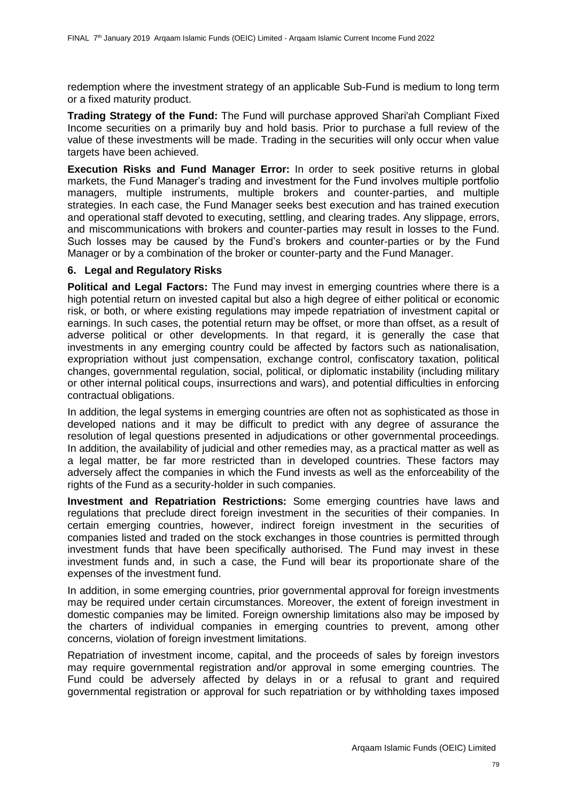redemption where the investment strategy of an applicable Sub-Fund is medium to long term or a fixed maturity product.

**Trading Strategy of the Fund:** The Fund will purchase approved Shari'ah Compliant Fixed Income securities on a primarily buy and hold basis. Prior to purchase a full review of the value of these investments will be made. Trading in the securities will only occur when value targets have been achieved.

**Execution Risks and Fund Manager Error:** In order to seek positive returns in global markets, the Fund Manager's trading and investment for the Fund involves multiple portfolio managers, multiple instruments, multiple brokers and counter-parties, and multiple strategies. In each case, the Fund Manager seeks best execution and has trained execution and operational staff devoted to executing, settling, and clearing trades. Any slippage, errors, and miscommunications with brokers and counter-parties may result in losses to the Fund. Such losses may be caused by the Fund's brokers and counter-parties or by the Fund Manager or by a combination of the broker or counter-party and the Fund Manager.

### **6. Legal and Regulatory Risks**

**Political and Legal Factors:** The Fund may invest in emerging countries where there is a high potential return on invested capital but also a high degree of either political or economic risk, or both, or where existing regulations may impede repatriation of investment capital or earnings. In such cases, the potential return may be offset, or more than offset, as a result of adverse political or other developments. In that regard, it is generally the case that investments in any emerging country could be affected by factors such as nationalisation, expropriation without just compensation, exchange control, confiscatory taxation, political changes, governmental regulation, social, political, or diplomatic instability (including military or other internal political coups, insurrections and wars), and potential difficulties in enforcing contractual obligations.

In addition, the legal systems in emerging countries are often not as sophisticated as those in developed nations and it may be difficult to predict with any degree of assurance the resolution of legal questions presented in adjudications or other governmental proceedings. In addition, the availability of judicial and other remedies may, as a practical matter as well as a legal matter, be far more restricted than in developed countries. These factors may adversely affect the companies in which the Fund invests as well as the enforceability of the rights of the Fund as a security-holder in such companies.

**Investment and Repatriation Restrictions:** Some emerging countries have laws and regulations that preclude direct foreign investment in the securities of their companies. In certain emerging countries, however, indirect foreign investment in the securities of companies listed and traded on the stock exchanges in those countries is permitted through investment funds that have been specifically authorised. The Fund may invest in these investment funds and, in such a case, the Fund will bear its proportionate share of the expenses of the investment fund.

In addition, in some emerging countries, prior governmental approval for foreign investments may be required under certain circumstances. Moreover, the extent of foreign investment in domestic companies may be limited. Foreign ownership limitations also may be imposed by the charters of individual companies in emerging countries to prevent, among other concerns, violation of foreign investment limitations.

Repatriation of investment income, capital, and the proceeds of sales by foreign investors may require governmental registration and/or approval in some emerging countries. The Fund could be adversely affected by delays in or a refusal to grant and required governmental registration or approval for such repatriation or by withholding taxes imposed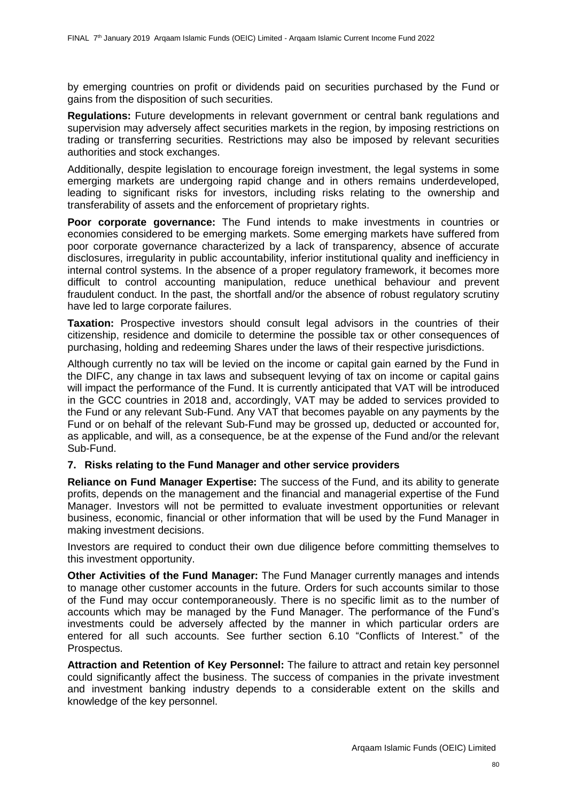by emerging countries on profit or dividends paid on securities purchased by the Fund or gains from the disposition of such securities.

**Regulations:** Future developments in relevant government or central bank regulations and supervision may adversely affect securities markets in the region, by imposing restrictions on trading or transferring securities. Restrictions may also be imposed by relevant securities authorities and stock exchanges.

Additionally, despite legislation to encourage foreign investment, the legal systems in some emerging markets are undergoing rapid change and in others remains underdeveloped, leading to significant risks for investors, including risks relating to the ownership and transferability of assets and the enforcement of proprietary rights.

**Poor corporate governance:** The Fund intends to make investments in countries or economies considered to be emerging markets. Some emerging markets have suffered from poor corporate governance characterized by a lack of transparency, absence of accurate disclosures, irregularity in public accountability, inferior institutional quality and inefficiency in internal control systems. In the absence of a proper regulatory framework, it becomes more difficult to control accounting manipulation, reduce unethical behaviour and prevent fraudulent conduct. In the past, the shortfall and/or the absence of robust regulatory scrutiny have led to large corporate failures.

**Taxation:** Prospective investors should consult legal advisors in the countries of their citizenship, residence and domicile to determine the possible tax or other consequences of purchasing, holding and redeeming Shares under the laws of their respective jurisdictions.

Although currently no tax will be levied on the income or capital gain earned by the Fund in the DIFC, any change in tax laws and subsequent levying of tax on income or capital gains will impact the performance of the Fund. It is currently anticipated that VAT will be introduced in the GCC countries in 2018 and, accordingly, VAT may be added to services provided to the Fund or any relevant Sub-Fund. Any VAT that becomes payable on any payments by the Fund or on behalf of the relevant Sub-Fund may be grossed up, deducted or accounted for, as applicable, and will, as a consequence, be at the expense of the Fund and/or the relevant Sub-Fund.

## **7. Risks relating to the Fund Manager and other service providers**

**Reliance on Fund Manager Expertise:** The success of the Fund, and its ability to generate profits, depends on the management and the financial and managerial expertise of the Fund Manager. Investors will not be permitted to evaluate investment opportunities or relevant business, economic, financial or other information that will be used by the Fund Manager in making investment decisions.

Investors are required to conduct their own due diligence before committing themselves to this investment opportunity.

**Other Activities of the Fund Manager:** The Fund Manager currently manages and intends to manage other customer accounts in the future. Orders for such accounts similar to those of the Fund may occur contemporaneously. There is no specific limit as to the number of accounts which may be managed by the Fund Manager. The performance of the Fund's investments could be adversely affected by the manner in which particular orders are entered for all such accounts. See further section [6.10](#page-28-0) ["Conflicts of Interest."](#page-28-0) of the Prospectus.

**Attraction and Retention of Key Personnel:** The failure to attract and retain key personnel could significantly affect the business. The success of companies in the private investment and investment banking industry depends to a considerable extent on the skills and knowledge of the key personnel.